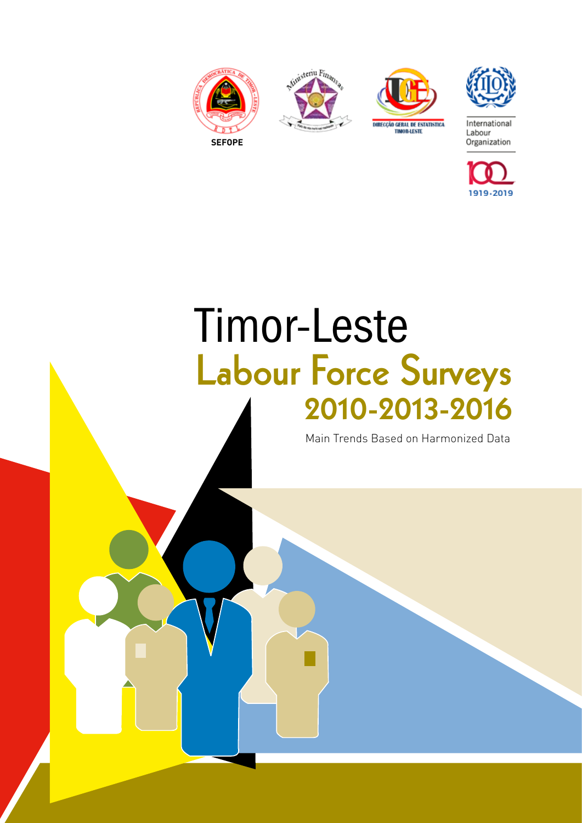







International Labour Organization



# Timor-Leste Labour Force Surveys 2010-2013-2016

Main Trends Based on Harmonized Data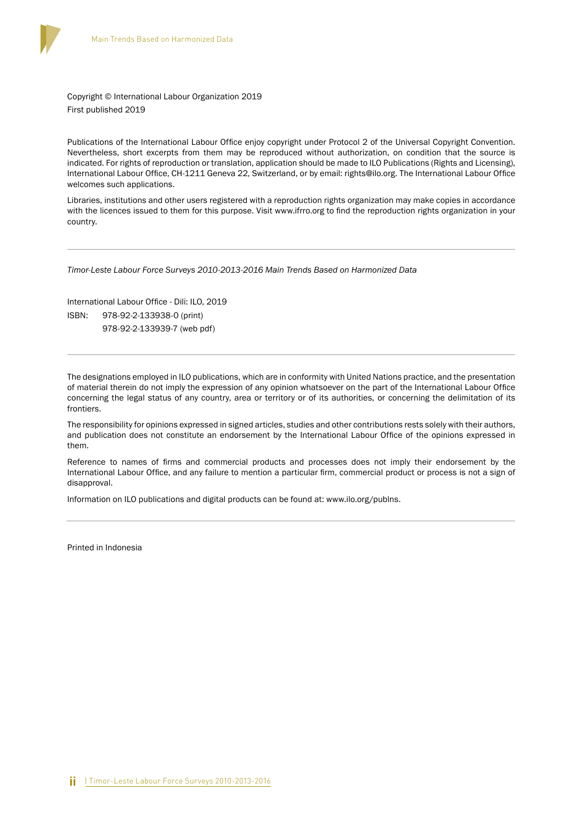Copyright © International Labour Organization 2019 First published 2019

Publications of the International Labour Office enjoy copyright under Protocol 2 of the Universal Copyright Convention. Nevertheless, short excerpts from them may be reproduced without authorization, on condition that the source is indicated. For rights of reproduction or translation, application should be made to ILO Publications (Rights and Licensing), International Labour Office, CH-1211 Geneva 22, Switzerland, or by email: rights@ilo.org. The International Labour Office welcomes such applications.

Libraries, institutions and other users registered with a reproduction rights organization may make copies in accordance with the licences issued to them for this purpose. Visit www.ifrro.org to find the reproduction rights organization in your country.

*Timor-Leste Labour Force Surveys 2010-2013-2016 Main Trends Based on Harmonized Data*

International Labour Office - Dili: ILO, 2019 ISBN: 978-92-2-133938-0 (print) 978-92-2-133939-7 (web pdf)

The designations employed in ILO publications, which are in conformity with United Nations practice, and the presentation of material therein do not imply the expression of any opinion whatsoever on the part of the International Labour Office concerning the legal status of any country, area or territory or of its authorities, or concerning the delimitation of its frontiers.

The responsibility for opinions expressed in signed articles, studies and other contributions rests solely with their authors, and publication does not constitute an endorsement by the International Labour Office of the opinions expressed in them.

Reference to names of firms and commercial products and processes does not imply their endorsement by the International Labour Office, and any failure to mention a particular firm, commercial product or process is not a sign of disapproval.

Information on ILO publications and digital products can be found at: www.ilo.org/publns.

Printed in Indonesia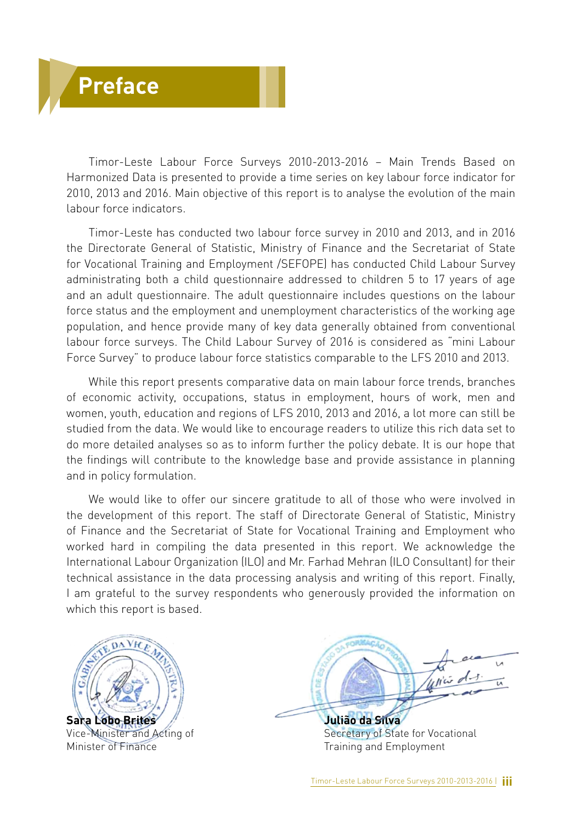# **Preface**

Timor-Leste Labour Force Surveys 2010-2013-2016 – Main Trends Based on Harmonized Data is presented to provide a time series on key labour force indicator for 2010, 2013 and 2016. Main objective of this report is to analyse the evolution of the main labour force indicators.

Timor-Leste has conducted two labour force survey in 2010 and 2013, and in 2016 the Directorate General of Statistic, Ministry of Finance and the Secretariat of State for Vocational Training and Employment /SEFOPE) has conducted Child Labour Survey administrating both a child questionnaire addressed to children 5 to 17 years of age and an adult questionnaire. The adult questionnaire includes questions on the labour force status and the employment and unemployment characteristics of the working age population, and hence provide many of key data generally obtained from conventional labour force surveys. The Child Labour Survey of 2016 is considered as "mini Labour Force Survey" to produce labour force statistics comparable to the LFS 2010 and 2013.

While this report presents comparative data on main labour force trends, branches of economic activity, occupations, status in employment, hours of work, men and women, youth, education and regions of LFS 2010, 2013 and 2016, a lot more can still be studied from the data. We would like to encourage readers to utilize this rich data set to do more detailed analyses so as to inform further the policy debate. It is our hope that the findings will contribute to the knowledge base and provide assistance in planning and in policy formulation.

We would like to offer our sincere gratitude to all of those who were involved in the development of this report. The staff of Directorate General of Statistic, Ministry of Finance and the Secretariat of State for Vocational Training and Employment who worked hard in compiling the data presented in this report. We acknowledge the International Labour Organization (ILO) and Mr. Farhad Mehran (ILO Consultant) for their technical assistance in the data processing analysis and writing of this report. Finally, I am grateful to the survey respondents who generously provided the information on which this report is based.



Vice-Minister and Acting of Minister of Finance



**Julião da Silva** Secretary of State for Vocational Training and Employment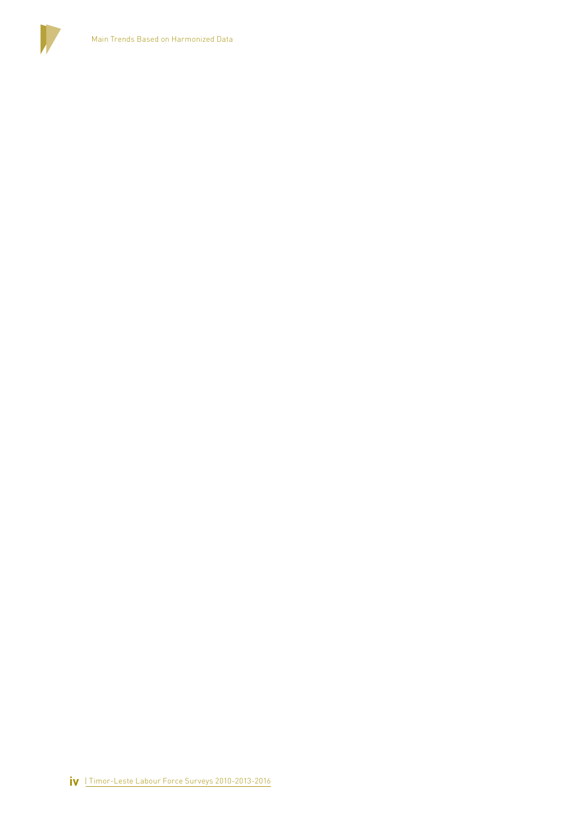

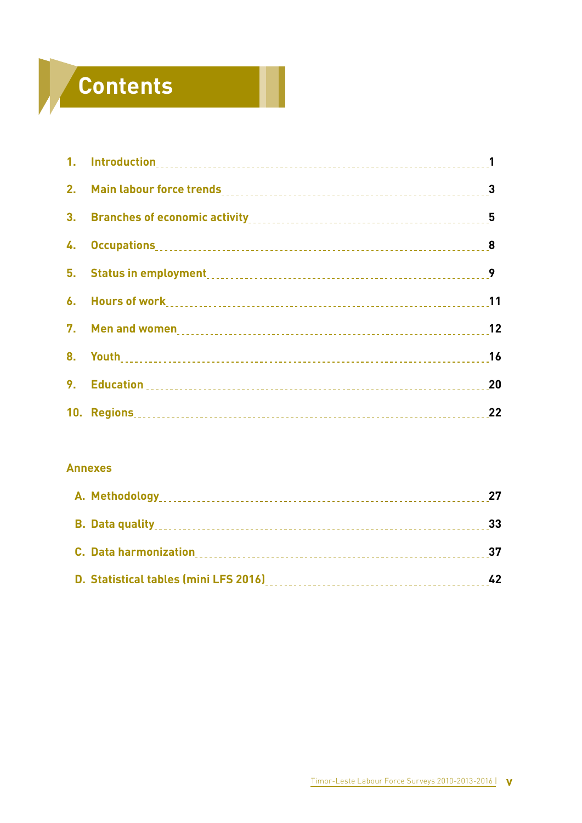# **Contents**

| 3. Branches of economic activity<br><u>1980</u>                                                                                                                                                                                      |    |
|--------------------------------------------------------------------------------------------------------------------------------------------------------------------------------------------------------------------------------------|----|
|                                                                                                                                                                                                                                      |    |
| 5. Status in employment<br>9. Status in employment                                                                                                                                                                                   |    |
|                                                                                                                                                                                                                                      |    |
| 7. Men and women <b>Manual According to the Manual According to the Manual According to the Manual According to the Manual According to the Manual According to the Manual According to the Manual According to the Manual Accor</b> |    |
|                                                                                                                                                                                                                                      |    |
| 9. Education 20                                                                                                                                                                                                                      |    |
|                                                                                                                                                                                                                                      | 22 |

#### **Annexes**

|                                                                                                                                                        | 27           |
|--------------------------------------------------------------------------------------------------------------------------------------------------------|--------------|
|                                                                                                                                                        |              |
|                                                                                                                                                        | -37          |
| D. Statistical tables (mini LFS 2016)<br>Laterate and the contract contract the contract of the state of the contract of the state of the state of the | $\mathbf{L}$ |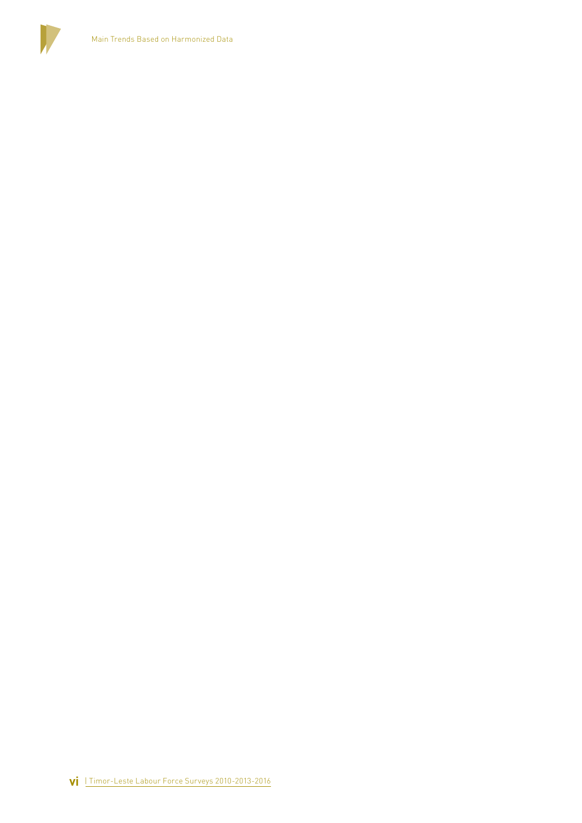

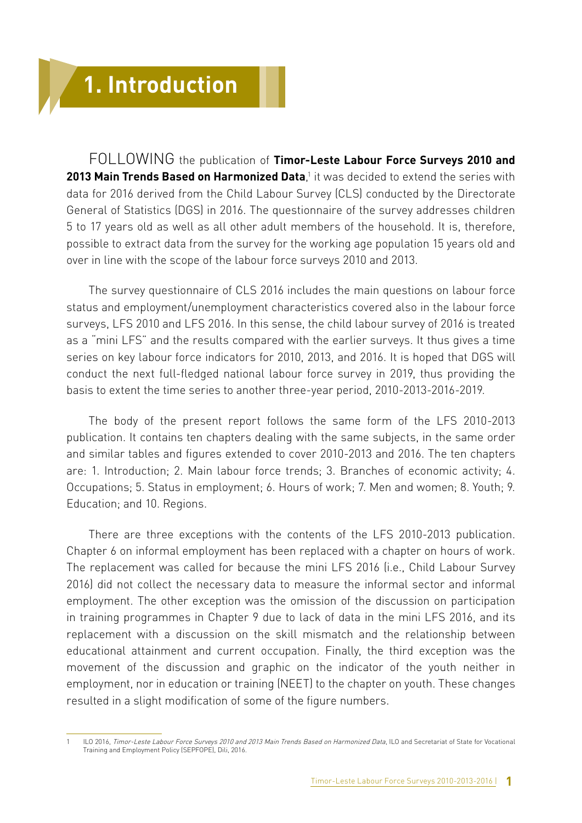FOLLOWING the publication of **Timor-Leste Labour Force Surveys 2010 and 2013 Main Trends Based on Harmonized Data**,<sup>1</sup> it was decided to extend the series with data for 2016 derived from the Child Labour Survey (CLS) conducted by the Directorate General of Statistics (DGS) in 2016. The questionnaire of the survey addresses children 5 to 17 years old as well as all other adult members of the household. It is, therefore, possible to extract data from the survey for the working age population 15 years old and over in line with the scope of the labour force surveys 2010 and 2013.

The survey questionnaire of CLS 2016 includes the main questions on labour force status and employment/unemployment characteristics covered also in the labour force surveys, LFS 2010 and LFS 2016. In this sense, the child labour survey of 2016 is treated as a "mini LFS" and the results compared with the earlier surveys. It thus gives a time series on key labour force indicators for 2010, 2013, and 2016. It is hoped that DGS will conduct the next full-fledged national labour force survey in 2019, thus providing the basis to extent the time series to another three-year period, 2010-2013-2016-2019.

The body of the present report follows the same form of the LFS 2010-2013 publication. It contains ten chapters dealing with the same subjects, in the same order and similar tables and figures extended to cover 2010-2013 and 2016. The ten chapters are: 1. Introduction; 2. Main labour force trends; 3. Branches of economic activity; 4. Occupations; 5. Status in employment; 6. Hours of work; 7. Men and women; 8. Youth; 9. Education; and 10. Regions.

There are three exceptions with the contents of the LFS 2010-2013 publication. Chapter 6 on informal employment has been replaced with a chapter on hours of work. The replacement was called for because the mini LFS 2016 (i.e., Child Labour Survey 2016) did not collect the necessary data to measure the informal sector and informal employment. The other exception was the omission of the discussion on participation in training programmes in Chapter 9 due to lack of data in the mini LFS 2016, and its replacement with a discussion on the skill mismatch and the relationship between educational attainment and current occupation. Finally, the third exception was the movement of the discussion and graphic on the indicator of the youth neither in employment, nor in education or training (NEET) to the chapter on youth. These changes resulted in a slight modification of some of the figure numbers.

ILO 2016, Timor-Leste Labour Force Surveys 2010 and 2013 Main Trends Based on Harmonized Data, ILO and Secretariat of State for Vocational Training and Employment Policy (SEPFOPE), Dili, 2016.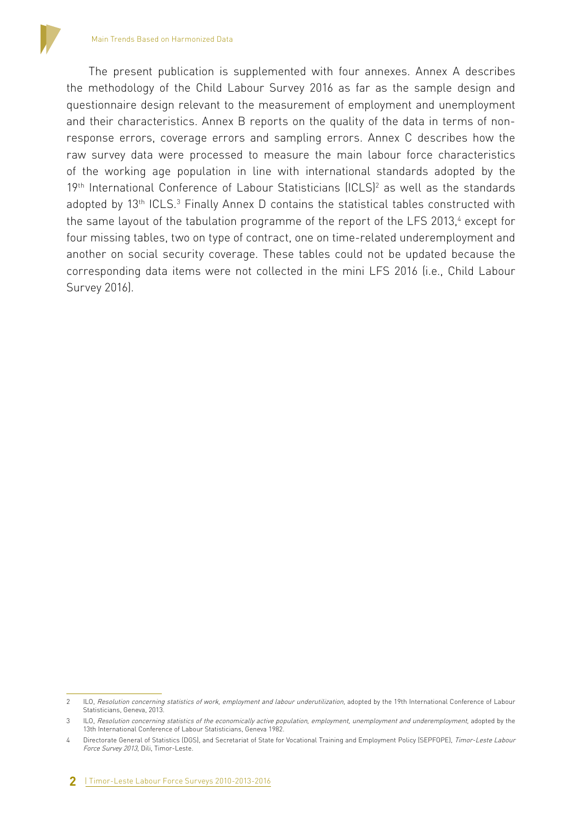

The present publication is supplemented with four annexes. Annex A describes the methodology of the Child Labour Survey 2016 as far as the sample design and questionnaire design relevant to the measurement of employment and unemployment and their characteristics. Annex B reports on the quality of the data in terms of nonresponse errors, coverage errors and sampling errors. Annex C describes how the raw survey data were processed to measure the main labour force characteristics of the working age population in line with international standards adopted by the 19<sup>th</sup> International Conference of Labour Statisticians (ICLS)<sup>2</sup> as well as the standards adopted by 13<sup>th</sup> ICLS.<sup>3</sup> Finally Annex D contains the statistical tables constructed with the same layout of the tabulation programme of the report of the LFS 2013, $^4$  except for four missing tables, two on type of contract, one on time-related underemployment and another on social security coverage. These tables could not be updated because the corresponding data items were not collected in the mini LFS 2016 (i.e., Child Labour Survey 2016).

<sup>2</sup> ILO, Resolution concerning statistics of work, employment and labour underutilization, adopted by the 19th International Conference of Labour Statisticians, Geneva, 2013.

<sup>3</sup> ILO, Resolution concerning statistics of the economically active population, employment, unemployment and underemployment, adopted by the 13th International Conference of Labour Statisticians, Geneva 1982.

<sup>4</sup> Directorate General of Statistics (DGS), and Secretariat of State for Vocational Training and Employment Policy (SEPFOPE), Timor-Leste Labour Force Survey 2013, Dili, Timor-Leste.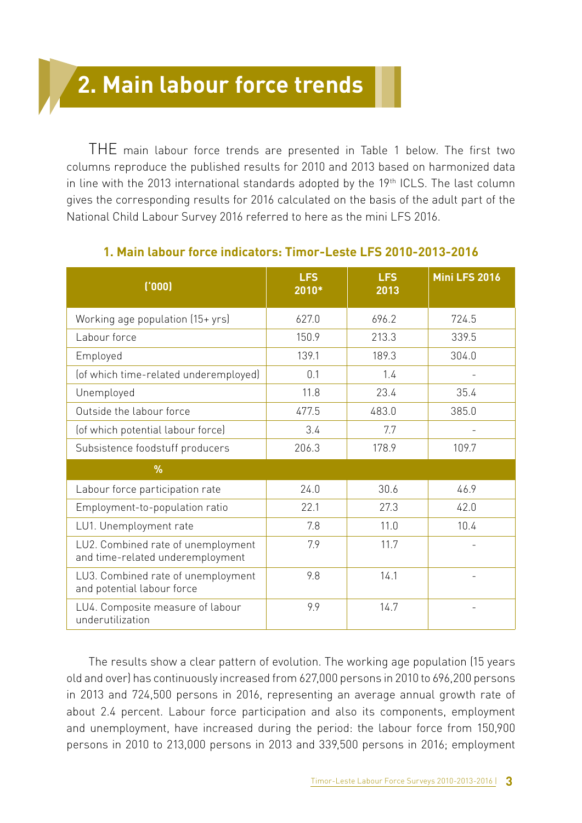# **2. Main labour force trends**

THE main labour force trends are presented in Table 1 below. The first two columns reproduce the published results for 2010 and 2013 based on harmonized data in line with the 2013 international standards adopted by the 19<sup>th</sup> ICLS. The last column gives the corresponding results for 2016 calculated on the basis of the adult part of the National Child Labour Survey 2016 referred to here as the mini LFS 2016.

| (1000)                                                                 | <b>LFS</b><br>2010* | <b>LFS</b><br>2013 | <b>Mini LFS 2016</b> |
|------------------------------------------------------------------------|---------------------|--------------------|----------------------|
| Working age population (15+ yrs)                                       | 627.0               | 696.2              | 724.5                |
| Labour force                                                           | 150.9               | 213.3              | 339.5                |
| Employed                                                               | 139.1               | 189.3              | 304.0                |
| (of which time-related underemployed)                                  | 0.1                 | 1.4                |                      |
| Unemployed                                                             | 11.8                | 23.4               | 35.4                 |
| Outside the labour force                                               | 477.5               | 483.0              | 385.0                |
| (of which potential labour force)                                      | 3.4                 | 7.7                |                      |
| Subsistence foodstuff producers                                        | 206.3               | 178.9              | 109.7                |
| $\frac{9}{6}$                                                          |                     |                    |                      |
| Labour force participation rate                                        | 24.0                | 30.6               | 46.9                 |
| Employment-to-population ratio                                         | 22.1                | 27.3               | 42.0                 |
| LU1. Unemployment rate                                                 | 7.8                 | 11.0               | 10.4                 |
| LU2. Combined rate of unemployment<br>and time-related underemployment | 7.9                 | 11.7               |                      |
| LU3. Combined rate of unemployment<br>and potential labour force       | 9.8                 | 14.1               |                      |
| LU4. Composite measure of labour<br>underutilization                   | 9.9                 | 14.7               |                      |

#### **1. Main labour force indicators: Timor-Leste LFS 2010-2013-2016**

The results show a clear pattern of evolution. The working age population (15 years old and over) has continuously increased from 627,000 persons in 2010 to 696,200 persons in 2013 and 724,500 persons in 2016, representing an average annual growth rate of about 2.4 percent. Labour force participation and also its components, employment and unemployment, have increased during the period: the labour force from 150,900 persons in 2010 to 213,000 persons in 2013 and 339,500 persons in 2016; employment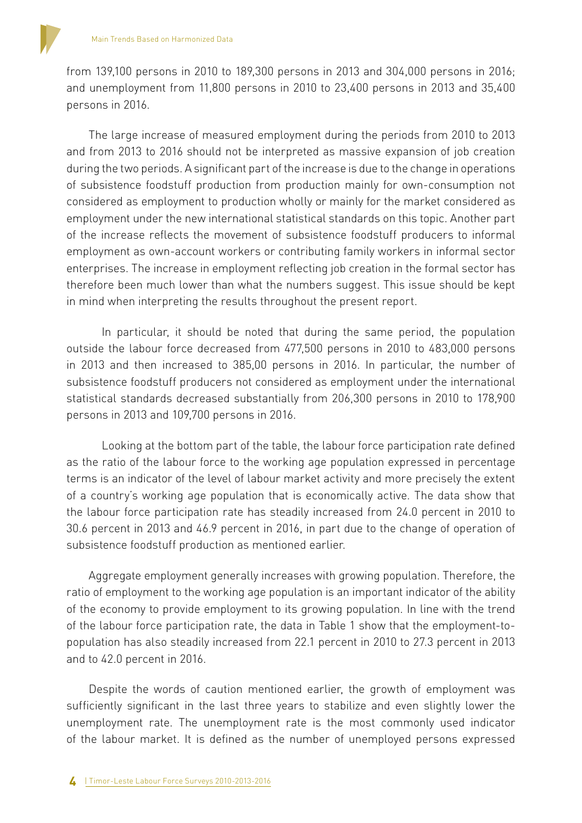from 139,100 persons in 2010 to 189,300 persons in 2013 and 304,000 persons in 2016; and unemployment from 11,800 persons in 2010 to 23,400 persons in 2013 and 35,400 persons in 2016.

The large increase of measured employment during the periods from 2010 to 2013 and from 2013 to 2016 should not be interpreted as massive expansion of job creation during the two periods. A significant part of the increase is due to the change in operations of subsistence foodstuff production from production mainly for own-consumption not considered as employment to production wholly or mainly for the market considered as employment under the new international statistical standards on this topic. Another part of the increase reflects the movement of subsistence foodstuff producers to informal employment as own-account workers or contributing family workers in informal sector enterprises. The increase in employment reflecting job creation in the formal sector has therefore been much lower than what the numbers suggest. This issue should be kept in mind when interpreting the results throughout the present report.

In particular, it should be noted that during the same period, the population outside the labour force decreased from 477,500 persons in 2010 to 483,000 persons in 2013 and then increased to 385,00 persons in 2016. In particular, the number of subsistence foodstuff producers not considered as employment under the international statistical standards decreased substantially from 206,300 persons in 2010 to 178,900 persons in 2013 and 109,700 persons in 2016.

Looking at the bottom part of the table, the labour force participation rate defined as the ratio of the labour force to the working age population expressed in percentage terms is an indicator of the level of labour market activity and more precisely the extent of a country's working age population that is economically active. The data show that the labour force participation rate has steadily increased from 24.0 percent in 2010 to 30.6 percent in 2013 and 46.9 percent in 2016, in part due to the change of operation of subsistence foodstuff production as mentioned earlier.

Aggregate employment generally increases with growing population. Therefore, the ratio of employment to the working age population is an important indicator of the ability of the economy to provide employment to its growing population. In line with the trend of the labour force participation rate, the data in Table 1 show that the employment-topopulation has also steadily increased from 22.1 percent in 2010 to 27.3 percent in 2013 and to 42.0 percent in 2016.

Despite the words of caution mentioned earlier, the growth of employment was sufficiently significant in the last three years to stabilize and even slightly lower the unemployment rate. The unemployment rate is the most commonly used indicator of the labour market. It is defined as the number of unemployed persons expressed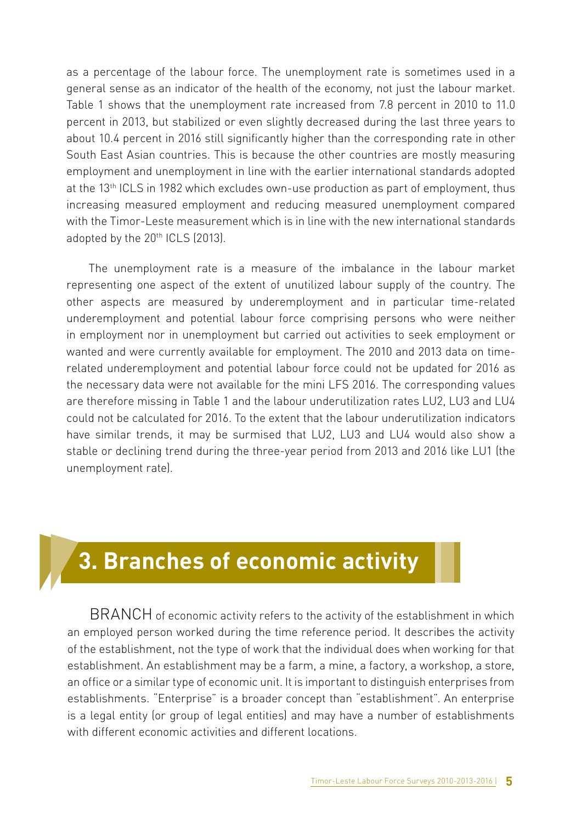as a percentage of the labour force. The unemployment rate is sometimes used in a general sense as an indicator of the health of the economy, not just the labour market. Table 1 shows that the unemployment rate increased from 7.8 percent in 2010 to 11.0 percent in 2013, but stabilized or even slightly decreased during the last three years to about 10.4 percent in 2016 still significantly higher than the corresponding rate in other South East Asian countries. This is because the other countries are mostly measuring employment and unemployment in line with the earlier international standards adopted at the 13<sup>th</sup> ICLS in 1982 which excludes own-use production as part of employment, thus increasing measured employment and reducing measured unemployment compared with the Timor-Leste measurement which is in line with the new international standards adopted by the 20<sup>th</sup> ICLS (2013).

The unemployment rate is a measure of the imbalance in the labour market representing one aspect of the extent of unutilized labour supply of the country. The other aspects are measured by underemployment and in particular time-related underemployment and potential labour force comprising persons who were neither in employment nor in unemployment but carried out activities to seek employment or wanted and were currently available for employment. The 2010 and 2013 data on timerelated underemployment and potential labour force could not be updated for 2016 as the necessary data were not available for the mini LFS 2016. The corresponding values are therefore missing in Table 1 and the labour underutilization rates LU2, LU3 and LU4 could not be calculated for 2016. To the extent that the labour underutilization indicators have similar trends, it may be surmised that LU2, LU3 and LU4 would also show a stable or declining trend during the three-year period from 2013 and 2016 like LU1 (the unemployment rate).

# **3. Branches of economic activity**

BRANCH of economic activity refers to the activity of the establishment in which an employed person worked during the time reference period. It describes the activity of the establishment, not the type of work that the individual does when working for that establishment. An establishment may be a farm, a mine, a factory, a workshop, a store, an office or a similar type of economic unit. It is important to distinguish enterprises from establishments. "Enterprise" is a broader concept than "establishment". An enterprise is a legal entity (or group of legal entities) and may have a number of establishments with different economic activities and different locations.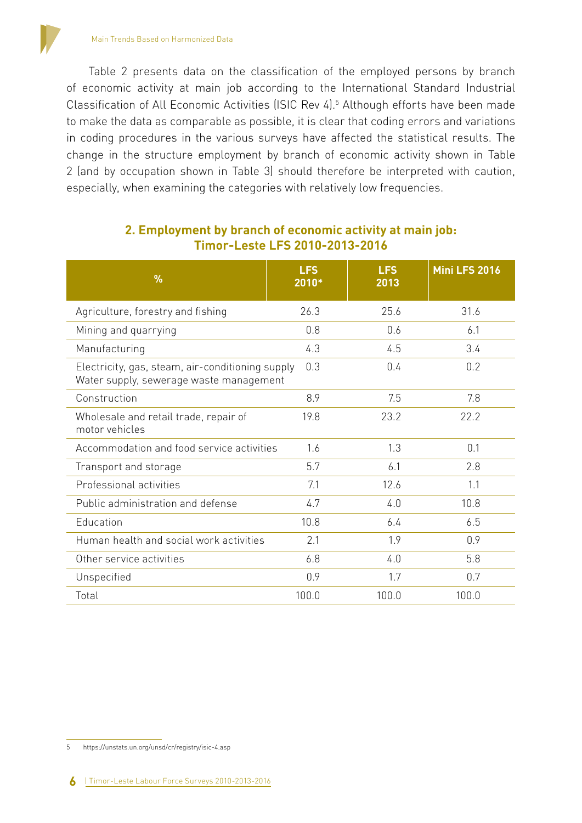

Table 2 presents data on the classification of the employed persons by branch of economic activity at main job according to the International Standard Industrial Classification of All Economic Activities (ISIC Rev 4).<sup>5</sup> Although efforts have been made to make the data as comparable as possible, it is clear that coding errors and variations in coding procedures in the various surveys have affected the statistical results. The change in the structure employment by branch of economic activity shown in Table 2 (and by occupation shown in Table 3) should therefore be interpreted with caution, especially, when examining the categories with relatively low frequencies.

| $\frac{9}{6}$                                                                               | <b>LFS</b><br>2010* | <b>LFS</b><br>$\overline{2013}$ | <b>Mini LFS 2016</b> |
|---------------------------------------------------------------------------------------------|---------------------|---------------------------------|----------------------|
| Agriculture, forestry and fishing                                                           | 26.3                | 25.6                            | 31.6                 |
| Mining and quarrying                                                                        | 0.8                 | 0.6                             | 6.1                  |
| Manufacturing                                                                               | 4.3                 | 4.5                             | 3.4                  |
| Electricity, gas, steam, air-conditioning supply<br>Water supply, sewerage waste management | 0.3                 | 0.4                             | 0.2                  |
| Construction                                                                                | 8.9                 | 7.5                             | 7.8                  |
| Wholesale and retail trade, repair of<br>motor vehicles                                     | 19.8                | 23.2                            | 22.2                 |
| Accommodation and food service activities                                                   | 1.6                 | 1.3                             | 0.1                  |
| Transport and storage                                                                       | 5.7                 | 6.1                             | 2.8                  |
| Professional activities                                                                     | 7.1                 | 12.6                            | 1.1                  |
| Public administration and defense                                                           | 4.7                 | 4.0                             | 10.8                 |
| Education                                                                                   | 10.8                | 6.4                             | 6.5                  |
| Human health and social work activities                                                     | 2.1                 | 1.9                             | 0.9                  |
| Other service activities                                                                    | 6.8                 | 4.0                             | 5.8                  |
| Unspecified                                                                                 | 0.9                 | 1.7                             | 0.7                  |
| Total                                                                                       | 100.0               | 100.0                           | 100.0                |

#### **2. Employment by branch of economic activity at main job: Timor-Leste LFS 2010-2013-2016**

<sup>5</sup> https://unstats.un.org/unsd/cr/registry/isic-4.asp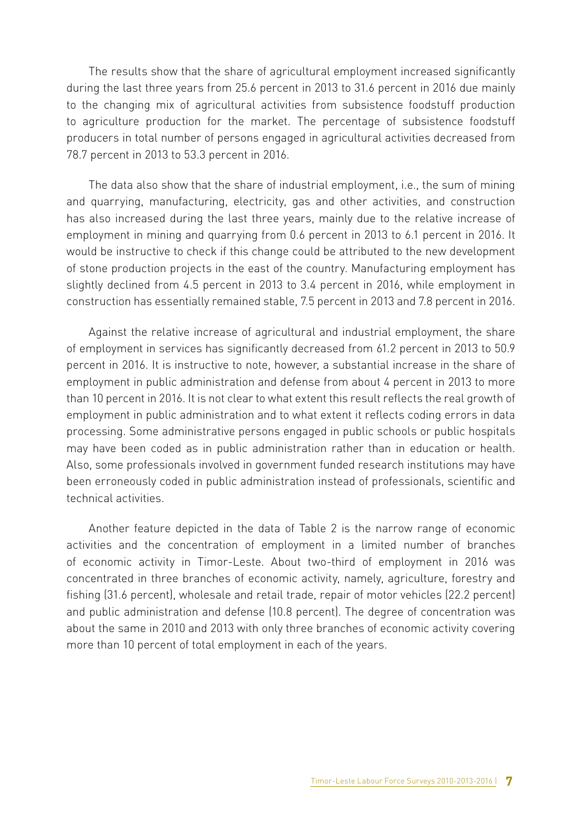The results show that the share of agricultural employment increased significantly during the last three years from 25.6 percent in 2013 to 31.6 percent in 2016 due mainly to the changing mix of agricultural activities from subsistence foodstuff production to agriculture production for the market. The percentage of subsistence foodstuff producers in total number of persons engaged in agricultural activities decreased from 78.7 percent in 2013 to 53.3 percent in 2016.

The data also show that the share of industrial employment, i.e., the sum of mining and quarrying, manufacturing, electricity, gas and other activities, and construction has also increased during the last three years, mainly due to the relative increase of employment in mining and quarrying from 0.6 percent in 2013 to 6.1 percent in 2016. It would be instructive to check if this change could be attributed to the new development of stone production projects in the east of the country. Manufacturing employment has slightly declined from 4.5 percent in 2013 to 3.4 percent in 2016, while employment in construction has essentially remained stable, 7.5 percent in 2013 and 7.8 percent in 2016.

Against the relative increase of agricultural and industrial employment, the share of employment in services has significantly decreased from 61.2 percent in 2013 to 50.9 percent in 2016. It is instructive to note, however, a substantial increase in the share of employment in public administration and defense from about 4 percent in 2013 to more than 10 percent in 2016. It is not clear to what extent this result reflects the real growth of employment in public administration and to what extent it reflects coding errors in data processing. Some administrative persons engaged in public schools or public hospitals may have been coded as in public administration rather than in education or health. Also, some professionals involved in government funded research institutions may have been erroneously coded in public administration instead of professionals, scientific and technical activities.

Another feature depicted in the data of Table 2 is the narrow range of economic activities and the concentration of employment in a limited number of branches of economic activity in Timor-Leste. About two-third of employment in 2016 was concentrated in three branches of economic activity, namely, agriculture, forestry and fishing (31.6 percent), wholesale and retail trade, repair of motor vehicles (22.2 percent) and public administration and defense (10.8 percent). The degree of concentration was about the same in 2010 and 2013 with only three branches of economic activity covering more than 10 percent of total employment in each of the years.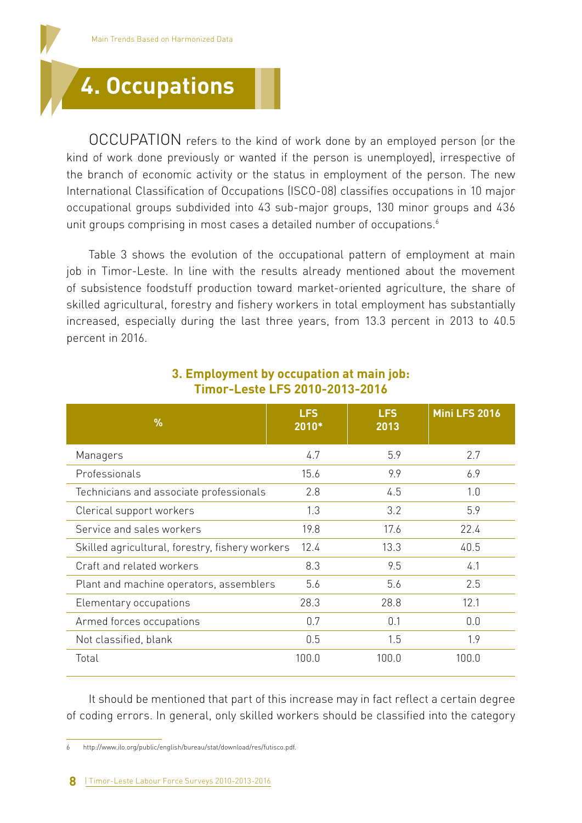## **4. Occupations**

OCCUPATION refers to the kind of work done by an employed person (or the kind of work done previously or wanted if the person is unemployed), irrespective of the branch of economic activity or the status in employment of the person. The new International Classification of Occupations (ISCO-08) classifies occupations in 10 major occupational groups subdivided into 43 sub-major groups, 130 minor groups and 436 unit groups comprising in most cases a detailed number of occupations.<sup>6</sup>

Table 3 shows the evolution of the occupational pattern of employment at main job in Timor-Leste. In line with the results already mentioned about the movement of subsistence foodstuff production toward market-oriented agriculture, the share of skilled agricultural, forestry and fishery workers in total employment has substantially increased, especially during the last three years, from 13.3 percent in 2013 to 40.5 percent in 2016.

| $\%$                                            | <b>LFS</b><br>2010* | <b>LFS</b><br>2013 | <b>Mini LFS 2016</b> |
|-------------------------------------------------|---------------------|--------------------|----------------------|
| Managers                                        | 4.7                 | 5.9                | 2.7                  |
| Professionals                                   | 15.6                | 9.9                | 6.9                  |
| Technicians and associate professionals         | 2.8                 | 4.5                | 1.0                  |
| Clerical support workers                        | 1.3                 | 3.2                | 5.9                  |
| Service and sales workers                       | 19.8                | 17.6               | 22.4                 |
| Skilled agricultural, forestry, fishery workers | 12.4                | 13.3               | 40.5                 |
| Craft and related workers                       | 8.3                 | 9.5                | 4.1                  |
| Plant and machine operators, assemblers         | 5.6                 | 5.6                | 2.5                  |
| Elementary occupations                          | 28.3                | 28.8               | 12.1                 |
| Armed forces occupations                        | 0.7                 | 0.1                | 0.0                  |
| Not classified, blank                           | 0.5                 | 1.5                | 1.9                  |
| Total                                           | 100.0               | 100.0              | 100.0                |

#### **3. Employment by occupation at main job: Timor-Leste LFS 2010-2013-2016**

It should be mentioned that part of this increase may in fact reflect a certain degree of coding errors. In general, only skilled workers should be classified into the category

<sup>6</sup> http://www.ilo.org/public/english/bureau/stat/download/res/futisco.pdf.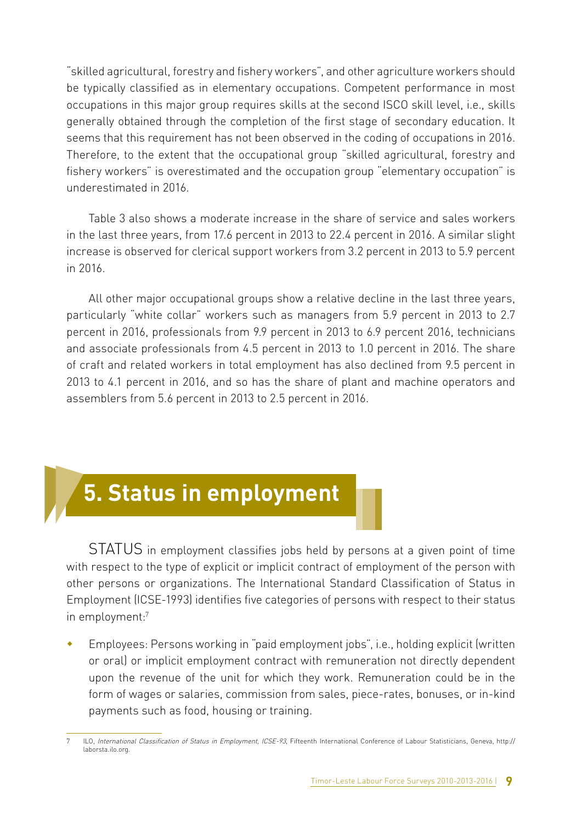"skilled agricultural, forestry and fishery workers", and other agriculture workers should be typically classified as in elementary occupations. Competent performance in most occupations in this major group requires skills at the second ISCO skill level, i.e., skills generally obtained through the completion of the first stage of secondary education. It seems that this requirement has not been observed in the coding of occupations in 2016. Therefore, to the extent that the occupational group "skilled agricultural, forestry and fishery workers" is overestimated and the occupation group "elementary occupation" is underestimated in 2016.

Table 3 also shows a moderate increase in the share of service and sales workers in the last three years, from 17.6 percent in 2013 to 22.4 percent in 2016. A similar slight increase is observed for clerical support workers from 3.2 percent in 2013 to 5.9 percent in 2016.

All other major occupational groups show a relative decline in the last three years, particularly "white collar" workers such as managers from 5.9 percent in 2013 to 2.7 percent in 2016, professionals from 9.9 percent in 2013 to 6.9 percent 2016, technicians and associate professionals from 4.5 percent in 2013 to 1.0 percent in 2016. The share of craft and related workers in total employment has also declined from 9.5 percent in 2013 to 4.1 percent in 2016, and so has the share of plant and machine operators and assemblers from 5.6 percent in 2013 to 2.5 percent in 2016.

# **5. Status in employment**

STATUS in employment classifies jobs held by persons at a given point of time with respect to the type of explicit or implicit contract of employment of the person with other persons or organizations. The International Standard Classification of Status in Employment (ICSE-1993) identifies five categories of persons with respect to their status in employment:<sup>7</sup>

Employees: Persons working in "paid employment jobs", i.e., holding explicit (written or oral) or implicit employment contract with remuneration not directly dependent upon the revenue of the unit for which they work. Remuneration could be in the form of wages or salaries, commission from sales, piece-rates, bonuses, or in-kind payments such as food, housing or training.

ILO, International Classification of Status in Employment, ICSE-93, Fifteenth International Conference of Labour Statisticians, Geneva, http:// laborsta.ilo.org.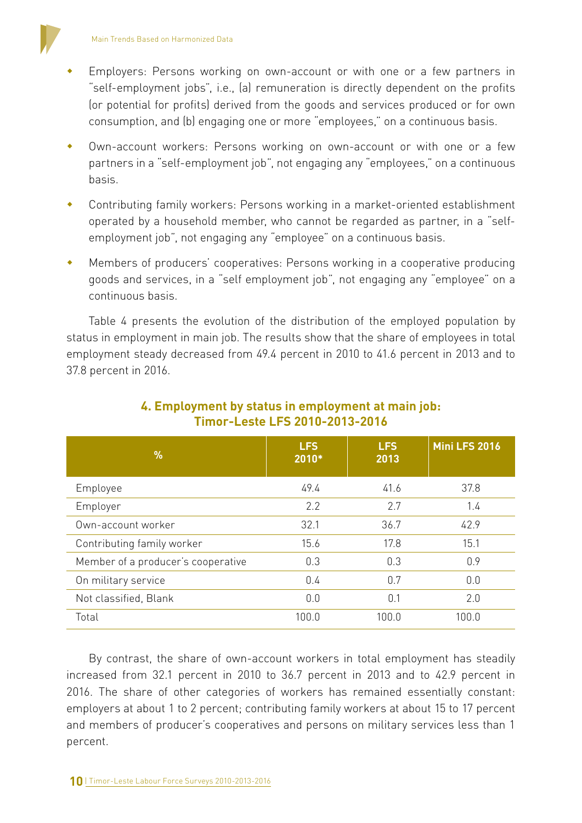

- Employers: Persons working on own-account or with one or a few partners in "self-employment jobs", i.e., (a) remuneration is directly dependent on the profits (or potential for profits) derived from the goods and services produced or for own consumption, and (b) engaging one or more "employees," on a continuous basis.
- Own-account workers: Persons working on own-account or with one or a few partners in a "self-employment job", not engaging any "employees," on a continuous basis.
- **\*** Contributing family workers: Persons working in a market-oriented establishment operated by a household member, who cannot be regarded as partner, in a "selfemployment job", not engaging any "employee" on a continuous basis.
- Members of producers' cooperatives: Persons working in a cooperative producing goods and services, in a "self employment job", not engaging any "employee" on a continuous basis.

Table 4 presents the evolution of the distribution of the employed population by status in employment in main job. The results show that the share of employees in total employment steady decreased from 49.4 percent in 2010 to 41.6 percent in 2013 and to 37.8 percent in 2016.

| $\frac{9}{6}$                      | <b>LFS</b><br>2010* | <b>LFS</b><br> 2013 | <b>Mini LFS 2016</b> |
|------------------------------------|---------------------|---------------------|----------------------|
| Employee                           | 49.4                | 41.6                | 37.8                 |
| Employer                           | 2.2                 | 2.7                 | 1.4                  |
| Own-account worker                 | 32.1                | 36.7                | 42.9                 |
| Contributing family worker         | 15.6                | 17.8                | 15.1                 |
| Member of a producer's cooperative | 0.3                 | 0.3                 | 0.9                  |
| On military service                | 0.4                 | 0.7                 | 0.0                  |
| Not classified, Blank              | 0.0                 | 0.1                 | 2.0                  |
| Total                              | 100.0               | 100.0               | 100.0                |

#### **4. Employment by status in employment at main job: Timor-Leste LFS 2010-2013-2016**

By contrast, the share of own-account workers in total employment has steadily increased from 32.1 percent in 2010 to 36.7 percent in 2013 and to 42.9 percent in 2016. The share of other categories of workers has remained essentially constant: employers at about 1 to 2 percent; contributing family workers at about 15 to 17 percent and members of producer's cooperatives and persons on military services less than 1 percent.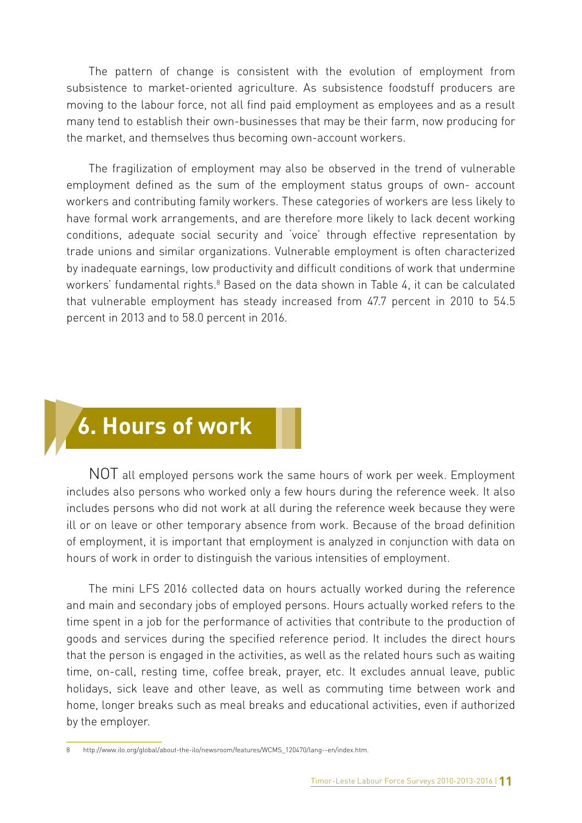The pattern of change is consistent with the evolution of employment from subsistence to market-oriented agriculture. As subsistence foodstuff producers are moving to the labour force, not all find paid employment as employees and as a result many tend to establish their own-businesses that may be their farm, now producing for the market, and themselves thus becoming own-account workers.

The fragilization of employment may also be observed in the trend of vulnerable employment defined as the sum of the employment status groups of own- account workers and contributing family workers. These categories of workers are less likely to have formal work arrangements, and are therefore more likely to lack decent working conditions, adequate social security and 'voice' through effective representation by trade unions and similar organizations. Vulnerable employment is often characterized by inadequate earnings, low productivity and difficult conditions of work that undermine workers' fundamental rights.8 Based on the data shown in Table 4, it can be calculated that vulnerable employment has steady increased from 47.7 percent in 2010 to 54.5 percent in 2013 and to 58.0 percent in 2016.

# **6. Hours of work**

NOT all employed persons work the same hours of work per week. Employment includes also persons who worked only a few hours during the reference week. It also includes persons who did not work at all during the reference week because they were ill or on leave or other temporary absence from work. Because of the broad definition of employment, it is important that employment is analyzed in conjunction with data on hours of work in order to distinguish the various intensities of employment.

The mini LFS 2016 collected data on hours actually worked during the reference and main and secondary jobs of employed persons. Hours actually worked refers to the time spent in a job for the performance of activities that contribute to the production of goods and services during the specified reference period. It includes the direct hours that the person is engaged in the activities, as well as the related hours such as waiting time, on-call, resting time, coffee break, prayer, etc. It excludes annual leave, public holidays, sick leave and other leave, as well as commuting time between work and home, longer breaks such as meal breaks and educational activities, even if authorized by the employer.

<sup>8</sup> http://www.ilo.org/global/about-the-ilo/newsroom/features/WCMS\_120470/lang--en/index.htm.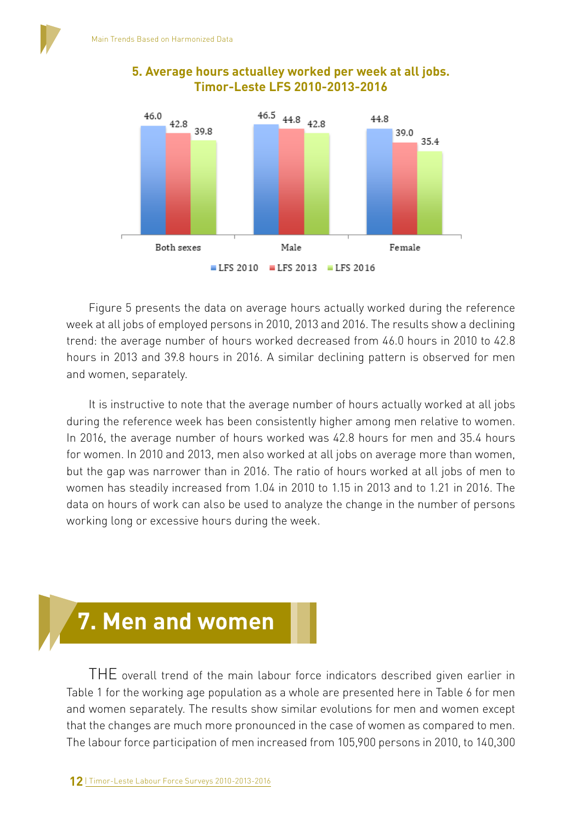

#### **5. Average hours actualley worked per week at all jobs. Timor-Leste LFS 2010-2013-2016**

Figure 5 presents the data on average hours actually worked during the reference week at all jobs of employed persons in 2010, 2013 and 2016. The results show a declining trend: the average number of hours worked decreased from 46.0 hours in 2010 to 42.8 hours in 2013 and 39.8 hours in 2016. A similar declining pattern is observed for men and women, separately.

It is instructive to note that the average number of hours actually worked at all jobs during the reference week has been consistently higher among men relative to women. In 2016, the average number of hours worked was 42.8 hours for men and 35.4 hours for women. In 2010 and 2013, men also worked at all jobs on average more than women, but the gap was narrower than in 2016. The ratio of hours worked at all jobs of men to women has steadily increased from 1.04 in 2010 to 1.15 in 2013 and to 1.21 in 2016. The data on hours of work can also be used to analyze the change in the number of persons working long or excessive hours during the week.

### **7. Men and women**

THE overall trend of the main labour force indicators described given earlier in Table 1 for the working age population as a whole are presented here in Table 6 for men and women separately. The results show similar evolutions for men and women except that the changes are much more pronounced in the case of women as compared to men. The labour force participation of men increased from 105,900 persons in 2010, to 140,300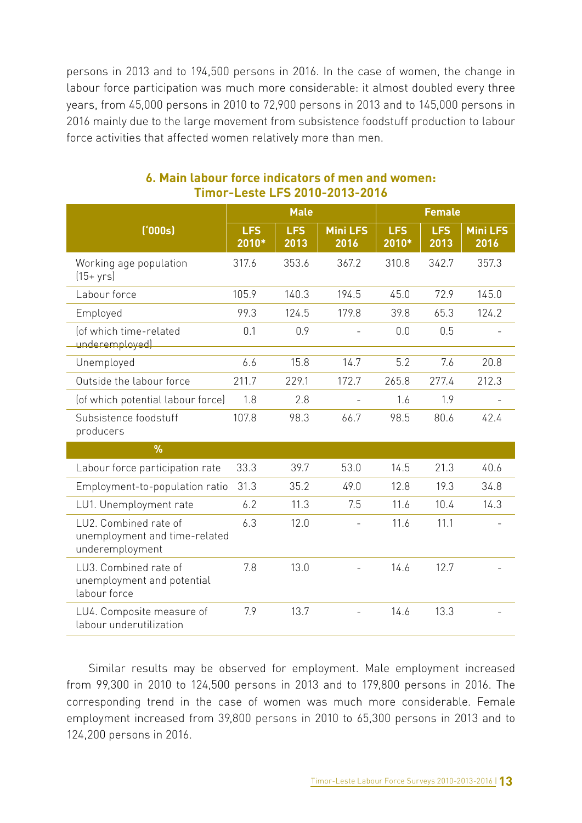persons in 2013 and to 194,500 persons in 2016. In the case of women, the change in labour force participation was much more considerable: it almost doubled every three years, from 45,000 persons in 2010 to 72,900 persons in 2013 and to 145,000 persons in 2016 mainly due to the large movement from subsistence foodstuff production to labour force activities that affected women relatively more than men.

|                                                                           | <b>Male</b>         |                    |                          |                       | <b>Female</b>      |                         |
|---------------------------------------------------------------------------|---------------------|--------------------|--------------------------|-----------------------|--------------------|-------------------------|
| (1000s)                                                                   | <b>LFS</b><br>2010* | <b>LFS</b><br>2013 | Mini LFS<br>2016         | <b>LFS</b><br>$2010*$ | <b>LFS</b><br>2013 | <b>Mini LFS</b><br>2016 |
| Working age population<br>$(15 + yrs)$                                    | 317.6               | 353.6              | 367.2                    | 310.8                 | 342.7              | 357.3                   |
| Labour force                                                              | 105.9               | 140.3              | 194.5                    | 45.0                  | 72.9               | 145.0                   |
| Employed                                                                  | 99.3                | 124.5              | 179.8                    | 39.8                  | 65.3               | 124.2                   |
| lof which time-related<br>underemployed)                                  | 0.1                 | 0.9                | $\overline{\phantom{0}}$ | 0.0                   | 0.5                |                         |
| Unemployed                                                                | 6.6                 | 15.8               | 14.7                     | 5.2                   | 7.6                | 20.8                    |
| Outside the labour force                                                  | 211.7               | 229.1              | 172.7                    | 265.8                 | 277.4              | 212.3                   |
| (of which potential labour force)                                         | 1.8                 | 2.8                |                          | 1.6                   | 1.9                |                         |
| Subsistence foodstuff<br>producers                                        | 107.8               | 98.3               | 66.7                     | 98.5                  | 80.6               | 42.4                    |
| $\frac{9}{6}$                                                             |                     |                    |                          |                       |                    |                         |
| Labour force participation rate                                           | 33.3                | 39.7               | 53.0                     | 14.5                  | 21.3               | 40.6                    |
| Employment-to-population ratio                                            | 31.3                | 35.2               | 49.0                     | 12.8                  | 19.3               | 34.8                    |
| LU1. Unemployment rate                                                    | 6.2                 | 11.3               | 7.5                      | 11.6                  | 10.4               | 14.3                    |
| LU2. Combined rate of<br>unemployment and time-related<br>underemployment | 6.3                 | 12.0               |                          | 11.6                  | 11.1               |                         |
| LU3. Combined rate of<br>unemployment and potential<br>labour force       | 7.8                 | 13.0               |                          | 14.6                  | 12.7               |                         |
| LU4. Composite measure of<br>labour underutilization                      | 7.9                 | 13.7               |                          | 14.6                  | 13.3               |                         |

#### **6. Main labour force indicators of men and women: Timor-Leste LFS 2010-2013-2016**

Similar results may be observed for employment. Male employment increased from 99,300 in 2010 to 124,500 persons in 2013 and to 179,800 persons in 2016. The corresponding trend in the case of women was much more considerable. Female employment increased from 39,800 persons in 2010 to 65,300 persons in 2013 and to 124,200 persons in 2016.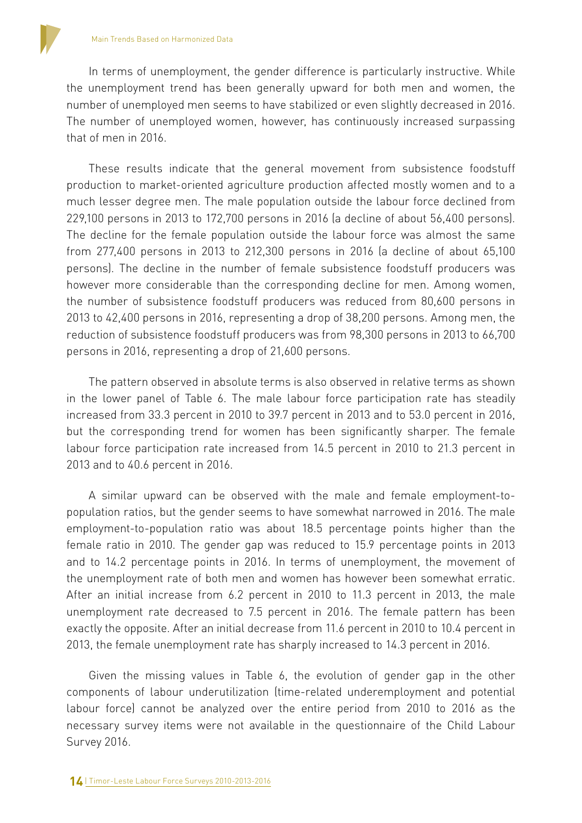

In terms of unemployment, the gender difference is particularly instructive. While the unemployment trend has been generally upward for both men and women, the number of unemployed men seems to have stabilized or even slightly decreased in 2016. The number of unemployed women, however, has continuously increased surpassing that of men in 2016.

These results indicate that the general movement from subsistence foodstuff production to market-oriented agriculture production affected mostly women and to a much lesser degree men. The male population outside the labour force declined from 229,100 persons in 2013 to 172,700 persons in 2016 (a decline of about 56,400 persons). The decline for the female population outside the labour force was almost the same from 277,400 persons in 2013 to 212,300 persons in 2016 (a decline of about 65,100 persons). The decline in the number of female subsistence foodstuff producers was however more considerable than the corresponding decline for men. Among women, the number of subsistence foodstuff producers was reduced from 80,600 persons in 2013 to 42,400 persons in 2016, representing a drop of 38,200 persons. Among men, the reduction of subsistence foodstuff producers was from 98,300 persons in 2013 to 66,700 persons in 2016, representing a drop of 21,600 persons.

The pattern observed in absolute terms is also observed in relative terms as shown in the lower panel of Table 6. The male labour force participation rate has steadily increased from 33.3 percent in 2010 to 39.7 percent in 2013 and to 53.0 percent in 2016, but the corresponding trend for women has been significantly sharper. The female labour force participation rate increased from 14.5 percent in 2010 to 21.3 percent in 2013 and to 40.6 percent in 2016.

A similar upward can be observed with the male and female employment-topopulation ratios, but the gender seems to have somewhat narrowed in 2016. The male employment-to-population ratio was about 18.5 percentage points higher than the female ratio in 2010. The gender gap was reduced to 15.9 percentage points in 2013 and to 14.2 percentage points in 2016. In terms of unemployment, the movement of the unemployment rate of both men and women has however been somewhat erratic. After an initial increase from 6.2 percent in 2010 to 11.3 percent in 2013, the male unemployment rate decreased to 7.5 percent in 2016. The female pattern has been exactly the opposite. After an initial decrease from 11.6 percent in 2010 to 10.4 percent in 2013, the female unemployment rate has sharply increased to 14.3 percent in 2016.

Given the missing values in Table 6, the evolution of gender gap in the other components of labour underutilization (time-related underemployment and potential labour force) cannot be analyzed over the entire period from 2010 to 2016 as the necessary survey items were not available in the questionnaire of the Child Labour Survey 2016.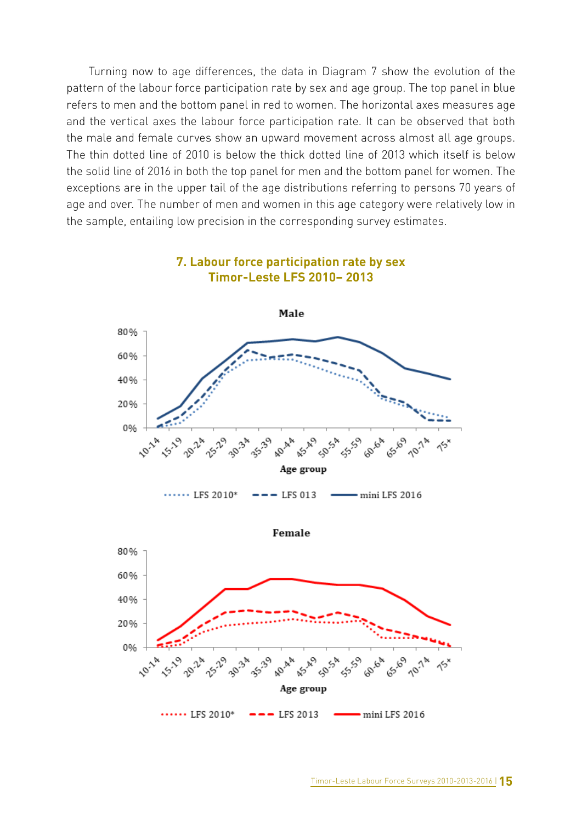Turning now to age differences, the data in Diagram 7 show the evolution of the pattern of the labour force participation rate by sex and age group. The top panel in blue refers to men and the bottom panel in red to women. The horizontal axes measures age and the vertical axes the labour force participation rate. It can be observed that both the male and female curves show an upward movement across almost all age groups. The thin dotted line of 2010 is below the thick dotted line of 2013 which itself is below the solid line of 2016 in both the top panel for men and the bottom panel for women. The exceptions are in the upper tail of the age distributions referring to persons 70 years of age and over. The number of men and women in this age category were relatively low in the sample, entailing low precision in the corresponding survey estimates.



#### **7. Labour force participation rate by sex Timor-Leste LFS 2010– 2013**



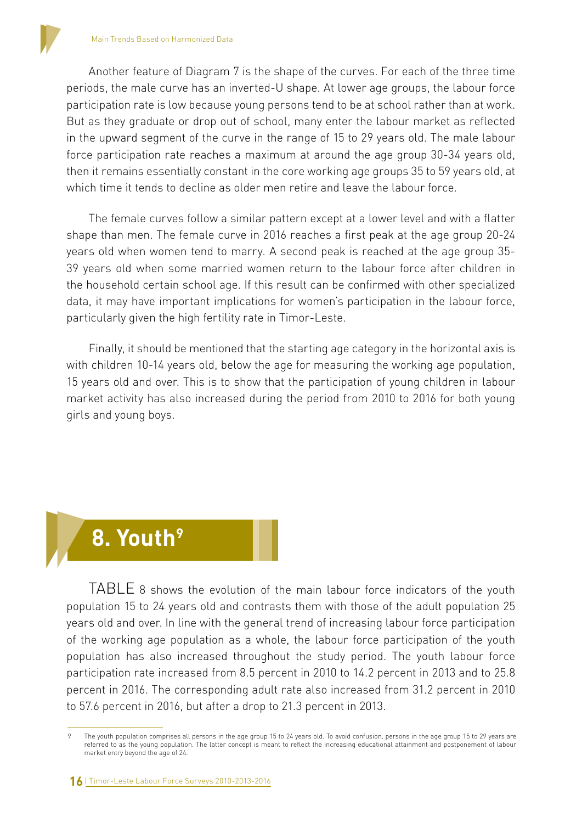

Another feature of Diagram 7 is the shape of the curves. For each of the three time periods, the male curve has an inverted-U shape. At lower age groups, the labour force participation rate is low because young persons tend to be at school rather than at work. But as they graduate or drop out of school, many enter the labour market as reflected in the upward segment of the curve in the range of 15 to 29 years old. The male labour force participation rate reaches a maximum at around the age group 30-34 years old, then it remains essentially constant in the core working age groups 35 to 59 years old, at which time it tends to decline as older men retire and leave the labour force.

The female curves follow a similar pattern except at a lower level and with a flatter shape than men. The female curve in 2016 reaches a first peak at the age group 20-24 years old when women tend to marry. A second peak is reached at the age group 35- 39 years old when some married women return to the labour force after children in the household certain school age. If this result can be confirmed with other specialized data, it may have important implications for women's participation in the labour force, particularly given the high fertility rate in Timor-Leste.

Finally, it should be mentioned that the starting age category in the horizontal axis is with children 10-14 years old, below the age for measuring the working age population, 15 years old and over. This is to show that the participation of young children in labour market activity has also increased during the period from 2010 to 2016 for both young girls and young boys.

# 8. Youth<sup>9</sup>

TABLE 8 shows the evolution of the main labour force indicators of the youth population 15 to 24 years old and contrasts them with those of the adult population 25 years old and over. In line with the general trend of increasing labour force participation of the working age population as a whole, the labour force participation of the youth population has also increased throughout the study period. The youth labour force participation rate increased from 8.5 percent in 2010 to 14.2 percent in 2013 and to 25.8 percent in 2016. The corresponding adult rate also increased from 31.2 percent in 2010 to 57.6 percent in 2016, but after a drop to 21.3 percent in 2013.

<sup>9</sup> The youth population comprises all persons in the age group 15 to 24 years old. To avoid confusion, persons in the age group 15 to 29 years are referred to as the young population. The latter concept is meant to reflect the increasing educational attainment and postponement of labour market entry beyond the age of 24.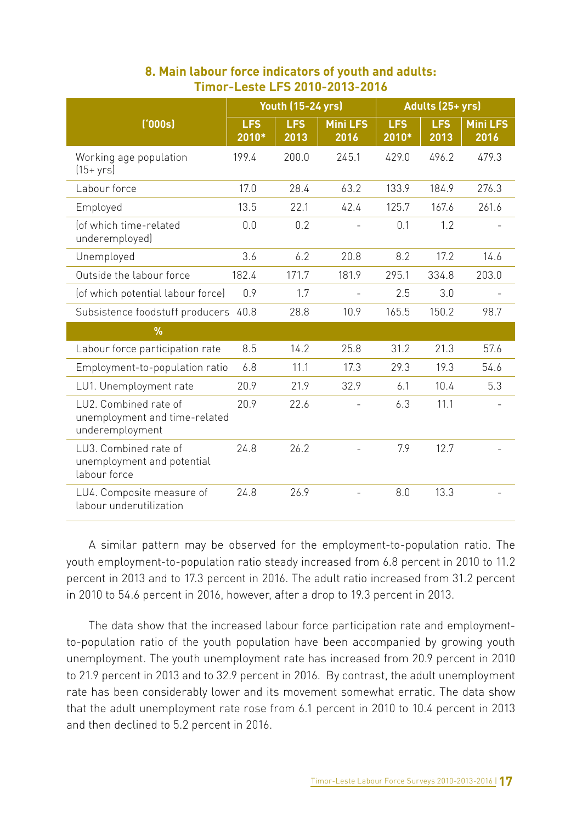|                                                                           |                     | <b>Youth (15-24 yrs)</b> |                         | Adults (25+ yrs)    |                    |                         |
|---------------------------------------------------------------------------|---------------------|--------------------------|-------------------------|---------------------|--------------------|-------------------------|
| (1000s)                                                                   | <b>LFS</b><br>2010* | <b>LFS</b><br>2013       | <b>Mini LFS</b><br>2016 | <b>LFS</b><br>2010* | <b>LFS</b><br>2013 | <b>Mini LFS</b><br>2016 |
| Working age population<br>$(15 + yrs)$                                    | 199.4               | 200.0                    | 245.1                   | 429.0               | 496.2              | 479.3                   |
| Labour force                                                              | 17.0                | 28.4                     | 63.2                    | 133.9               | 184.9              | 276.3                   |
| Employed                                                                  | 13.5                | 22.1                     | 42.4                    | 125.7               | 167.6              | 261.6                   |
| (of which time-related<br>underemployed)                                  | 0.0                 | 0.2                      |                         | 0.1                 | 1.2                |                         |
| Unemployed                                                                | 3.6                 | 6.2                      | 20.8                    | 8.2                 | 17.2               | 14.6                    |
| Outside the labour force                                                  | 182.4               | 171.7                    | 181.9                   | 295.1               | 334.8              | 203.0                   |
| (of which potential labour force)                                         | 0.9                 | 1.7                      |                         | 2.5                 | 3.0                |                         |
| Subsistence foodstuff producers                                           | 40.8                | 28.8                     | 10.9                    | 165.5               | 150.2              | 98.7                    |
| $\frac{9}{6}$                                                             |                     |                          |                         |                     |                    |                         |
| Labour force participation rate                                           | 8.5                 | 14.2                     | 25.8                    | 31.2                | 21.3               | 57.6                    |
| Employment-to-population ratio                                            | 6.8                 | 11.1                     | 17.3                    | 29.3                | 19.3               | 54.6                    |
| LU1. Unemployment rate                                                    | 20.9                | 21.9                     | 32.9                    | 6.1                 | 10.4               | 5.3                     |
| LU2. Combined rate of<br>unemployment and time-related<br>underemployment | 20.9                | 22.6                     |                         | 6.3                 | 11.1               |                         |
| LU3. Combined rate of<br>unemployment and potential<br>labour force       | 24.8                | 26.2                     |                         | 7.9                 | 12.7               |                         |
| LU4. Composite measure of<br>labour underutilization                      | 24.8                | 26.9                     |                         | 8.0                 | 13.3               |                         |

#### **8. Main labour force indicators of youth and adults: Timor-Leste LFS 2010-2013-2016**

A similar pattern may be observed for the employment-to-population ratio. The youth employment-to-population ratio steady increased from 6.8 percent in 2010 to 11.2 percent in 2013 and to 17.3 percent in 2016. The adult ratio increased from 31.2 percent in 2010 to 54.6 percent in 2016, however, after a drop to 19.3 percent in 2013.

The data show that the increased labour force participation rate and employmentto-population ratio of the youth population have been accompanied by growing youth unemployment. The youth unemployment rate has increased from 20.9 percent in 2010 to 21.9 percent in 2013 and to 32.9 percent in 2016. By contrast, the adult unemployment rate has been considerably lower and its movement somewhat erratic. The data show that the adult unemployment rate rose from 6.1 percent in 2010 to 10.4 percent in 2013 and then declined to 5.2 percent in 2016.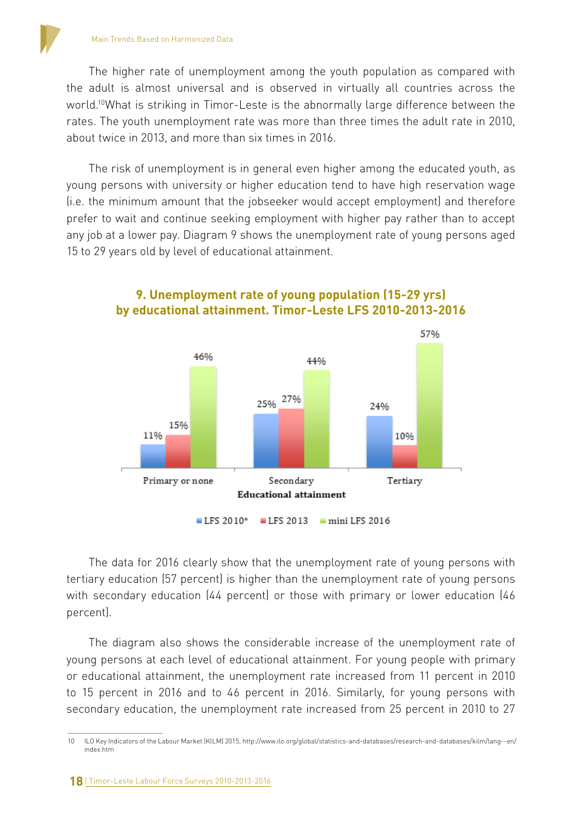

The higher rate of unemployment among the youth population as compared with the adult is almost universal and is observed in virtually all countries across the world.10What is striking in Timor-Leste is the abnormally large difference between the rates. The youth unemployment rate was more than three times the adult rate in 2010, about twice in 2013, and more than six times in 2016.

The risk of unemployment is in general even higher among the educated youth, as young persons with university or higher education tend to have high reservation wage (i.e. the minimum amount that the jobseeker would accept employment) and therefore prefer to wait and continue seeking employment with higher pay rather than to accept any job at a lower pay. Diagram 9 shows the unemployment rate of young persons aged 15 to 29 years old by level of educational attainment.



#### **9. Unemployment rate of young population (15-29 yrs) by educational attainment. Timor-Leste LFS 2010-2013-2016**

The data for 2016 clearly show that the unemployment rate of young persons with tertiary education (57 percent) is higher than the unemployment rate of young persons with secondary education (44 percent) or those with primary or lower education (46 percent).

The diagram also shows the considerable increase of the unemployment rate of young persons at each level of educational attainment. For young people with primary or educational attainment, the unemployment rate increased from 11 percent in 2010 to 15 percent in 2016 and to 46 percent in 2016. Similarly, for young persons with secondary education, the unemployment rate increased from 25 percent in 2010 to 27

<sup>10</sup> ILO Key Indicators of the Labour Market (KILM) 2015, http://www.ilo.org/global/statistics-and-databases/research-and-databases/kilm/lang--en/ index.htm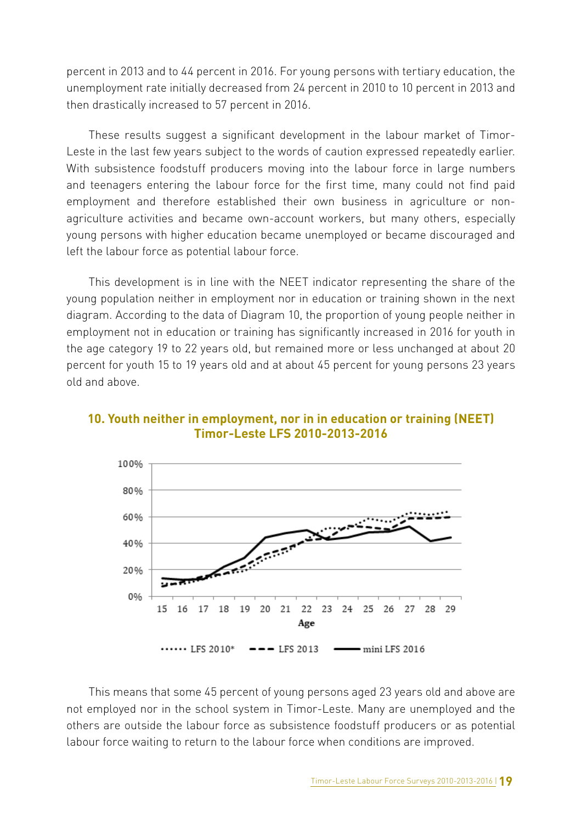percent in 2013 and to 44 percent in 2016. For young persons with tertiary education, the unemployment rate initially decreased from 24 percent in 2010 to 10 percent in 2013 and then drastically increased to 57 percent in 2016.

These results suggest a significant development in the labour market of Timor-Leste in the last few years subject to the words of caution expressed repeatedly earlier. With subsistence foodstuff producers moving into the labour force in large numbers and teenagers entering the labour force for the first time, many could not find paid employment and therefore established their own business in agriculture or nonagriculture activities and became own-account workers, but many others, especially young persons with higher education became unemployed or became discouraged and left the labour force as potential labour force.

This development is in line with the NEET indicator representing the share of the young population neither in employment nor in education or training shown in the next diagram. According to the data of Diagram 10, the proportion of young people neither in employment not in education or training has significantly increased in 2016 for youth in the age category 19 to 22 years old, but remained more or less unchanged at about 20 percent for youth 15 to 19 years old and at about 45 percent for young persons 23 years old and above.



#### **10. Youth neither in employment, nor in in education or training (NEET) Timor-Leste LFS 2010-2013-2016**

This means that some 45 percent of young persons aged 23 years old and above are not employed nor in the school system in Timor-Leste. Many are unemployed and the others are outside the labour force as subsistence foodstuff producers or as potential labour force waiting to return to the labour force when conditions are improved.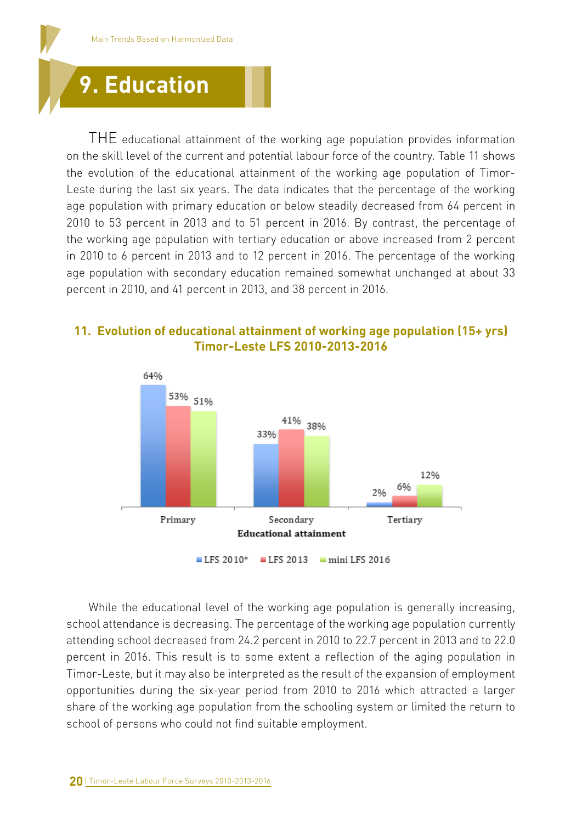### **9. Education**

THE educational attainment of the working age population provides information on the skill level of the current and potential labour force of the country. Table 11 shows the evolution of the educational attainment of the working age population of Timor-Leste during the last six years. The data indicates that the percentage of the working age population with primary education or below steadily decreased from 64 percent in 2010 to 53 percent in 2013 and to 51 percent in 2016. By contrast, the percentage of the working age population with tertiary education or above increased from 2 percent in 2010 to 6 percent in 2013 and to 12 percent in 2016. The percentage of the working age population with secondary education remained somewhat unchanged at about 33 percent in 2010, and 41 percent in 2013, and 38 percent in 2016.

#### **11. Evolution of educational attainment of working age population (15+ yrs) Timor-Leste LFS 2010-2013-2016**



While the educational level of the working age population is generally increasing, school attendance is decreasing. The percentage of the working age population currently attending school decreased from 24.2 percent in 2010 to 22.7 percent in 2013 and to 22.0 percent in 2016. This result is to some extent a reflection of the aging population in Timor-Leste, but it may also be interpreted as the result of the expansion of employment opportunities during the six-year period from 2010 to 2016 which attracted a larger share of the working age population from the schooling system or limited the return to school of persons who could not find suitable employment.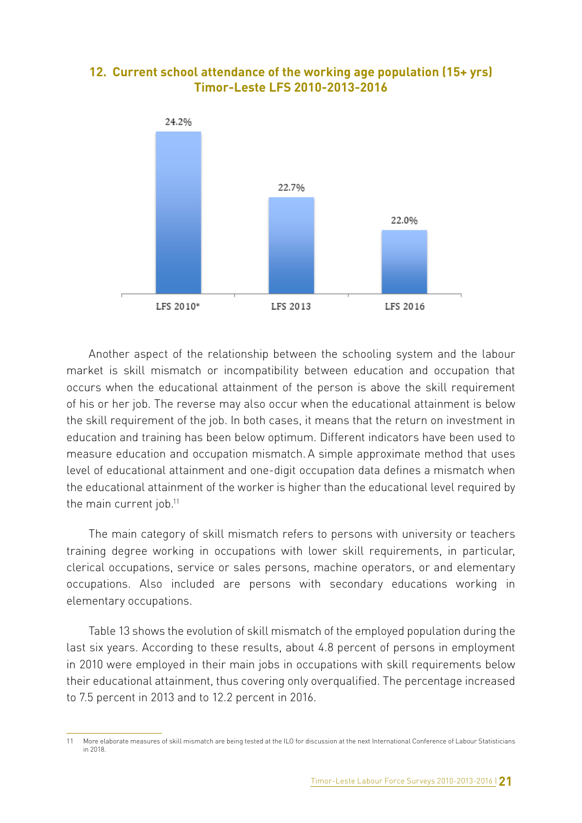#### **12. Current school attendance of the working age population (15+ yrs) Timor-Leste LFS 2010-2013-2016**



Another aspect of the relationship between the schooling system and the labour market is skill mismatch or incompatibility between education and occupation that occurs when the educational attainment of the person is above the skill requirement of his or her job. The reverse may also occur when the educational attainment is below the skill requirement of the job. In both cases, it means that the return on investment in education and training has been below optimum. Different indicators have been used to measure education and occupation mismatch. A simple approximate method that uses level of educational attainment and one-digit occupation data defines a mismatch when the educational attainment of the worker is higher than the educational level required by the main current job.<sup>11</sup>

The main category of skill mismatch refers to persons with university or teachers training degree working in occupations with lower skill requirements, in particular, clerical occupations, service or sales persons, machine operators, or and elementary occupations. Also included are persons with secondary educations working in elementary occupations.

Table 13 shows the evolution of skill mismatch of the employed population during the last six years. According to these results, about 4.8 percent of persons in employment in 2010 were employed in their main jobs in occupations with skill requirements below their educational attainment, thus covering only overqualified. The percentage increased to 7.5 percent in 2013 and to 12.2 percent in 2016.

<sup>11</sup> More elaborate measures of skill mismatch are being tested at the ILO for discussion at the next International Conference of Labour Statisticians in 2018.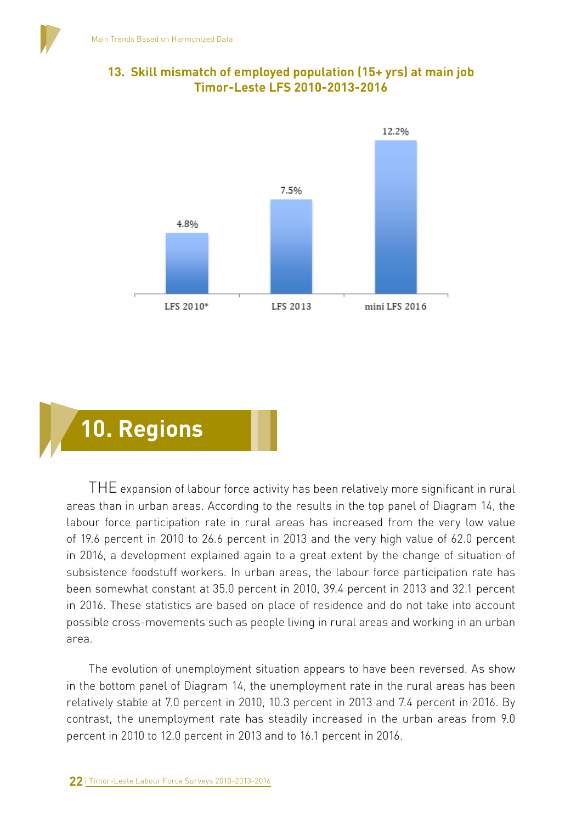

#### **13. Skill mismatch of employed population (15+ yrs) at main job Timor-Leste LFS 2010-2013-2016**



THE expansion of labour force activity has been relatively more significant in rural areas than in urban areas. According to the results in the top panel of Diagram 14, the labour force participation rate in rural areas has increased from the very low value of 19.6 percent in 2010 to 26.6 percent in 2013 and the very high value of 62.0 percent in 2016, a development explained again to a great extent by the change of situation of subsistence foodstuff workers. In urban areas, the labour force participation rate has been somewhat constant at 35.0 percent in 2010, 39.4 percent in 2013 and 32.1 percent in 2016. These statistics are based on place of residence and do not take into account possible cross-movements such as people living in rural areas and working in an urban area.

The evolution of unemployment situation appears to have been reversed. As show in the bottom panel of Diagram 14, the unemployment rate in the rural areas has been relatively stable at 7.0 percent in 2010, 10.3 percent in 2013 and 7.4 percent in 2016. By contrast, the unemployment rate has steadily increased in the urban areas from 9.0 percent in 2010 to 12.0 percent in 2013 and to 16.1 percent in 2016.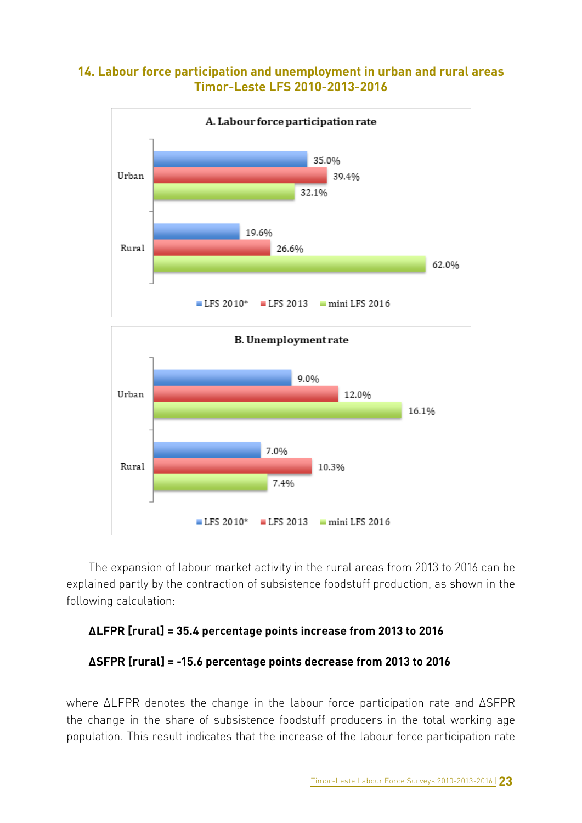#### **14. Labour force participation and unemployment in urban and rural areas Timor-Leste LFS 2010-2013-2016**





The expansion of labour market activity in the rural areas from 2013 to 2016 can be explained partly by the contraction of subsistence foodstuff production, as shown in the following calculation:

#### **∆LFPR [rural] = 35.4 percentage points increase from 2013 to 2016**

#### **∆SFPR [rural] = -15.6 percentage points decrease from 2013 to 2016**

where ∆LFPR denotes the change in the labour force participation rate and ∆SFPR the change in the share of subsistence foodstuff producers in the total working age population. This result indicates that the increase of the labour force participation rate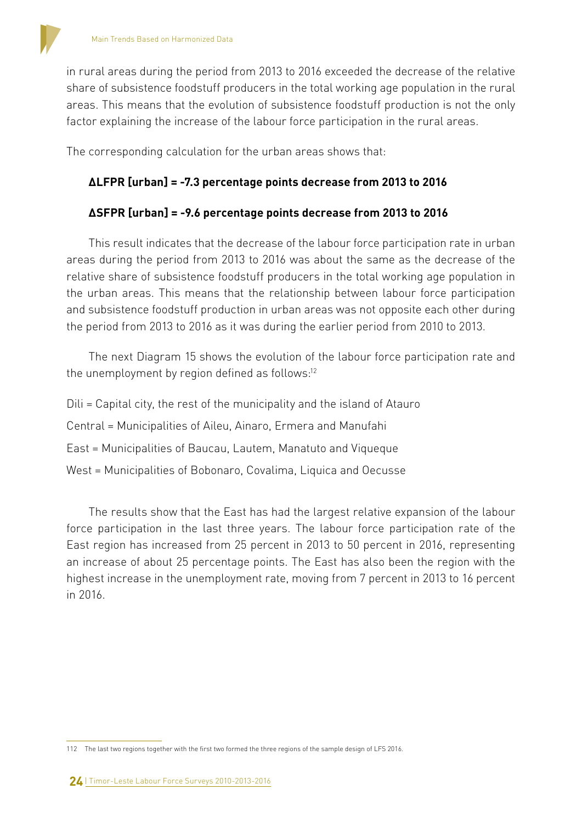

in rural areas during the period from 2013 to 2016 exceeded the decrease of the relative share of subsistence foodstuff producers in the total working age population in the rural areas. This means that the evolution of subsistence foodstuff production is not the only factor explaining the increase of the labour force participation in the rural areas.

The corresponding calculation for the urban areas shows that:

#### **∆LFPR [urban] = -7.3 percentage points decrease from 2013 to 2016**

#### **∆SFPR [urban] = -9.6 percentage points decrease from 2013 to 2016**

This result indicates that the decrease of the labour force participation rate in urban areas during the period from 2013 to 2016 was about the same as the decrease of the relative share of subsistence foodstuff producers in the total working age population in the urban areas. This means that the relationship between labour force participation and subsistence foodstuff production in urban areas was not opposite each other during the period from 2013 to 2016 as it was during the earlier period from 2010 to 2013.

The next Diagram 15 shows the evolution of the labour force participation rate and the unemployment by region defined as follows:<sup>12</sup>

Dili = Capital city, the rest of the municipality and the island of Atauro Central = Municipalities of Aileu, Ainaro, Ermera and Manufahi East = Municipalities of Baucau, Lautem, Manatuto and Viqueque West = Municipalities of Bobonaro, Covalima, Liquica and Oecusse

The results show that the East has had the largest relative expansion of the labour force participation in the last three years. The labour force participation rate of the East region has increased from 25 percent in 2013 to 50 percent in 2016, representing an increase of about 25 percentage points. The East has also been the region with the highest increase in the unemployment rate, moving from 7 percent in 2013 to 16 percent in 2016.

<sup>112</sup> The last two regions together with the first two formed the three regions of the sample design of LFS 2016.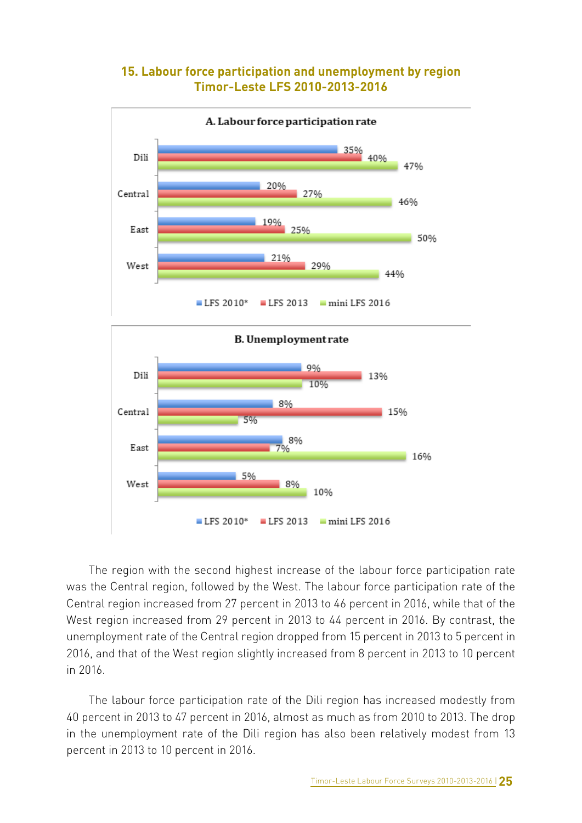#### **15. Labour force participation and unemployment by region Timor-Leste LFS 2010-2013-2016**



The region with the second highest increase of the labour force participation rate was the Central region, followed by the West. The labour force participation rate of the Central region increased from 27 percent in 2013 to 46 percent in 2016, while that of the West region increased from 29 percent in 2013 to 44 percent in 2016. By contrast, the unemployment rate of the Central region dropped from 15 percent in 2013 to 5 percent in 2016, and that of the West region slightly increased from 8 percent in 2013 to 10 percent in 2016.

The labour force participation rate of the Dili region has increased modestly from 40 percent in 2013 to 47 percent in 2016, almost as much as from 2010 to 2013. The drop in the unemployment rate of the Dili region has also been relatively modest from 13 percent in 2013 to 10 percent in 2016.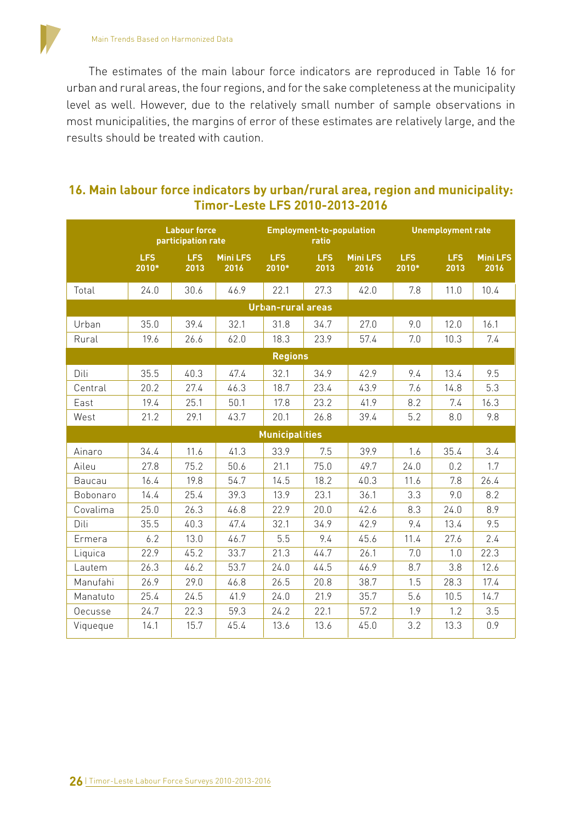

The estimates of the main labour force indicators are reproduced in Table 16 for urban and rural areas, the four regions, and for the sake completeness at the municipality level as well. However, due to the relatively small number of sample observations in most municipalities, the margins of error of these estimates are relatively large, and the results should be treated with caution.

#### **16. Main labour force indicators by urban/rural area, region and municipality: Timor-Leste LFS 2010-2013-2016**

|          |                     | <b>Labour force</b><br>participation rate |                         |                          | <b>Employment-to-population</b><br>ratio |                         |                     | <b>Unemployment rate</b> |                         |
|----------|---------------------|-------------------------------------------|-------------------------|--------------------------|------------------------------------------|-------------------------|---------------------|--------------------------|-------------------------|
|          | <b>LFS</b><br>2010* | <b>LFS</b><br>2013                        | <b>Mini LFS</b><br>2016 | <b>LFS</b><br>2010*      | <b>LFS</b><br>2013                       | <b>Mini LFS</b><br>2016 | <b>LFS</b><br>2010* | <b>LFS</b><br>2013       | <b>Mini LFS</b><br>2016 |
| Total    | 24.0                | 30.6                                      | 46.9                    | 22.1                     | 27.3                                     | 42.0                    | 7.8                 | 11.0                     | 10.4                    |
|          |                     |                                           |                         | <b>Urban-rural areas</b> |                                          |                         |                     |                          |                         |
| Urban    | 35.0                | 39.4                                      | 32.1                    | 31.8                     | 34.7                                     | 27.0                    | 9.0                 | 12.0                     | 16.1                    |
| Rural    | 19.6                | 26.6                                      | 62.0                    | 18.3                     | 23.9                                     | 57.4                    | 7.0                 | 10.3                     | 7.4                     |
|          |                     |                                           |                         | <b>Regions</b>           |                                          |                         |                     |                          |                         |
| Dili     | 35.5                | 40.3                                      | 47.4                    | 32.1                     | 34.9                                     | 42.9                    | 9.4                 | 13.4                     | 9.5                     |
| Central  | 20.2                | 27.4                                      | 46.3                    | 18.7                     | 23.4                                     | 43.9                    | 7.6                 | 14.8                     | 5.3                     |
| East     | 19.4                | 25.1                                      | 50.1                    | 17.8                     | 23.2                                     | 41.9                    | 8.2                 | 7.4                      | 16.3                    |
| West     | 21.2                | 29.1                                      | 43.7                    | 20.1                     | 26.8                                     | 39.4                    | 5.2                 | 8.0                      | 9.8                     |
|          |                     |                                           |                         | <b>Municipalities</b>    |                                          |                         |                     |                          |                         |
| Ainaro   | 34.4                | 11.6                                      | 41.3                    | 33.9                     | 7.5                                      | 39.9                    | 1.6                 | 35.4                     | 3.4                     |
| Aileu    | 27.8                | 75.2                                      | 50.6                    | 21.1                     | 75.0                                     | 49.7                    | 24.0                | 0.2                      | 1.7                     |
| Baucau   | 16.4                | 19.8                                      | 54.7                    | 14.5                     | 18.2                                     | 40.3                    | 11.6                | 7.8                      | 26.4                    |
| Bobonaro | 14.4                | 25.4                                      | 39.3                    | 13.9                     | 23.1                                     | 36.1                    | 3.3                 | 9.0                      | 8.2                     |
| Covalima | 25.0                | 26.3                                      | 46.8                    | 22.9                     | 20.0                                     | 42.6                    | 8.3                 | 24.0                     | 8.9                     |
| Dili     | 35.5                | 40.3                                      | 47.4                    | 32.1                     | 34.9                                     | 42.9                    | 9.4                 | 13.4                     | 9.5                     |
| Ermera   | 6.2                 | 13.0                                      | 46.7                    | 5.5                      | 9.4                                      | 45.6                    | 11.4                | 27.6                     | 2.4                     |
| Liquica  | 22.9                | 45.2                                      | 33.7                    | 21.3                     | 44.7                                     | 26.1                    | 7.0                 | 1.0                      | 22.3                    |
| Lautem   | 26.3                | 46.2                                      | 53.7                    | 24.0                     | 44.5                                     | 46.9                    | 8.7                 | 3.8                      | 12.6                    |
| Manufahi | 26.9                | 29.0                                      | 46.8                    | 26.5                     | 20.8                                     | 38.7                    | 1.5                 | 28.3                     | 17.4                    |
| Manatuto | 25.4                | 24.5                                      | 41.9                    | 24.0                     | 21.9                                     | 35.7                    | 5.6                 | 10.5                     | 14.7                    |
| Oecusse  | 24.7                | 22.3                                      | 59.3                    | 24.2                     | 22.1                                     | 57.2                    | 1.9                 | 1.2                      | 3.5                     |
| Viqueque | 14.1                | 15.7                                      | 45.4                    | 13.6                     | 13.6                                     | 45.0                    | 3.2                 | 13.3                     | 0.9                     |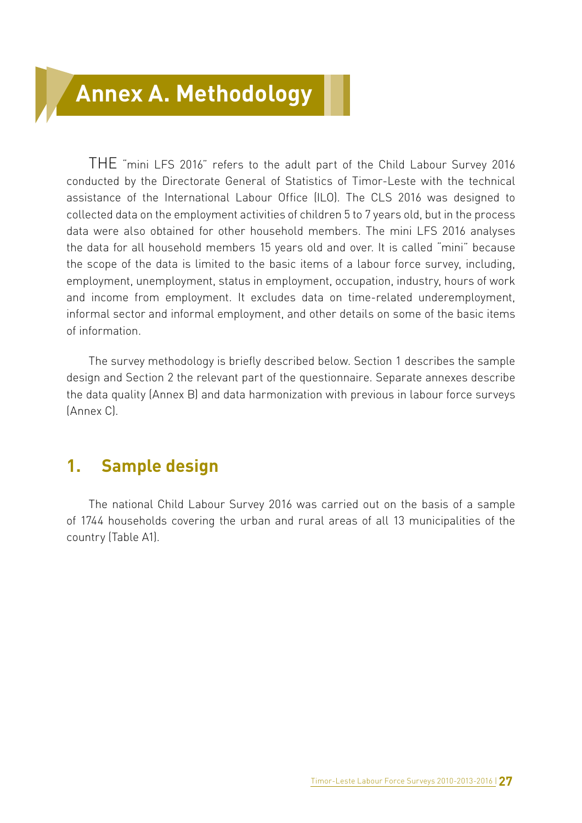# **Annex A. Methodology**

THE "mini LFS 2016" refers to the adult part of the Child Labour Survey 2016 conducted by the Directorate General of Statistics of Timor-Leste with the technical assistance of the International Labour Office (ILO). The CLS 2016 was designed to collected data on the employment activities of children 5 to 7 years old, but in the process data were also obtained for other household members. The mini LFS 2016 analyses the data for all household members 15 years old and over. It is called "mini" because the scope of the data is limited to the basic items of a labour force survey, including, employment, unemployment, status in employment, occupation, industry, hours of work and income from employment. It excludes data on time-related underemployment, informal sector and informal employment, and other details on some of the basic items of information.

The survey methodology is briefly described below. Section 1 describes the sample design and Section 2 the relevant part of the questionnaire. Separate annexes describe the data quality (Annex B) and data harmonization with previous in labour force surveys (Annex C).

#### **1. Sample design**

The national Child Labour Survey 2016 was carried out on the basis of a sample of 1744 households covering the urban and rural areas of all 13 municipalities of the country (Table A1).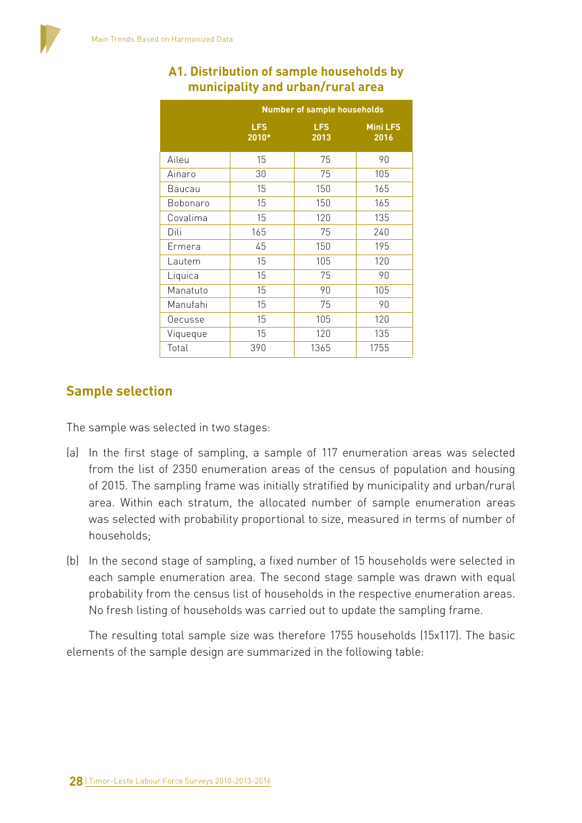|          | <b>Number of sample households</b> |                    |                         |  |  |
|----------|------------------------------------|--------------------|-------------------------|--|--|
|          | <b>LFS</b><br>2010*                | <b>LFS</b><br>2013 | <b>Mini LFS</b><br>2016 |  |  |
| Aileu    | 15                                 | 75                 | 90                      |  |  |
| Ainaro   | 30                                 | 75                 | 105                     |  |  |
| Baucau   | 15                                 | 150                | 165                     |  |  |
| Bobonaro | 15                                 | 150                | 165                     |  |  |
| Covalima | 15                                 | 120                | 135                     |  |  |
| Dili     | 165                                | 75                 | 240                     |  |  |
| Ermera   | 45                                 | 150                | 195                     |  |  |
| Lautem   | 15                                 | 105                | 120                     |  |  |
| Liquica  | 15                                 | 75                 | 90                      |  |  |
| Manatuto | 15                                 | 90                 | 105                     |  |  |
| Manufahi | 15                                 | 75                 | 90                      |  |  |
| Oecusse  | 15                                 | 105                | 120                     |  |  |
| Viqueque | 15                                 | 120                | 135                     |  |  |
| Total    | 390                                | 1365               | 1755                    |  |  |

#### **A1. Distribution of sample households by municipality and urban/rural area**

#### **Sample selection**

The sample was selected in two stages:

- (a) In the first stage of sampling, a sample of 117 enumeration areas was selected from the list of 2350 enumeration areas of the census of population and housing of 2015. The sampling frame was initially stratified by municipality and urban/rural area. Within each stratum, the allocated number of sample enumeration areas was selected with probability proportional to size, measured in terms of number of households;
- (b) In the second stage of sampling, a fixed number of 15 households were selected in each sample enumeration area. The second stage sample was drawn with equal probability from the census list of households in the respective enumeration areas. No fresh listing of households was carried out to update the sampling frame.

The resulting total sample size was therefore 1755 households (15x117). The basic elements of the sample design are summarized in the following table: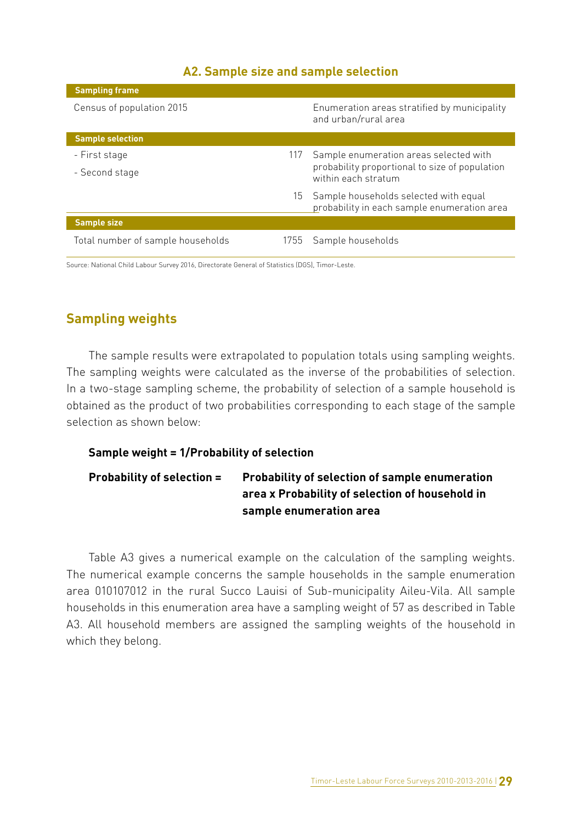#### **A2. Sample size and sample selection**

| <b>Sampling frame</b>             |      |                                                                                                                 |
|-----------------------------------|------|-----------------------------------------------------------------------------------------------------------------|
| Census of population 2015         |      | Enumeration areas stratified by municipality<br>and urban/rural area                                            |
| <b>Sample selection</b>           |      |                                                                                                                 |
| - First stage<br>- Second stage   | 117  | Sample enumeration areas selected with<br>probability proportional to size of population<br>within each stratum |
|                                   | 15.  | Sample households selected with equal<br>probability in each sample enumeration area                            |
| <b>Sample size</b>                |      |                                                                                                                 |
| Total number of sample households | 1755 | Sample households                                                                                               |

Source: National Child Labour Survey 2016, Directorate General of Statistics (DGS), Timor-Leste.

#### **Sampling weights**

The sample results were extrapolated to population totals using sampling weights. The sampling weights were calculated as the inverse of the probabilities of selection. In a two-stage sampling scheme, the probability of selection of a sample household is obtained as the product of two probabilities corresponding to each stage of the sample selection as shown below:

#### **Sample weight = 1/Probability of selection**

**Probability of selection = Probability of selection of sample enumeration area x Probability of selection of household in sample enumeration area**

Table A3 gives a numerical example on the calculation of the sampling weights. The numerical example concerns the sample households in the sample enumeration area 010107012 in the rural Succo Lauisi of Sub-municipality Aileu-Vila. All sample households in this enumeration area have a sampling weight of 57 as described in Table A3. All household members are assigned the sampling weights of the household in which they belong.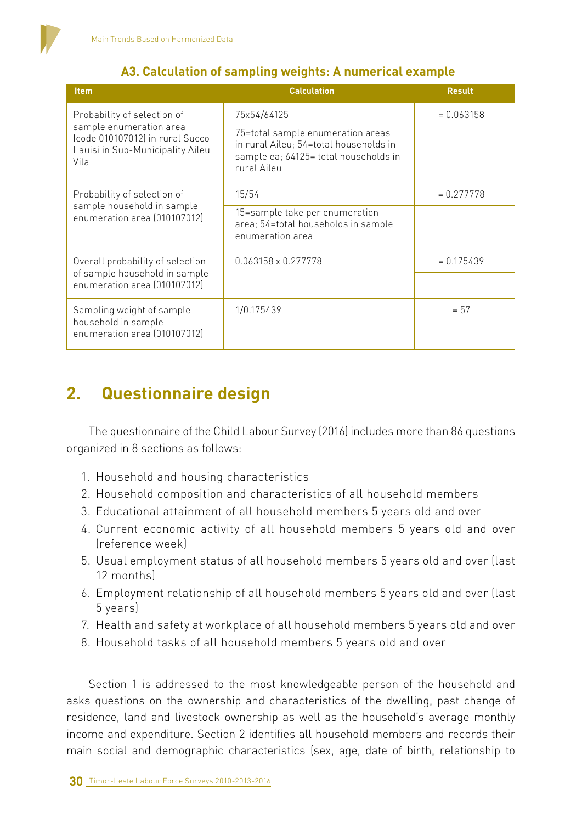

| <b>Item</b>                                                                                            | <b>Calculation</b>                                                                                                                  | <b>Result</b> |
|--------------------------------------------------------------------------------------------------------|-------------------------------------------------------------------------------------------------------------------------------------|---------------|
| Probability of selection of                                                                            | 75x54/64125                                                                                                                         | $= 0.063158$  |
| sample enumeration area<br>(code 010107012) in rural Succo<br>Lauisi in Sub-Municipality Aileu<br>Vila | 75=total sample enumeration areas<br>in rural Aileu; 54=total households in<br>sample ea; 64125= total households in<br>rural Aileu |               |
| Probability of selection of                                                                            | 15/54                                                                                                                               | $= 0.277778$  |
| sample household in sample<br>enumeration area (010107012)                                             | 15=sample take per enumeration<br>area; 54=total households in sample<br>enumeration area                                           |               |
| Overall probability of selection<br>of sample household in sample                                      | 0.063158 x 0.277778                                                                                                                 | $= 0.175439$  |
| enumeration area (010107012)                                                                           |                                                                                                                                     |               |
| Sampling weight of sample<br>household in sample<br>enumeration area (010107012)                       | 1/0.175439                                                                                                                          | $= 57$        |

#### **A3. Calculation of sampling weights: A numerical example**

#### **2. Questionnaire design**

The questionnaire of the Child Labour Survey (2016) includes more than 86 questions organized in 8 sections as follows:

- 1. Household and housing characteristics
- 2. Household composition and characteristics of all household members
- 3. Educational attainment of all household members 5 years old and over
- 4. Current economic activity of all household members 5 years old and over (reference week)
- 5. Usual employment status of all household members 5 years old and over (last 12 months)
- 6. Employment relationship of all household members 5 years old and over (last 5 years)
- 7. Health and safety at workplace of all household members 5 years old and over
- 8. Household tasks of all household members 5 years old and over

Section 1 is addressed to the most knowledgeable person of the household and asks questions on the ownership and characteristics of the dwelling, past change of residence, land and livestock ownership as well as the household's average monthly income and expenditure. Section 2 identifies all household members and records their main social and demographic characteristics (sex, age, date of birth, relationship to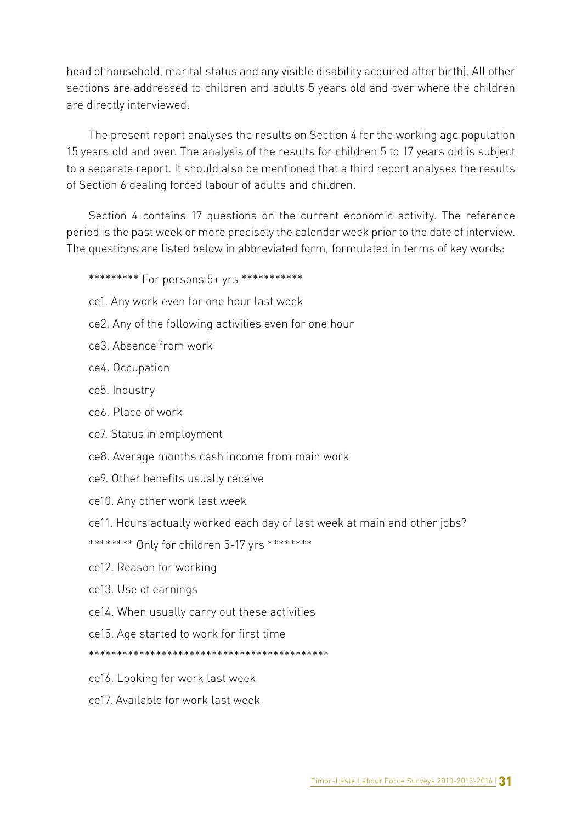head of household, marital status and any visible disability acquired after birth). All other sections are addressed to children and adults 5 years old and over where the children are directly interviewed.

The present report analyses the results on Section 4 for the working age population 15 years old and over. The analysis of the results for children 5 to 17 years old is subject to a separate report. It should also be mentioned that a third report analyses the results of Section 6 dealing forced labour of adults and children.

Section 4 contains 17 questions on the current economic activity. The reference period is the past week or more precisely the calendar week prior to the date of interview. The questions are listed below in abbreviated form, formulated in terms of key words:

\*\*\*\*\*\*\*\*\* For persons 5+ yrs \*\*\*\*\*\*\*\*\*\*\*

- ce1. Any work even for one hour last week
- ce2. Any of the following activities even for one hour
- ce3. Absence from work
- ce4. Occupation
- ce5. Industry
- ce6. Place of work
- ce7. Status in employment
- ce8. Average months cash income from main work
- ce9. Other benefits usually receive
- ce10. Any other work last week
- ce11. Hours actually worked each day of last week at main and other jobs?
- \*\*\*\*\*\*\*\* Only for children 5-17 yrs \*\*\*\*\*\*\*\*
- ce12. Reason for working
- ce13. Use of earnings
- ce14. When usually carry out these activities
- ce15. Age started to work for first time
- \*\*\*\*\*\*\*\*\*\*\*\*\*\*\*\*\*\*\*\*\*\*\*\*\*\*\*\*\*\*\*\*\*\*\*\*\*\*\*\*\*\*\*
- ce16. Looking for work last week
- ce17. Available for work last week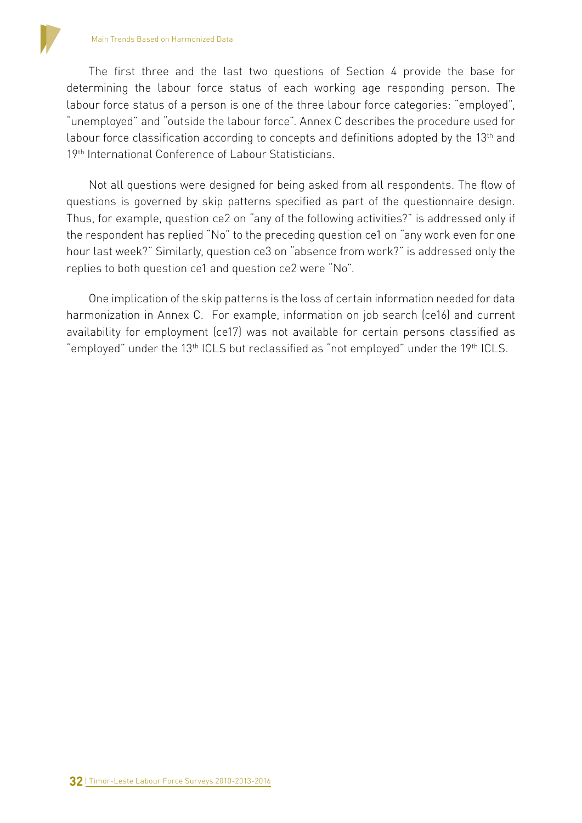

The first three and the last two questions of Section 4 provide the base for determining the labour force status of each working age responding person. The labour force status of a person is one of the three labour force categories: "employed", "unemployed" and "outside the labour force". Annex C describes the procedure used for labour force classification according to concepts and definitions adopted by the 13<sup>th</sup> and 19th International Conference of Labour Statisticians.

Not all questions were designed for being asked from all respondents. The flow of questions is governed by skip patterns specified as part of the questionnaire design. Thus, for example, question ce2 on "any of the following activities?" is addressed only if the respondent has replied "No" to the preceding question ce1 on "any work even for one hour last week?" Similarly, question ce3 on "absence from work?" is addressed only the replies to both question ce1 and question ce2 were "No".

One implication of the skip patterns is the loss of certain information needed for data harmonization in Annex C. For example, information on job search (ce16) and current availability for employment (ce17) was not available for certain persons classified as "employed" under the 13th ICLS but reclassified as "not employed" under the 19th ICLS.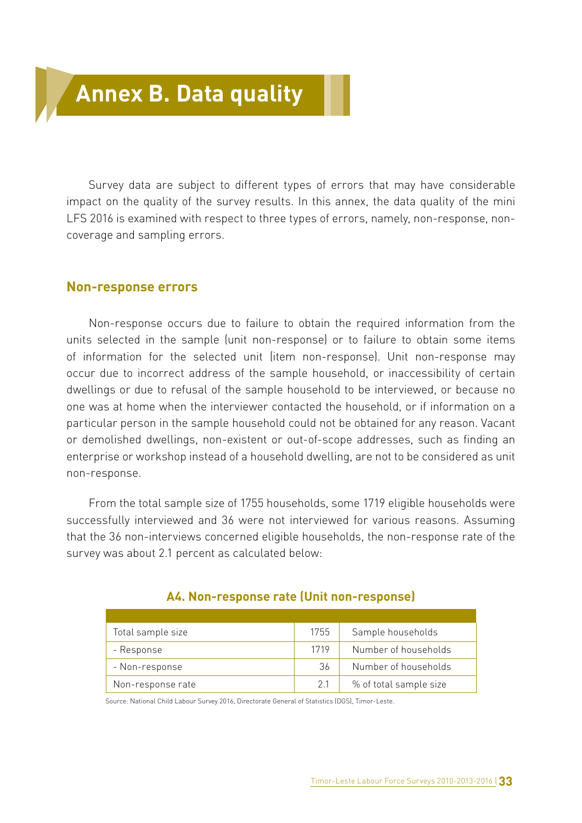## **Annex B. Data quality**

Survey data are subject to different types of errors that may have considerable impact on the quality of the survey results. In this annex, the data quality of the mini LFS 2016 is examined with respect to three types of errors, namely, non-response, noncoverage and sampling errors.

#### **Non-response errors**

Non-response occurs due to failure to obtain the required information from the units selected in the sample (unit non-response) or to failure to obtain some items of information for the selected unit (item non-response). Unit non-response may occur due to incorrect address of the sample household, or inaccessibility of certain dwellings or due to refusal of the sample household to be interviewed, or because no one was at home when the interviewer contacted the household, or if information on a particular person in the sample household could not be obtained for any reason. Vacant or demolished dwellings, non-existent or out-of-scope addresses, such as finding an enterprise or workshop instead of a household dwelling, are not to be considered as unit non-response.

From the total sample size of 1755 households, some 1719 eligible households were successfully interviewed and 36 were not interviewed for various reasons. Assuming that the 36 non-interviews concerned eligible households, the non-response rate of the survey was about 2.1 percent as calculated below:

| Total sample size | 1755 | Sample households      |
|-------------------|------|------------------------|
| - Response        | 1719 | Number of households   |
| - Non-response    | 36   | Number of households   |
| Non-response rate | 21   | % of total sample size |

#### **A4. Non-response rate (Unit non-response)**

Source: National Child Labour Survey 2016, Directorate General of Statistics (DGS), Timor-Leste.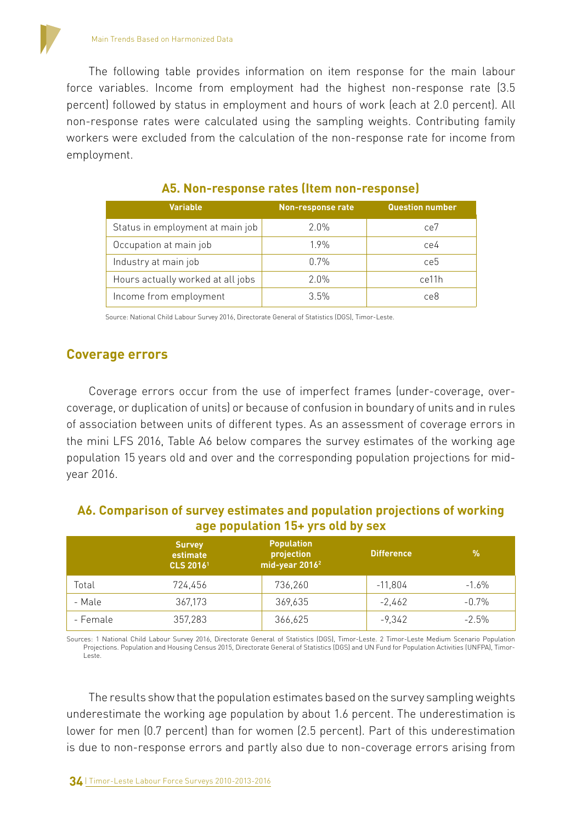

| <b>Variable</b>                   | <b>Non-response rate</b> | <b>Question number</b> |
|-----------------------------------|--------------------------|------------------------|
| Status in employment at main job  | 2.0%                     | ce7                    |
| Occupation at main job            | 1.9%                     | ce4                    |
| Industry at main job              | 0.7%                     | ce5                    |
| Hours actually worked at all jobs | 2.0%                     | ce11h                  |
| Income from employment            | 3.5%                     | ce8                    |

#### **A5. Non-response rates (Item non-response)**

Source: National Child Labour Survey 2016, Directorate General of Statistics (DGS), Timor-Leste.

#### **Coverage errors**

Coverage errors occur from the use of imperfect frames (under-coverage, overcoverage, or duplication of units) or because of confusion in boundary of units and in rules of association between units of different types. As an assessment of coverage errors in the mini LFS 2016, Table A6 below compares the survey estimates of the working age population 15 years old and over and the corresponding population projections for midyear 2016.

#### **A6. Comparison of survey estimates and population projections of working age population 15+ yrs old by sex**

|          | <b>Survey</b><br>estimate<br>CLS 2016 <sup>1</sup> | <b>Population</b><br>projection<br>mid-year 2016 <sup>2</sup> | <b>Difference</b> | $\frac{9}{6}$ |
|----------|----------------------------------------------------|---------------------------------------------------------------|-------------------|---------------|
| Total    | 724,456                                            | 736,260                                                       | $-11,804$         | $-1.6\%$      |
| - Male   | 367,173                                            | 369,635                                                       | $-2,462$          | $-0.7%$       |
| - Female | 357,283                                            | 366,625                                                       | $-9,342$          | $-2.5%$       |

Sources: 1 National Child Labour Survey 2016, Directorate General of Statistics (DGS), Timor-Leste. 2 Timor-Leste Medium Scenario Population Projections. Population and Housing Census 2015, Directorate General of Statistics (DGS) and UN Fund for Population Activities (UNFPA), Timor-Leste.

The results show that the population estimates based on the survey sampling weights underestimate the working age population by about 1.6 percent. The underestimation is lower for men (0.7 percent) than for women (2.5 percent). Part of this underestimation is due to non-response errors and partly also due to non-coverage errors arising from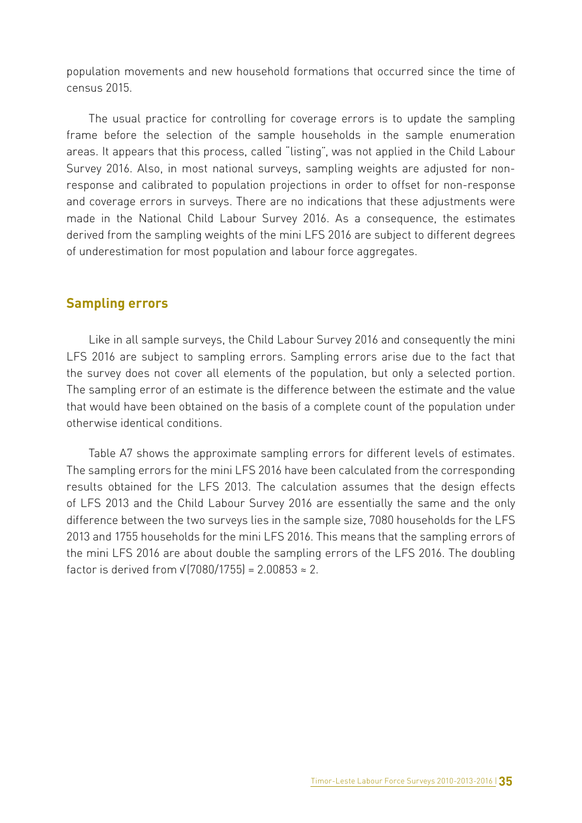population movements and new household formations that occurred since the time of census 2015.

The usual practice for controlling for coverage errors is to update the sampling frame before the selection of the sample households in the sample enumeration areas. It appears that this process, called "listing", was not applied in the Child Labour Survey 2016. Also, in most national surveys, sampling weights are adjusted for nonresponse and calibrated to population projections in order to offset for non-response and coverage errors in surveys. There are no indications that these adjustments were made in the National Child Labour Survey 2016. As a consequence, the estimates derived from the sampling weights of the mini LFS 2016 are subject to different degrees of underestimation for most population and labour force aggregates.

#### **Sampling errors**

Like in all sample surveys, the Child Labour Survey 2016 and consequently the mini LFS 2016 are subject to sampling errors. Sampling errors arise due to the fact that the survey does not cover all elements of the population, but only a selected portion. The sampling error of an estimate is the difference between the estimate and the value that would have been obtained on the basis of a complete count of the population under otherwise identical conditions.

Table A7 shows the approximate sampling errors for different levels of estimates. The sampling errors for the mini LFS 2016 have been calculated from the corresponding results obtained for the LFS 2013. The calculation assumes that the design effects of LFS 2013 and the Child Labour Survey 2016 are essentially the same and the only difference between the two surveys lies in the sample size, 7080 households for the LFS 2013 and 1755 households for the mini LFS 2016. This means that the sampling errors of the mini LFS 2016 are about double the sampling errors of the LFS 2016. The doubling factor is derived from  $\sqrt{(7080/1755)} = 2.00853 ≈ 2.$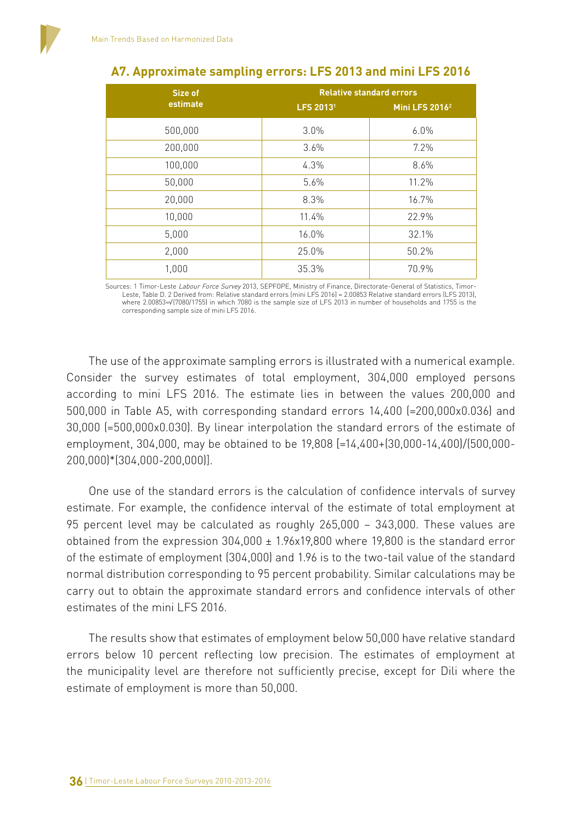| Size of  | <b>Relative standard errors</b> |                       |  |
|----------|---------------------------------|-----------------------|--|
| estimate | LFS 2013 <sup>1</sup>           | <b>Mini LFS 20162</b> |  |
| 500,000  | 3.0%                            | $6.0\%$               |  |
| 200,000  | 3.6%                            | 7.2%                  |  |
| 100,000  | 4.3%                            | 8.6%                  |  |
| 50,000   | 5.6%                            | 11.2%                 |  |
| 20,000   | 8.3%                            | 16.7%                 |  |
| 10,000   | 11.4%                           | 22.9%                 |  |
| 5,000    | 16.0%                           | 32.1%                 |  |
| 2,000    | 25.0%                           | 50.2%                 |  |
| 1,000    | 35.3%                           | 70.9%                 |  |

#### **A7. Approximate sampling errors: LFS 2013 and mini LFS 2016**

Sources: 1 Timor-Leste Labour Force Survey 2013, SEPFOPE, Ministry of Finance, Directorate-General of Statistics, Timor-Leste, Table D. 2 Derived from: Relative standard errors (mini LFS 2016) = 2.00853 Relative standard errors (LFS 2013), where 2.00853=√(7080/1755) in which 7080 is the sample size of LFS 2013 in number of households and 1755 is the corresponding sample size of mini LFS 2016.

The use of the approximate sampling errors is illustrated with a numerical example. Consider the survey estimates of total employment, 304,000 employed persons according to mini LFS 2016. The estimate lies in between the values 200,000 and 500,000 in Table A5, with corresponding standard errors 14,400 (=200,000x0.036) and 30,000 (=500,000x0.030). By linear interpolation the standard errors of the estimate of employment, 304,000, may be obtained to be 19,808 [=14,400+(30,000-14,400)/(500,000- 200,000)\*(304,000-200,000)].

One use of the standard errors is the calculation of confidence intervals of survey estimate. For example, the confidence interval of the estimate of total employment at 95 percent level may be calculated as roughly 265,000 – 343,000. These values are obtained from the expression  $304,000 \pm 1.96x19,800$  where 19,800 is the standard error of the estimate of employment (304,000) and 1.96 is to the two-tail value of the standard normal distribution corresponding to 95 percent probability. Similar calculations may be carry out to obtain the approximate standard errors and confidence intervals of other estimates of the mini LFS 2016.

The results show that estimates of employment below 50,000 have relative standard errors below 10 percent reflecting low precision. The estimates of employment at the municipality level are therefore not sufficiently precise, except for Dili where the estimate of employment is more than 50,000.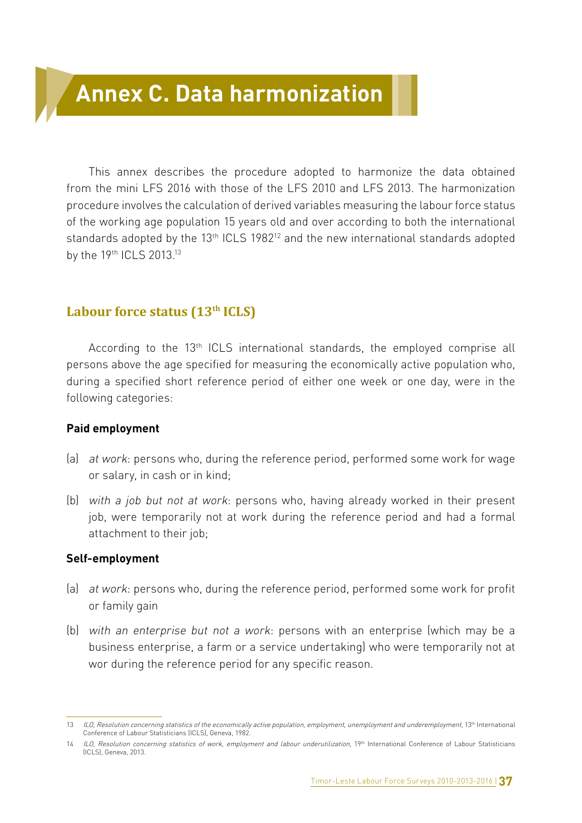# **Annex C. Data harmonization**

This annex describes the procedure adopted to harmonize the data obtained from the mini LFS 2016 with those of the LFS 2010 and LFS 2013. The harmonization procedure involves the calculation of derived variables measuring the labour force status of the working age population 15 years old and over according to both the international standards adopted by the 13<sup>th</sup> ICLS 1982<sup>12</sup> and the new international standards adopted by the 19<sup>th</sup> ICLS 2013.<sup>13</sup>

#### Labour force status (13<sup>th</sup> ICLS)

According to the 13th ICLS international standards, the employed comprise all persons above the age specified for measuring the economically active population who, during a specified short reference period of either one week or one day, were in the following categories:

#### **Paid employment**

- (a) at work: persons who, during the reference period, performed some work for wage or salary, in cash or in kind;
- (b) with a job but not at work: persons who, having already worked in their present job, were temporarily not at work during the reference period and had a formal attachment to their job;

#### **Self-employment**

- (a) at work: persons who, during the reference period, performed some work for profit or family gain
- (b) with an enterprise but not a work: persons with an enterprise (which may be a business enterprise, a farm or a service undertaking) who were temporarily not at wor during the reference period for any specific reason.

<sup>13</sup> *ILO, Resolution concerning statistics of the economically active population, employment, unemployment and underemployment*, 13<sup>th</sup> International Conference of Labour Statisticians (ICLS), Geneva, 1982.

<sup>14</sup> ILO, Resolution concerning statistics of work, employment and labour underutilization, 19th International Conference of Labour Statisticians (ICLS), Geneva, 2013.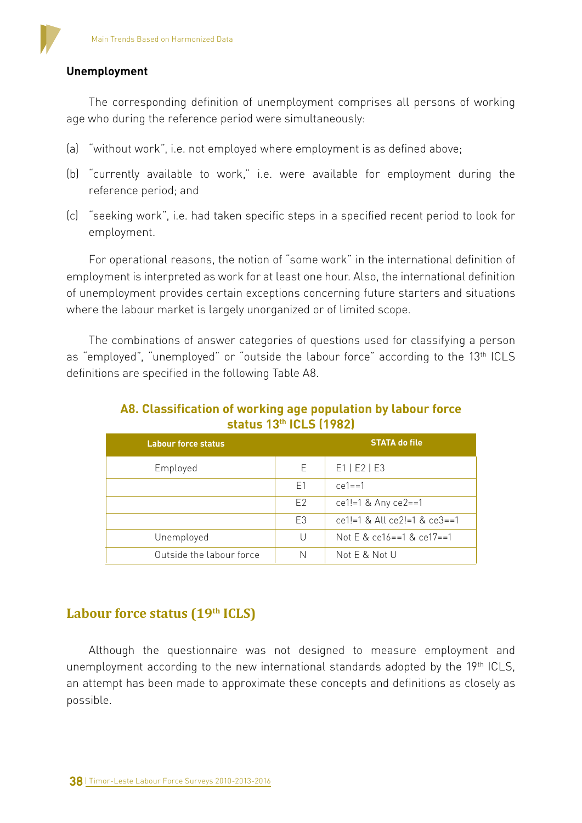

#### **Unemployment**

The corresponding definition of unemployment comprises all persons of working age who during the reference period were simultaneously:

- (a) "without work", i.e. not employed where employment is as defined above;
- (b) "currently available to work," i.e. were available for employment during the reference period; and
- (c) "seeking work", i.e. had taken specific steps in a specified recent period to look for employment.

For operational reasons, the notion of "some work" in the international definition of employment is interpreted as work for at least one hour. Also, the international definition of unemployment provides certain exceptions concerning future starters and situations where the labour market is largely unorganized or of limited scope.

The combinations of answer categories of questions used for classifying a person as "employed", "unemployed" or "outside the labour force" according to the 13<sup>th</sup> ICLS definitions are specified in the following Table A8.

| <b>Labour force status</b> | <b>STATA do file</b> |                              |  |
|----------------------------|----------------------|------------------------------|--|
| Employed                   | E.                   | $E1$   $E2$   $E3$           |  |
|                            | F1                   | $ce1 == 1$                   |  |
|                            | E2                   | ce1!=1 & Any ce2==1          |  |
|                            | F <sub>3</sub>       | cell=1 & All cell=1 & ce3==1 |  |
| Unemployed                 | U                    | Not $E \&$ ce16==1 & ce17==1 |  |
| Outside the labour force   | Ν                    | Not E & Not U                |  |

#### **A8. Classification of working age population by labour force status 13th ICLS (1982)**

#### **Labour force status (19th ICLS)**

Although the questionnaire was not designed to measure employment and unemployment according to the new international standards adopted by the 19<sup>th</sup> ICLS, an attempt has been made to approximate these concepts and definitions as closely as possible.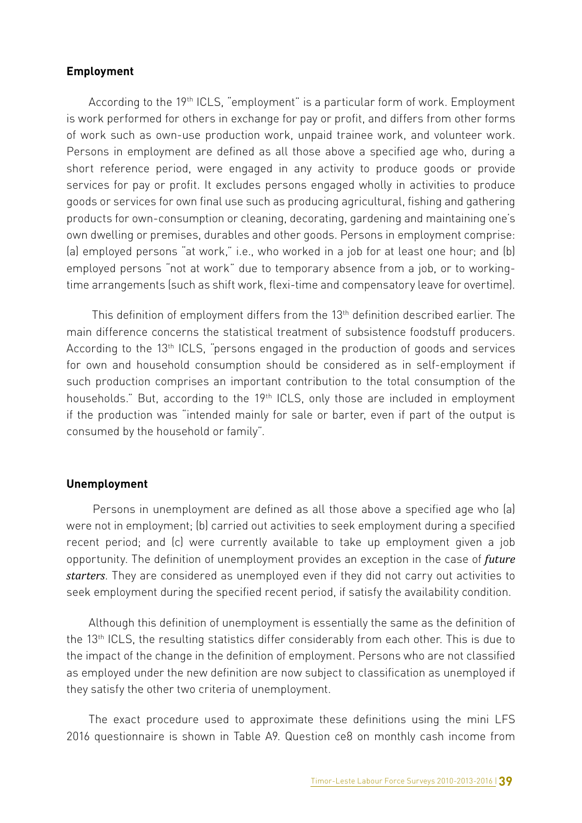#### **Employment**

According to the 19th ICLS, "employment" is a particular form of work. Employment is work performed for others in exchange for pay or profit, and differs from other forms of work such as own-use production work, unpaid trainee work, and volunteer work. Persons in employment are defined as all those above a specified age who, during a short reference period, were engaged in any activity to produce goods or provide services for pay or profit. It excludes persons engaged wholly in activities to produce goods or services for own final use such as producing agricultural, fishing and gathering products for own-consumption or cleaning, decorating, gardening and maintaining one's own dwelling or premises, durables and other goods. Persons in employment comprise: (a) employed persons "at work," i.e., who worked in a job for at least one hour; and (b) employed persons "not at work" due to temporary absence from a job, or to workingtime arrangements (such as shift work, flexi-time and compensatory leave for overtime).

 This definition of employment differs from the 13th definition described earlier. The main difference concerns the statistical treatment of subsistence foodstuff producers. According to the 13th ICLS, "persons engaged in the production of goods and services for own and household consumption should be considered as in self-employment if such production comprises an important contribution to the total consumption of the households." But, according to the 19<sup>th</sup> ICLS, only those are included in employment if the production was "intended mainly for sale or barter, even if part of the output is consumed by the household or family".

#### **Unemployment**

 Persons in unemployment are defined as all those above a specified age who (a) were not in employment; (b) carried out activities to seek employment during a specified recent period; and (c) were currently available to take up employment given a job opportunity. The definition of unemployment provides an exception in the case of *future starters*. They are considered as unemployed even if they did not carry out activities to seek employment during the specified recent period, if satisfy the availability condition.

Although this definition of unemployment is essentially the same as the definition of the 13th ICLS, the resulting statistics differ considerably from each other. This is due to the impact of the change in the definition of employment. Persons who are not classified as employed under the new definition are now subject to classification as unemployed if they satisfy the other two criteria of unemployment.

The exact procedure used to approximate these definitions using the mini LFS 2016 questionnaire is shown in Table A9. Question ce8 on monthly cash income from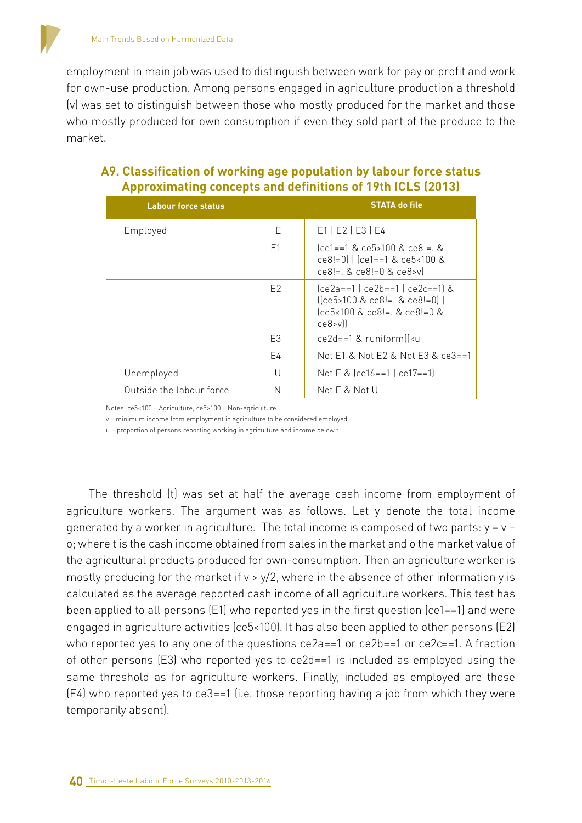

employment in main job was used to distinguish between work for pay or profit and work for own-use production. Among persons engaged in agriculture production a threshold (v) was set to distinguish between those who mostly produced for the market and those who mostly produced for own consumption if even they sold part of the produce to the market.

#### **A9. Classification of working age population by labour force status Approximating concepts and definitions of 19th ICLS (2013)**

| <b>Labour force status</b> |                | <b>STATA do file</b>                                                                                                           |
|----------------------------|----------------|--------------------------------------------------------------------------------------------------------------------------------|
| Employed                   | F              | E1   E2   E3   E4                                                                                                              |
|                            | F <sub>1</sub> | $[ce1 == 1 \& ce5 > 100 \& ce8 !=. \&$<br>$ce8!=0$ ] $[ce1==1 & ce5<100 &$<br>$ce8! = .$ & $ce8! = 0$ & $ce8>$ v               |
|                            | F <sub>2</sub> | $[ce2a == 1   ce2b == 1   ce2c == 1]$<br>$[(ce5>100 \& ce8] = . \& ce8] = 0]$<br>$[ce5<100 \& ce8] = .8 ce8] = 0.8$<br>ce8 > v |
|                            | F3             | $ce2d == 1$ & runiform() <u< td=""></u<>                                                                                       |
|                            | F4             | Not E1 & Not E2 & Not E3 & ce3==1                                                                                              |
| Unemployed                 | $\cup$         | Not E & $[ce16 == 1   ce17 == 1]$                                                                                              |
| Outside the labour force   | Ν              | Not E & Not U                                                                                                                  |

Notes: ce5<100 = Agriculture; ce5>100 = Non-agriculture

v = minimum income from employment in agriculture to be considered employed

u = proportion of persons reporting working in agriculture and income below t

The threshold (t) was set at half the average cash income from employment of agriculture workers. The argument was as follows. Let y denote the total income generated by a worker in agriculture. The total income is composed of two parts:  $y = v +$ o; where t is the cash income obtained from sales in the market and o the market value of the agricultural products produced for own-consumption. Then an agriculture worker is mostly producing for the market if  $v > y/2$ , where in the absence of other information y is calculated as the average reported cash income of all agriculture workers. This test has been applied to all persons (E1) who reported yes in the first question (ce1==1) and were engaged in agriculture activities (ce5<100). It has also been applied to other persons (E2) who reported yes to any one of the questions ce2a==1 or ce2b==1 or ce2c==1. A fraction of other persons (E3) who reported yes to ce2d==1 is included as employed using the same threshold as for agriculture workers. Finally, included as employed are those (E4) who reported yes to ce3==1 (i.e. those reporting having a job from which they were temporarily absent).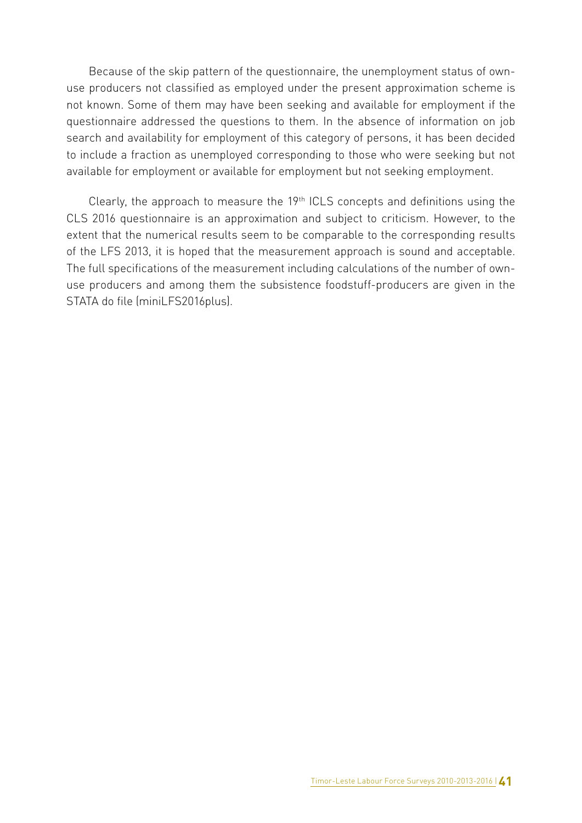Because of the skip pattern of the questionnaire, the unemployment status of ownuse producers not classified as employed under the present approximation scheme is not known. Some of them may have been seeking and available for employment if the questionnaire addressed the questions to them. In the absence of information on job search and availability for employment of this category of persons, it has been decided to include a fraction as unemployed corresponding to those who were seeking but not available for employment or available for employment but not seeking employment.

Clearly, the approach to measure the 19th ICLS concepts and definitions using the CLS 2016 questionnaire is an approximation and subject to criticism. However, to the extent that the numerical results seem to be comparable to the corresponding results of the LFS 2013, it is hoped that the measurement approach is sound and acceptable. The full specifications of the measurement including calculations of the number of ownuse producers and among them the subsistence foodstuff-producers are given in the STATA do file (miniLFS2016plus).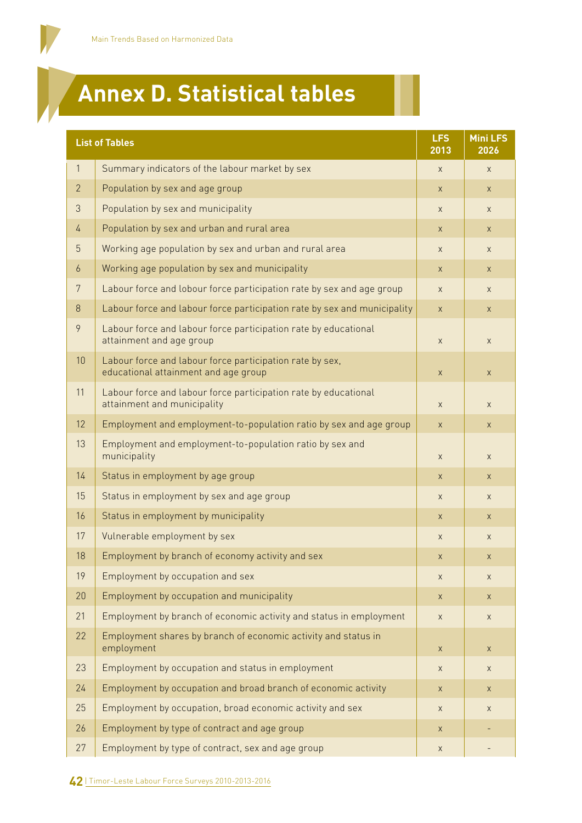

# **Annex D. Statistical tables**

|                | <b>List of Tables</b>                                                                            | <b>LFS</b><br>2013 | <b>Mini LFS</b><br>2026 |
|----------------|--------------------------------------------------------------------------------------------------|--------------------|-------------------------|
| $\mathbf{1}$   | Summary indicators of the labour market by sex                                                   | $\mathsf{X}$       | X                       |
| $\overline{2}$ | Population by sex and age group                                                                  | $\mathsf{X}$       | X                       |
| 3              | Population by sex and municipality                                                               | X                  | X                       |
| $\sqrt{4}$     | Population by sex and urban and rural area                                                       | $\mathsf{X}$       | X                       |
| 5              | Working age population by sex and urban and rural area                                           | X                  | $\mathsf{X}$            |
| $\overline{6}$ | Working age population by sex and municipality                                                   | $\mathsf{X}$       | X                       |
| $7\phantom{.}$ | Labour force and lobour force participation rate by sex and age group                            | $\mathsf{X}$       | X                       |
| 8              | Labour force and labour force participation rate by sex and municipality                         | $\mathsf{X}$       | $\mathsf{X}$            |
| 9              | Labour force and labour force participation rate by educational<br>attainment and age group      | $\mathsf{X}$       | X                       |
| 10             | Labour force and labour force participation rate by sex,<br>educational attainment and age group | $\mathsf{X}$       | X                       |
| 11             | Labour force and labour force participation rate by educational<br>attainment and municipality   | $\mathsf{X}$       | X                       |
| 12             | Employment and employment-to-population ratio by sex and age group                               | $\mathsf{X}$       | X                       |
| 13             | Employment and employment-to-population ratio by sex and<br>municipality                         | $\mathsf{X}$       | X                       |
| 14             | Status in employment by age group                                                                | X                  | X                       |
| 15             | Status in employment by sex and age group                                                        | X                  | X                       |
| 16             | Status in employment by municipality                                                             | $\mathsf{X}$       | X                       |
| 17             | Vulnerable employment by sex                                                                     | X                  | X                       |
| 18             | Employment by branch of economy activity and sex                                                 | $\mathsf{X}$       | X                       |
| 19             | Employment by occupation and sex                                                                 | X                  | X                       |
| 20             | Employment by occupation and municipality                                                        | X                  | X                       |
| 21             | Employment by branch of economic activity and status in employment                               | $\mathsf{X}$       | X                       |
| 22             | Employment shares by branch of economic activity and status in<br>employment                     | $\mathsf{X}$       | X                       |
| 23             | Employment by occupation and status in employment                                                | X                  | X                       |
| 24             | Employment by occupation and broad branch of economic activity                                   | X                  | X                       |
| 25             | Employment by occupation, broad economic activity and sex                                        | X                  | X                       |
| 26             | Employment by type of contract and age group                                                     | X                  |                         |
| 27             | Employment by type of contract, sex and age group                                                | X                  |                         |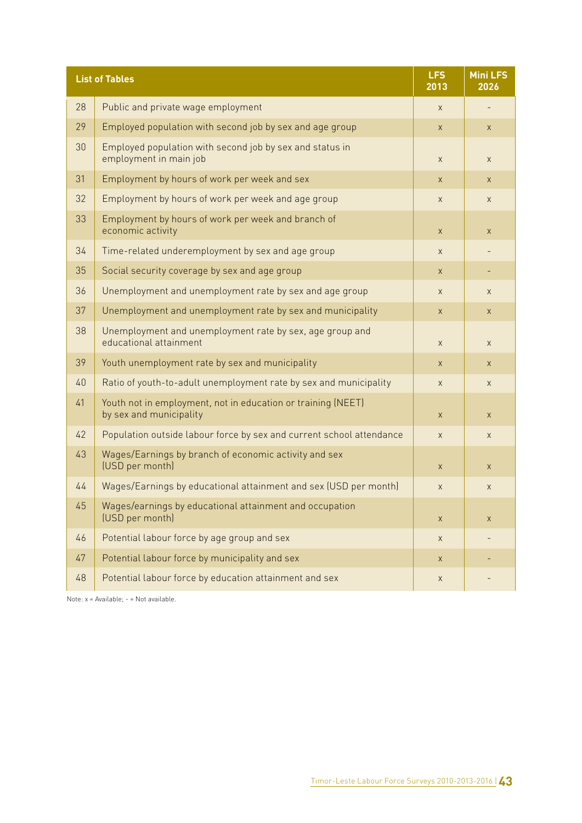|    | <b>List of Tables</b>                                                                   | <b>LFS</b><br>2013 | <b>Mini LFS</b><br>2026 |
|----|-----------------------------------------------------------------------------------------|--------------------|-------------------------|
| 28 | Public and private wage employment                                                      | X                  |                         |
| 29 | Employed population with second job by sex and age group                                | $\mathsf{X}$       | X                       |
| 30 | Employed population with second job by sex and status in<br>employment in main job      | $\mathsf{X}$       | X                       |
| 31 | Employment by hours of work per week and sex                                            | X                  | $\mathsf{X}$            |
| 32 | Employment by hours of work per week and age group                                      | $\mathsf{X}$       | X                       |
| 33 | Employment by hours of work per week and branch of<br>economic activity                 | $\mathsf{X}$       | $\mathsf{X}$            |
| 34 | Time-related underemployment by sex and age group                                       | X                  |                         |
| 35 | Social security coverage by sex and age group                                           | X                  |                         |
| 36 | Unemployment and unemployment rate by sex and age group                                 | X                  | $\mathsf{X}$            |
| 37 | Unemployment and unemployment rate by sex and municipality                              | $\mathsf{X}$       | $\mathsf{X}$            |
| 38 | Unemployment and unemployment rate by sex, age group and<br>educational attainment      | $\mathsf{X}$       | X                       |
| 39 | Youth unemployment rate by sex and municipality                                         | X                  | X                       |
| 40 | Ratio of youth-to-adult unemployment rate by sex and municipality                       | $\mathsf{X}$       | X                       |
| 41 | Youth not in employment, not in education or training (NEET)<br>by sex and municipality | X                  | X                       |
| 42 | Population outside labour force by sex and current school attendance                    | $\mathsf{X}$       | X                       |
| 43 | Wages/Earnings by branch of economic activity and sex<br>(USD per month)                | $\mathsf X$        | $\mathsf X$             |
| 44 | Wages/Earnings by educational attainment and sex (USD per month)                        | $\mathsf{X}$       | $\mathsf{X}$            |
| 45 | Wages/earnings by educational attainment and occupation<br>(USD per month)              | X                  | X                       |
| 46 | Potential labour force by age group and sex                                             | $\mathsf X$        |                         |
| 47 | Potential labour force by municipality and sex                                          | X                  |                         |
| 48 | Potential labour force by education attainment and sex                                  | X                  |                         |

Note: x = Available; - = Not available.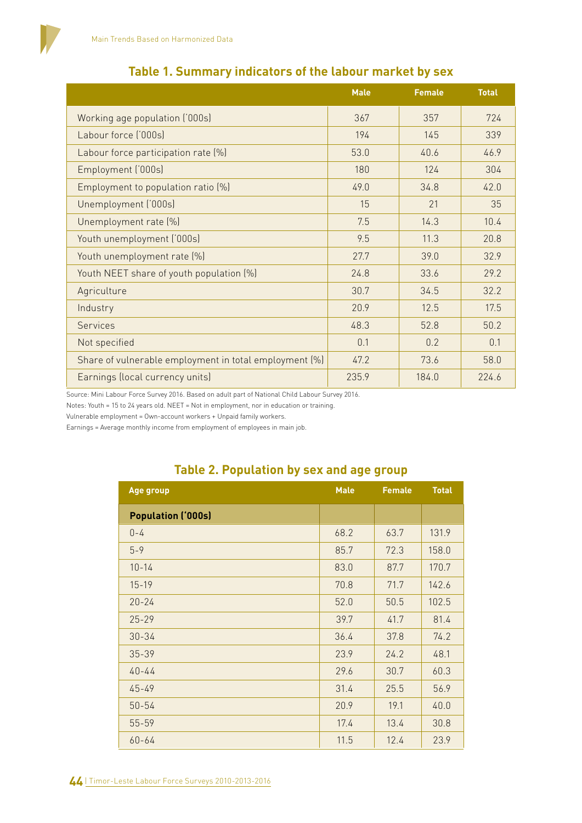

|                                                        | <b>Male</b> | <b>Female</b> | <b>Total</b> |
|--------------------------------------------------------|-------------|---------------|--------------|
| Working age population ('000s)                         | 367         | 357           | 724          |
| Labour force ('000s)                                   | 194         | 145           | 339          |
| Labour force participation rate [%]                    | 53.0        | 40.6          | 46.9         |
| Employment ('000s)                                     | 180         | 124           | 304          |
| Employment to population ratio [%]                     | 49.0        | 34.8          | 42.0         |
| Unemployment ('000s)                                   | 15          | 21            | 35           |
| Unemployment rate [%]                                  | 7.5         | 14.3          | 10.4         |
| Youth unemployment ('000s)                             | 9.5         | 11.3          | 20.8         |
| Youth unemployment rate [%]                            | 27.7        | 39.0          | 32.9         |
| Youth NEET share of youth population [%]               | 24.8        | 33.6          | 29.2         |
| Agriculture                                            | 30.7        | 34.5          | 32.2         |
| Industry                                               | 20.9        | 12.5          | 17.5         |
| Services                                               | 48.3        | 52.8          | 50.2         |
| Not specified                                          | 0.1         | 0.2           | 0.1          |
| Share of vulnerable employment in total employment (%) | 47.2        | 73.6          | 58.0         |
| Earnings (local currency units)                        | 235.9       | 184.0         | 224.6        |

#### **Table 1. Summary indicators of the labour market by sex**

Source: Mini Labour Force Survey 2016. Based on adult part of National Child Labour Survey 2016.

Notes: Youth = 15 to 24 years old. NEET = Not in employment, nor in education or training.

Vulnerable employment = Own-account workers + Unpaid family workers.

Earnings = Average monthly income from employment of employees in main job.

#### **Table 2. Population by sex and age group**

| Age group                 | <b>Male</b> | <b>Female</b> | <b>Total</b> |
|---------------------------|-------------|---------------|--------------|
| <b>Population ('000s)</b> |             |               |              |
| $0 - 4$                   | 68.2        | 63.7          | 131.9        |
| $5 - 9$                   | 85.7        | 72.3          | 158.0        |
| $10 - 14$                 | 83.0        | 87.7          | 170.7        |
| $15 - 19$                 | 70.8        | 71.7          | 142.6        |
| $20 - 24$                 | 52.0        | 50.5          | 102.5        |
| $25 - 29$                 | 39.7        | 41.7          | 81.4         |
| $30 - 34$                 | 36.4        | 37.8          | 74.2         |
| $35 - 39$                 | 23.9        | 24.2          | 48.1         |
| $40 - 44$                 | 29.6        | 30.7          | 60.3         |
| $45 - 49$                 | 31.4        | 25.5          | 56.9         |
| $50 - 54$                 | 20.9        | 19.1          | 40.0         |
| $55 - 59$                 | 17.4        | 13.4          | 30.8         |
| $60 - 64$                 | 11.5        | 12.4          | 23.9         |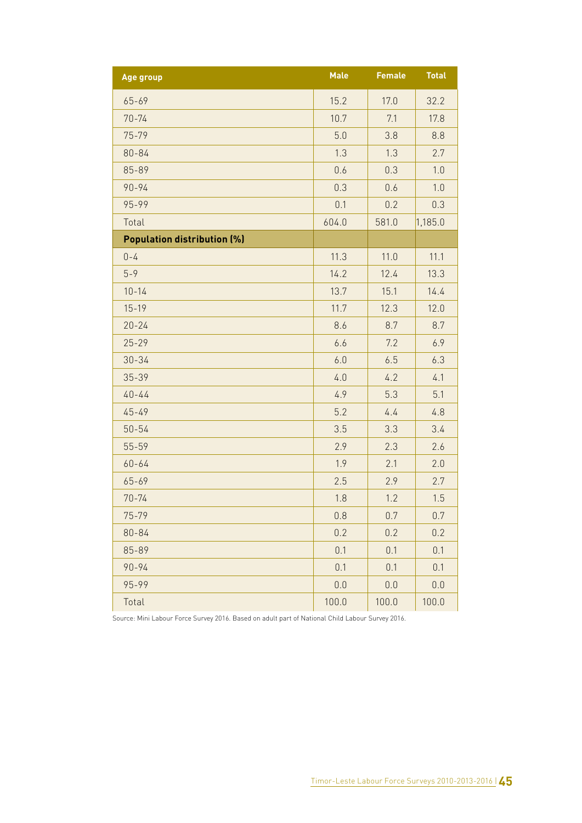| Age group                          | <b>Male</b> | <b>Female</b> | <b>Total</b> |
|------------------------------------|-------------|---------------|--------------|
| 65-69                              | 15.2        | 17.0          | 32.2         |
| $70 - 74$                          | 10.7        | 7.1           | 17.8         |
| 75-79                              | 5.0         | 3.8           | 8.8          |
| 80-84                              | 1.3         | 1.3           | 2.7          |
| 85-89                              | 0.6         | 0.3           | 1.0          |
| 90-94                              | 0.3         | 0.6           | 1.0          |
| 95-99                              | 0.1         | 0.2           | 0.3          |
| Total                              | 604.0       | 581.0         | 1,185.0      |
| <b>Population distribution (%)</b> |             |               |              |
| $0 - 4$                            | 11.3        | 11.0          | 11.1         |
| $5 - 9$                            | 14.2        | 12.4          | 13.3         |
| $10 - 14$                          | 13.7        | 15.1          | 14.4         |
| $15 - 19$                          | 11.7        | 12.3          | 12.0         |
| $20 - 24$                          | 8.6         | 8.7           | 8.7          |
| $25 - 29$                          | 6.6         | 7.2           | 6.9          |
| $30 - 34$                          | 6.0         | 6.5           | 6.3          |
| $35 - 39$                          | 4.0         | 4.2           | 4.1          |
| $40 - 44$                          | 4.9         | 5.3           | 5.1          |
| $45 - 49$                          | 5.2         | 4.4           | 4.8          |
| $50 - 54$                          | 3.5         | 3.3           | 3.4          |
| 55-59                              | 2.9         | 2.3           | 2.6          |
| $60 - 64$                          | 1.9         | 2.1           | 2.0          |
| $65 - 69$                          | 2.5         | 2.9           | 2.7          |
| $70 - 74$                          | 1.8         | 1.2           | $1.5\,$      |
| 75-79                              | 0.8         | 0.7           | 0.7          |
| $80 - 84$                          | 0.2         | 0.2           | 0.2          |
| 85-89                              | 0.1         | 0.1           | 0.1          |
| 90-94                              | 0.1         | 0.1           | 0.1          |
| 95-99                              | $0.0\,$     | $0.0\,$       | $0.0\,$      |
| Total                              | 100.0       | 100.0         | 100.0        |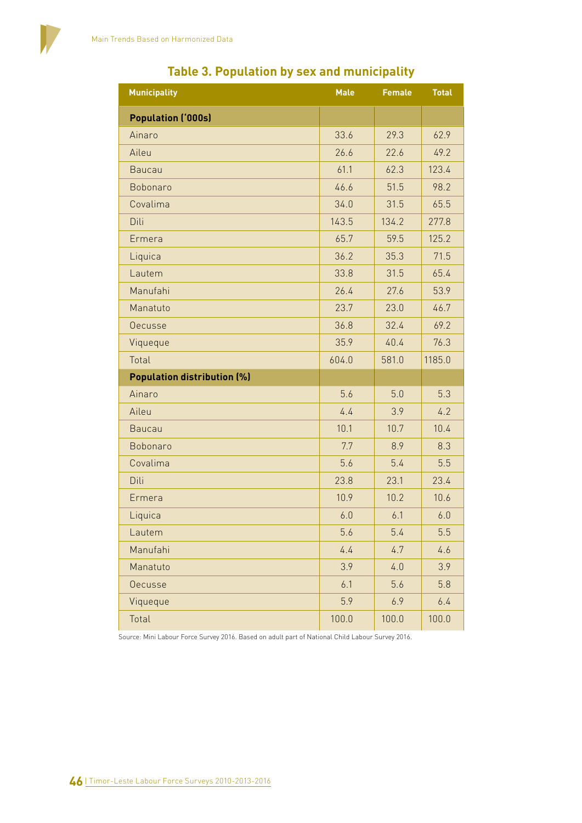| <b>Municipality</b>                | <b>Male</b> | <b>Female</b> | <b>Total</b> |
|------------------------------------|-------------|---------------|--------------|
| <b>Population ('000s)</b>          |             |               |              |
| Ainaro                             | 33.6        | 29.3          | 62.9         |
| Aileu                              | 26.6        | 22.6          | 49.2         |
| <b>Baucau</b>                      | 61.1        | 62.3          | 123.4        |
| Bobonaro                           | 46.6        | 51.5          | 98.2         |
| Covalima                           | 34.0        | 31.5          | 65.5         |
| Dili                               | 143.5       | 134.2         | 277.8        |
| Ermera                             | 65.7        | 59.5          | 125.2        |
| Liquica                            | 36.2        | 35.3          | 71.5         |
| Lautem                             | 33.8        | 31.5          | 65.4         |
| Manufahi                           | 26.4        | 27.6          | 53.9         |
| Manatuto                           | 23.7        | 23.0          | 46.7         |
| <b>Oecusse</b>                     | 36.8        | 32.4          | 69.2         |
| Viqueque                           | 35.9        | 40.4          | 76.3         |
| Total                              | 604.0       | 581.0         | 1185.0       |
| <b>Population distribution (%)</b> |             |               |              |
| Ainaro                             | 5.6         | 5.0           | 5.3          |
| Aileu                              | 4.4         | 3.9           | 4.2          |
| <b>Baucau</b>                      | 10.1        | 10.7          | 10.4         |
| Bobonaro                           | 7.7         | 8.9           | 8.3          |
| Covalima                           | 5.6         | 5.4           | 5.5          |
| Dili                               | 23.8        | 23.1          | 23.4         |
| Ermera                             | 10.9        | 10.2          | 10.6         |
| Liquica                            | 6.0         | 6.1           | 6.0          |
| Lautem                             | 5.6         | 5.4           | 5.5          |
| Manufahi                           | 4.4         | 4.7           | 4.6          |
| Manatuto                           | 3.9         | 4.0           | 3.9          |
| <b>Oecusse</b>                     | 6.1         | 5.6           | 5.8          |
| Viqueque                           | 5.9         | 6.9           | 6.4          |
| Total                              | 100.0       | 100.0         | 100.0        |
|                                    |             |               |              |

## **Table 3. Population by sex and municipality**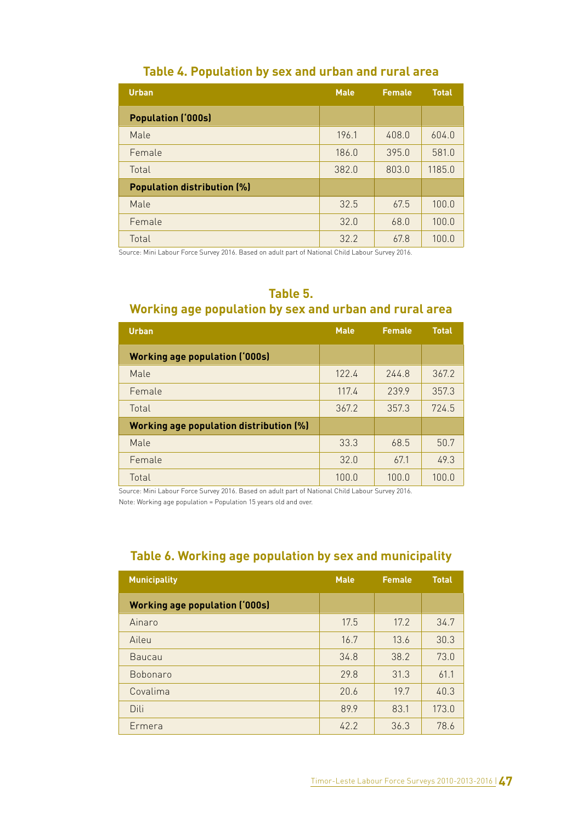| <b>Urban</b>                       | <b>Male</b> | <b>Female</b> | <b>Total</b> |
|------------------------------------|-------------|---------------|--------------|
| <b>Population ('000s)</b>          |             |               |              |
| Male                               | 196.1       | 408.0         | 604.0        |
| Female                             | 186.0       | 395.0         | 581.0        |
| Total                              | 382.0       | 803.0         | 1185.0       |
| <b>Population distribution (%)</b> |             |               |              |
| Male                               | 32.5        | 67.5          | 100.0        |
| Female                             | 32.0        | 68.0          | 100.0        |
| Total                              | 32.2        | 67.8          | 100.0        |

#### **Table 4. Population by sex and urban and rural area**

Source: Mini Labour Force Survey 2016. Based on adult part of National Child Labour Survey 2016.

#### **Table 5. Working age population by sex and urban and rural area**

| <b>Urban</b>                                   | <b>Male</b> | <b>Female</b> | <b>Total</b> |
|------------------------------------------------|-------------|---------------|--------------|
| <b>Working age population ('000s)</b>          |             |               |              |
| Male                                           | 122.4       | 244.8         | 367.2        |
| Female                                         | 117.4       | 239.9         | 3573         |
| Total                                          | 367.2       | 357.3         | 724.5        |
| <b>Working age population distribution (%)</b> |             |               |              |
| Male                                           | 33.3        | 68.5          | 50.7         |
| Female                                         | 32.0        | 67.1          | 49.3         |
| Total                                          | 100.0       | 100.0         | 100.0        |

Source: Mini Labour Force Survey 2016. Based on adult part of National Child Labour Survey 2016. Note: Working age population = Population 15 years old and over.

| <b>Municipality</b>                   | <b>Male</b> | <b>Female</b> | <b>Total</b> |
|---------------------------------------|-------------|---------------|--------------|
| <b>Working age population ('000s)</b> |             |               |              |
| Ainaro                                | 17.5        | 17.2          | 34.7         |
| Aileu                                 | 16.7        | 13.6          | 30.3         |
| Baucau                                | 34.8        | 38.2          | 73.0         |
| <b>Bobonaro</b>                       | 29.8        | 31.3          | 61.1         |
| Covalima                              | 20.6        | 19.7          | 40.3         |
| Dili                                  | 89.9        | 83.1          | 173.0        |
| Ermera                                | 42.2        | 36.3          | 78.6         |

## **Table 6. Working age population by sex and municipality**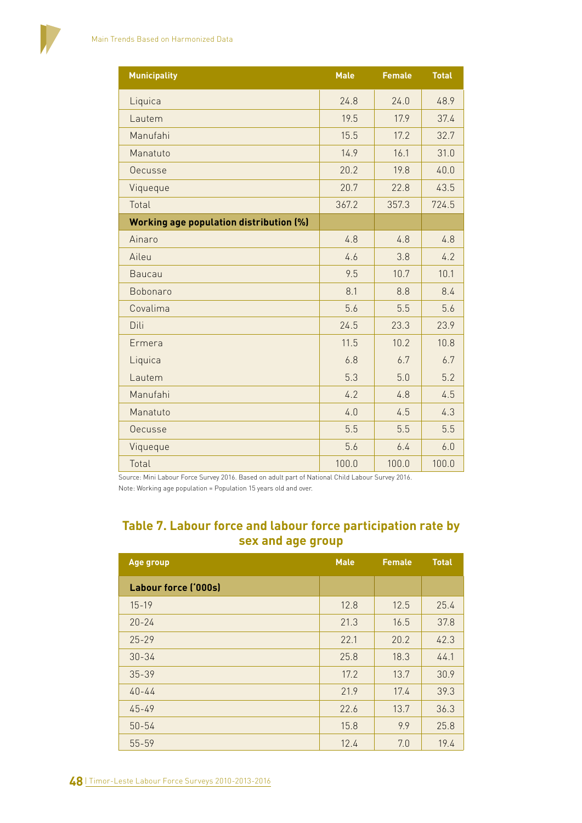

| <b>Municipality</b>                            | <b>Male</b> | <b>Female</b> | <b>Total</b> |
|------------------------------------------------|-------------|---------------|--------------|
| Liquica                                        | 24.8        | 24.0          | 48.9         |
| Lautem                                         | 19.5        | 17.9          | 37.4         |
| Manufahi                                       | 15.5        | 17.2          | 32.7         |
| Manatuto                                       | 14.9        | 16.1          | 31.0         |
| <b>Oecusse</b>                                 | 20.2        | 19.8          | 40.0         |
| Viqueque                                       | 20.7        | 22.8          | 43.5         |
| Total                                          | 367.2       | 357.3         | 724.5        |
| <b>Working age population distribution (%)</b> |             |               |              |
| Ainaro                                         | 4.8         | 4.8           | 4.8          |
| Aileu                                          | 4.6         | 3.8           | 4.2          |
| Baucau                                         | 9.5         | 10.7          | 10.1         |
| Bobonaro                                       | 8.1         | 8.8           | 8.4          |
| Covalima                                       | 5.6         | 5.5           | 5.6          |
| Dili                                           | 24.5        | 23.3          | 23.9         |
| Ermera                                         | 11.5        | 10.2          | 10.8         |
| Liquica                                        | 6.8         | 6.7           | 6.7          |
| Lautem                                         | 5.3         | 5.0           | 5.2          |
| Manufahi                                       | 4.2         | 4.8           | 4.5          |
| Manatuto                                       | 4.0         | 4.5           | 4.3          |
| <b>Oecusse</b>                                 | 5.5         | 5.5           | 5.5          |
| Viqueque                                       | 5.6         | 6.4           | 6.0          |
| Total                                          | 100.0       | 100.0         | 100.0        |

Source: Mini Labour Force Survey 2016. Based on adult part of National Child Labour Survey 2016. Note: Working age population = Population 15 years old and over.

## **Table 7. Labour force and labour force participation rate by sex and age group**

| Age group            | <b>Male</b> | <b>Female</b> | <b>Total</b> |
|----------------------|-------------|---------------|--------------|
| Labour force ('000s) |             |               |              |
| $15 - 19$            | 12.8        | 12.5          | 25.4         |
| $20 - 24$            | 21.3        | 16.5          | 37.8         |
| $25 - 29$            | 22.1        | 20.2          | 42.3         |
| $30 - 34$            | 25.8        | 18.3          | 44.1         |
| $35 - 39$            | 17.2        | 13.7          | 30.9         |
| $40 - 44$            | 21.9        | 17.4          | 39.3         |
| $45 - 49$            | 22.6        | 13.7          | 36.3         |
| $50 - 54$            | 15.8        | 9.9           | 25.8         |
| $55 - 59$            | 12.4        | 7.0           | 19.4         |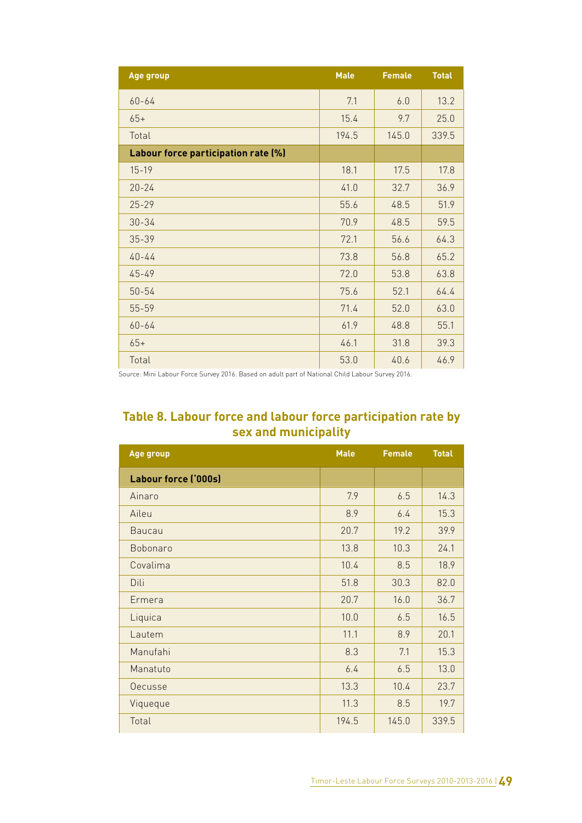| Age group                           | <b>Male</b> | <b>Female</b> | <b>Total</b> |
|-------------------------------------|-------------|---------------|--------------|
| $60 - 64$                           | 7.1         | 6.0           | 13.2         |
| $65+$                               | 15.4        | 9.7           | 25.0         |
| Total                               | 194.5       | 145.0         | 339.5        |
| Labour force participation rate (%) |             |               |              |
| $15 - 19$                           | 18.1        | 17.5          | 17.8         |
| $20 - 24$                           | 41.0        | 32.7          | 36.9         |
| $25 - 29$                           | 55.6        | 48.5          | 51.9         |
| $30 - 34$                           | 70.9        | 48.5          | 59.5         |
| $35 - 39$                           | 72.1        | 56.6          | 64.3         |
| $40 - 44$                           | 73.8        | 56.8          | 65.2         |
| $45 - 49$                           | 72.0        | 53.8          | 63.8         |
| $50 - 54$                           | 75.6        | 52.1          | 64.4         |
| 55-59                               | 71.4        | 52.0          | 63.0         |
| $60 - 64$                           | 61.9        | 48.8          | 55.1         |
| $65+$                               | 46.1        | 31.8          | 39.3         |
| Total                               | 53.0        | 40.6          | 46.9         |

Source: Mini Labour Force Survey 2016. Based on adult part of National Child Labour Survey 2016.

## **Table 8. Labour force and labour force participation rate by sex and municipality**

| Age group                   | <b>Male</b> | <b>Female</b> | <b>Total</b> |
|-----------------------------|-------------|---------------|--------------|
| <b>Labour force ('000s)</b> |             |               |              |
| Ainaro                      | 7.9         | 6.5           | 14.3         |
| Aileu                       | 8.9         | 6.4           | 15.3         |
| Baucau                      | 20.7        | 19.2          | 39.9         |
| Bobonaro                    | 13.8        | 10.3          | 24.1         |
| Covalima                    | 10.4        | 8.5           | 18.9         |
| Dili                        | 51.8        | 30.3          | 82.0         |
| Ermera                      | 20.7        | 16.0          | 36.7         |
| Liquica                     | 10.0        | 6.5           | 16.5         |
| Lautem                      | 11.1        | 8.9           | 20.1         |
| Manufahi                    | 8.3         | 7.1           | 15.3         |
| Manatuto                    | 6.4         | 6.5           | 13.0         |
| <b>Oecusse</b>              | 13.3        | 10.4          | 23.7         |
| Viqueque                    | 11.3        | 8.5           | 19.7         |
| Total                       | 194.5       | 145.0         | 339.5        |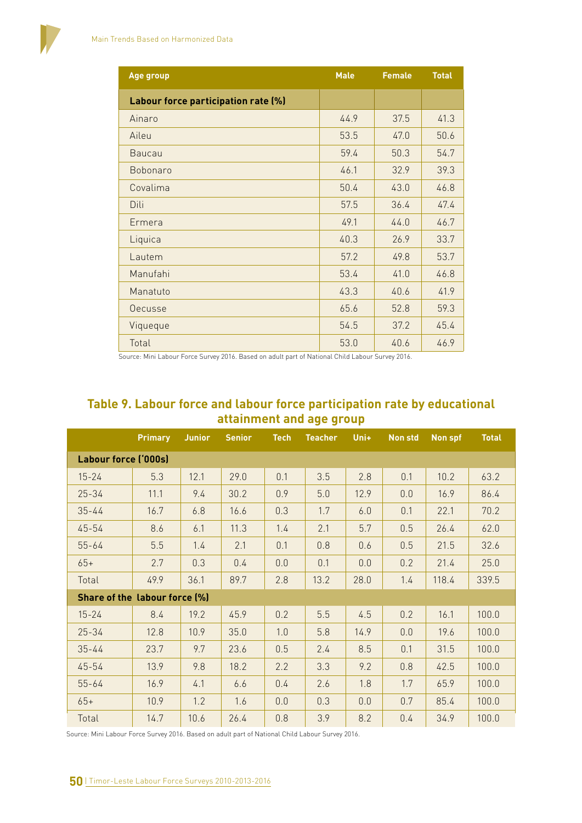

| Age group                           | <b>Male</b> | <b>Female</b> | <b>Total</b> |
|-------------------------------------|-------------|---------------|--------------|
| Labour force participation rate (%) |             |               |              |
| Ainaro                              | 44.9        | 37.5          | 41.3         |
| Aileu                               | 53.5        | 47.0          | 50.6         |
| Baucau                              | 59.4        | 50.3          | 54.7         |
| <b>Bobonaro</b>                     | 46.1        | 32.9          | 39.3         |
| Covalima                            | 50.4        | 43.0          | 46.8         |
| <b>Dili</b>                         | 57.5        | 36.4          | 47.4         |
| Ermera                              | 49.1        | 44.0          | 46.7         |
| Liquica                             | 40.3        | 26.9          | 33.7         |
| Lautem                              | 57.2        | 49.8          | 53.7         |
| Manufahi                            | 53.4        | 41.0          | 46.8         |
| Manatuto                            | 43.3        | 40.6          | 41.9         |
| <b>Oecusse</b>                      | 65.6        | 52.8          | 59.3         |
| Viqueque                            | 54.5        | 37.2          | 45.4         |
| Total                               | 53.0        | 40.6          | 46.9         |

Source: Mini Labour Force Survey 2016. Based on adult part of National Child Labour Survey 2016.

## **Table 9. Labour force and labour force participation rate by educational attainment and age group**

|                               | <b>Primary</b> | <b>Junior</b> | <b>Senior</b> | <b>Tech</b> | <b>Teacher</b> | Uni+ | <b>Non std</b> | Non spf | <b>Total</b> |
|-------------------------------|----------------|---------------|---------------|-------------|----------------|------|----------------|---------|--------------|
| Labour force ('000s)          |                |               |               |             |                |      |                |         |              |
| $15 - 24$                     | 5.3            | 12.1          | 29.0          | 0.1         | 3.5            | 2.8  | 0.1            | 10.2    | 63.2         |
| $25 - 34$                     | 11.1           | 9.4           | 30.2          | 0.9         | 5.0            | 12.9 | 0.0            | 16.9    | 86.4         |
| $35 - 44$                     | 16.7           | 6.8           | 16.6          | 0.3         | 1.7            | 6.0  | 0.1            | 22.1    | 70.2         |
| 45-54                         | 8.6            | 6.1           | 11.3          | 1.4         | 2.1            | 5.7  | 0.5            | 26.4    | 62.0         |
| $55 - 64$                     | 5.5            | 1.4           | 2.1           | 0.1         | 0.8            | 0.6  | 0.5            | 21.5    | 32.6         |
| $65+$                         | 2.7            | 0.3           | 0.4           | 0.0         | 0.1            | 0.0  | 0.2            | 21.4    | 25.0         |
| Total                         | 49.9           | 36.1          | 89.7          | 2.8         | 13.2           | 28.0 | 1.4            | 118.4   | 339.5        |
| Share of the labour force (%) |                |               |               |             |                |      |                |         |              |
| $15 - 24$                     | 8.4            | 19.2          | 45.9          | 0.2         | 5.5            | 4.5  | 0.2            | 16.1    | 100.0        |
| $25 - 34$                     | 12.8           | 10.9          | 35.0          | 1.0         | 5.8            | 14.9 | 0.0            | 19.6    | 100.0        |
| $35 - 44$                     | 23.7           | 9.7           | 23.6          | 0.5         | 2.4            | 8.5  | 0.1            | 31.5    | 100.0        |
| 45-54                         | 13.9           | 9.8           | 18.2          | 2.2         | 3.3            | 9.2  | 0.8            | 42.5    | 100.0        |
| $55 - 64$                     | 16.9           | 4.1           | 6.6           | 0.4         | 2.6            | 1.8  | 1.7            | 65.9    | 100.0        |
| $65+$                         | 10.9           | 1.2           | 1.6           | 0.0         | 0.3            | 0.0  | 0.7            | 85.4    | 100.0        |
| Total                         | 14.7           | 10.6          | 26.4          | 0.8         | 3.9            | 8.2  | 0.4            | 34.9    | 100.0        |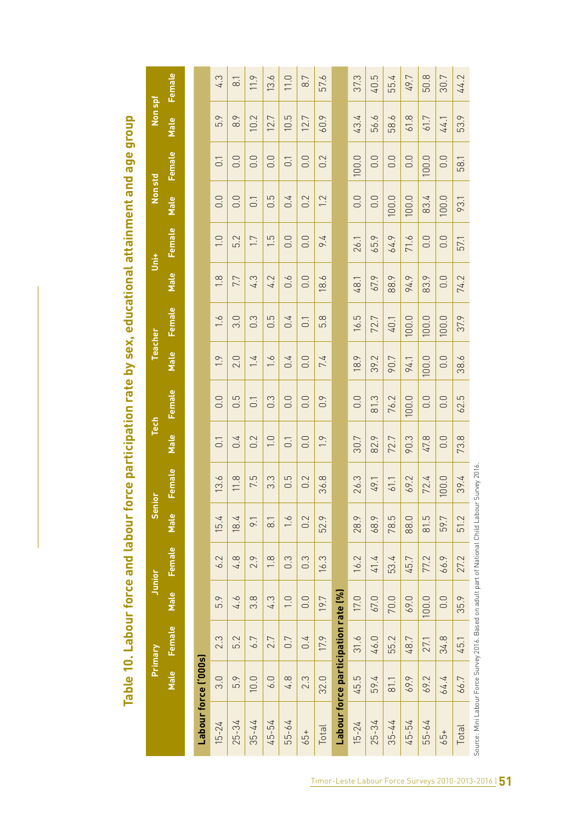|                      |      | Primary                             |                    | Junior           | Senior             |                  | <b>Tech</b>      |                  | <b>Teacher</b> |                  |                  | jni+               | Non std          |                  | Non spf               |                |
|----------------------|------|-------------------------------------|--------------------|------------------|--------------------|------------------|------------------|------------------|----------------|------------------|------------------|--------------------|------------------|------------------|-----------------------|----------------|
|                      | Male | Female                              | Male               | Female           | Male               | Female           | Male             | Female           | Male           | Female           | Male             | Female             | Male             | Female           | Male                  | Female         |
|                      |      |                                     |                    |                  |                    |                  |                  |                  |                |                  |                  |                    |                  |                  |                       |                |
| Labour force ('000s) |      |                                     |                    |                  |                    |                  |                  |                  |                |                  |                  |                    |                  |                  |                       |                |
| $15 - 24$            | 3.0  | 2.3                                 | 5.9                | 6.2              | 15.4               | 13.6             | $\overline{0}$ . | 0.0              | 1.9            | $\ddot{0}$       | $\frac{8}{1}$    | $\overline{0}$ .   | 0.0              | $\overline{0}$ . | 5.9                   | 4.3            |
| 25-34                | 5.9  | 5.2                                 | 4.6                | 4.8              | 18.4               | 11.8             | 0.4              | $0.\overline{5}$ | 2.0            | 3.0              | 7.7              | 5.2                | 0.0              | 0.0              | 8.9                   | $\overline{8}$ |
| $35 - 44$            | 10.0 | 6.7                                 | 3.8                | 2.9              | 9.1                | 7.5              | 0.2              | $\overline{0}$ . | 1.4            | $0.\overline{3}$ | 4.3              | 1.7                | $\overline{0}$ : | 0.0              | 10.2                  | 11.9           |
| 45-54                | 6.0  | 2.7                                 | 4.3                | $\frac{8}{1}$    | $\overline{\circ}$ | 33               | $\overline{0}$ . | $0.\overline{3}$ | $\ddot{0}$     | $0.\overline{5}$ | 4.2              | $\overline{1}$ . 5 | $0.\overline{5}$ | 0.0              | 12.7                  | 13.6           |
| 55-64                | 4.8  | 0.7                                 | $\overline{1}$ . O | $0.\overline{3}$ | $\ddot{0}$         | $0.\overline{5}$ | $\overline{0}$ : | 0.0              | 0.4            | 0.4              | $0.\overline{6}$ | 0.0                | 0.4              | 0.1              | 10.5                  | 11.0           |
| $65+$                | 2.3  | 0.4                                 | 0.0                | $0.\overline{3}$ | 0.2                | 0.2              | 0.0              | 0.0              | 0.0            | $\overline{0}$ . | 0.0              | 0.0                | 0.2              | 0.0              | 12.7                  | 8.7            |
| Total                | 32.0 | 17.9                                | 19.7               | 16.3             | 52.9               | 36.8             | $\ddot{.}$       | 0.9              | 7.4            | 5.8              | 18.6             | 9.4                | 1.2              | 0.2              | 60.9                  | 57.6           |
|                      |      | Labour force participation rate (%) |                    |                  |                    |                  |                  |                  |                |                  |                  |                    |                  |                  |                       |                |
| $15 - 24$            | 45.5 | 31.6                                | 17.0               | 16.2             | 28.9               | 26.3             | 30.7             | 0.0              | 18.9           | 16.5             | 48.1             | 26.1               | 0.0              | 100.0            | 43.4                  | 373            |
| 25-34                | 59.4 | 46.0                                | 67.0               | 41.4             | 68.9               | 49.1             | 82.9             | 81.3             | 39.2           | 72.7             | 67.9             | 65.9               | 0.0              | 0.0              | $\overline{6}$<br>56. | 40.5           |
| $35 - 44$            | 81.1 | 55.2                                | 70.0               | 53.4             | 78.5               | 61.1             | 72.7             | 76.2             | 90.7           | 40.1             | 88.9             | 64.9               | 100.0            | 0.0              | $\sim$<br>58.         | 55.4           |
| 75-57                | 69.9 | 48.7                                | 69.0               | 45.7             | 88.0               | 69.2             | 90.3             | 100.0            | 94.1           | 100.0            | 94.9             | 71.6               | 100.0            | 0.0              | 61.8                  | 49.7           |
| 55-64                | 69.2 | 27.1                                | 100.0              | 77.2             | 81.5               | 72.4             | 47.8             | 0.0              | 100.0          | 100.0            | 83.9             | 0.0                | 83.4             | 100.0            | 61.7                  | 50.8           |
| $65+$                | 64.4 | 34.8                                | 0.0                | 66.9             | 59.7               | 100.0            | 0.0              | 0.0              | 0.0            | 100.0            | 0.0              | 0.0                | 100.0            | 0.0              | 44.1                  | 30.7           |
| Total                | 66.7 | 45.1                                | 35.9               | 27.2             | 51.2               | 39.4             | 73.8             | 62.5             | 38.6           | 37.9             | 74.2             | 57.1               | 93.1             | 58.1             | 53.9                  | 44.2           |
|                      |      |                                     |                    |                  |                    |                  |                  |                  |                |                  |                  |                    |                  |                  |                       |                |

Table 10. Labour force and labour force participation rate by sex, educational attainment and age group **Table 10. Labour force and labour force participation rate by sex, educational attainment and age group**

Source: Mini Labour Force Survey 2016. Based on adult part of National Child Labour Survey 2016. Source: Mini Labour Force Survey 2016. Based on adult part of National Child Labour Survey 2016.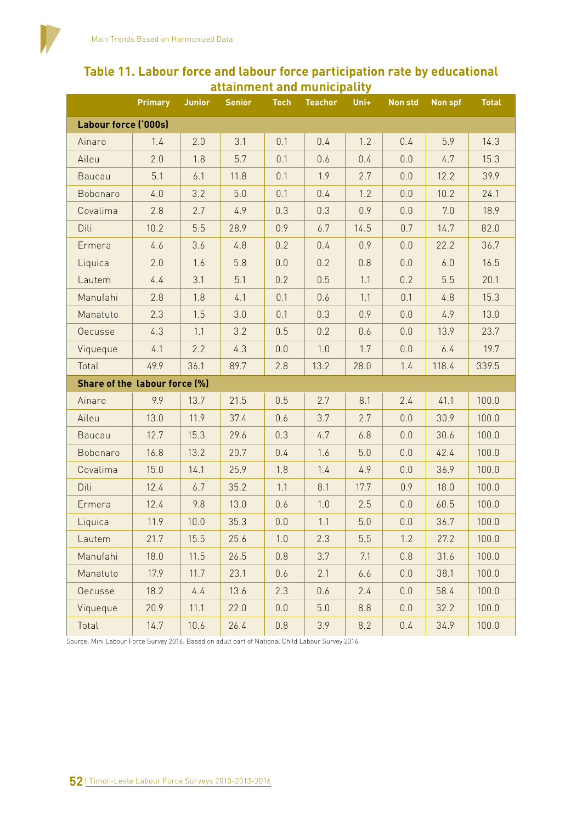|                               | <b>Primary</b> | <b>Junior</b> | <b>Senior</b> | <b>Tech</b> | <b>Teacher</b> | Uni+ | <b>Non std</b> | Non spf | <b>Total</b> |
|-------------------------------|----------------|---------------|---------------|-------------|----------------|------|----------------|---------|--------------|
| Labour force ('000s)          |                |               |               |             |                |      |                |         |              |
| Ainaro                        | 1.4            | 2.0           | 3.1           | 0.1         | 0.4            | 1.2  | 0.4            | 5.9     | 14.3         |
| Aileu                         | 2.0            | 1.8           | 5.7           | 0.1         | 0.6            | 0.4  | 0.0            | 4.7     | 15.3         |
| Baucau                        | 5.1            | 6.1           | 11.8          | 0.1         | 1.9            | 2.7  | 0.0            | 12.2    | 39.9         |
| Bobonaro                      | 4.0            | 3.2           | 5.0           | 0.1         | 0.4            | 1.2  | 0.0            | 10.2    | 24.1         |
| Covalima                      | 2.8            | 2.7           | 4.9           | 0.3         | 0.3            | 0.9  | 0.0            | 7.0     | 18.9         |
| Dili                          | 10.2           | 5.5           | 28.9          | 0.9         | 6.7            | 14.5 | 0.7            | 14.7    | 82.0         |
| Ermera                        | 4.6            | 3.6           | 4.8           | 0.2         | 0.4            | 0.9  | 0.0            | 22.2    | 36.7         |
| Liquica                       | 2.0            | 1.6           | 5.8           | 0.0         | 0.2            | 0.8  | 0.0            | 6.0     | 16.5         |
| Lautem                        | 4.4            | 3.1           | 5.1           | 0.2         | 0.5            | 1.1  | 0.2            | 5.5     | 20.1         |
| Manufahi                      | 2.8            | 1.8           | 4.1           | 0.1         | 0.6            | 1.1  | 0.1            | 4.8     | 15.3         |
| Manatuto                      | 2.3            | 1.5           | 3.0           | 0.1         | 0.3            | 0.9  | 0.0            | 4.9     | 13.0         |
| <b>Oecusse</b>                | 4.3            | 1.1           | 3.2           | 0.5         | 0.2            | 0.6  | 0.0            | 13.9    | 23.7         |
| Viqueque                      | 4.1            | 2.2           | 4.3           | 0.0         | 1.0            | 1.7  | 0.0            | 6.4     | 19.7         |
| Total                         | 49.9           | 36.1          | 89.7          | 2.8         | 13.2           | 28.0 | 1.4            | 118.4   | 339.5        |
| Share of the labour force (%) |                |               |               |             |                |      |                |         |              |
| Ainaro                        | 9.9            | 13.7          | 21.5          | 0.5         | 2.7            | 8.1  | 2.4            | 41.1    | 100.0        |
| Aileu                         | 13.0           | 11.9          | 37.4          | 0.6         | 3.7            | 2.7  | 0.0            | 30.9    | 100.0        |
| Baucau                        | 12.7           | 15.3          | 29.6          | 0.3         | 4.7            | 6.8  | 0.0            | 30.6    | 100.0        |
| Bobonaro                      | 16.8           | 13.2          | 20.7          | 0.4         | 1.6            | 5.0  | 0.0            | 42.4    | 100.0        |
| Covalima                      | 15.0           | 14.1          | 25.9          | 1.8         | 1.4            | 4.9  | 0.0            | 36.9    | 100.0        |
| Dili                          | 12.4           | 6.7           | 35.2          | 1.1         | 8.1            | 17.7 | 0.9            | 18.0    | 100.0        |
| Ermera                        | 12.4           | 9.8           | 13.0          | 0.6         | 1.0            | 2.5  | 0.0            | 60.5    | 100.0        |
| Liquica                       | 11.9           | 10.0          | 35.3          | 0.0         | 1.1            | 5.0  | 0.0            | 36.7    | 100.0        |
| Lautem                        | 21.7           | 15.5          | 25.6          | 1.0         | 2.3            | 5.5  | 1.2            | 27.2    | 100.0        |
| Manufahi                      | 18.0           | 11.5          | 26.5          | 0.8         | 3.7            | 7.1  | 0.8            | 31.6    | 100.0        |
| Manatuto                      | 17.9           | 11.7          | 23.1          | 0.6         | 2.1            | 6.6  | 0.0            | 38.1    | 100.0        |
| <b>Oecusse</b>                | 18.2           | 4.4           | 13.6          | 2.3         | 0.6            | 2.4  | 0.0            | 58.4    | 100.0        |
| Viqueque                      | 20.9           | 11.1          | 22.0          | 0.0         | 5.0            | 8.8  | 0.0            | 32.2    | 100.0        |
| Total                         | 14.7           | 10.6          | 26.4          | 0.8         | 3.9            | 8.2  | 0.4            | 34.9    | 100.0        |

## **Table 11. Labour force and labour force participation rate by educational attainment and municipality**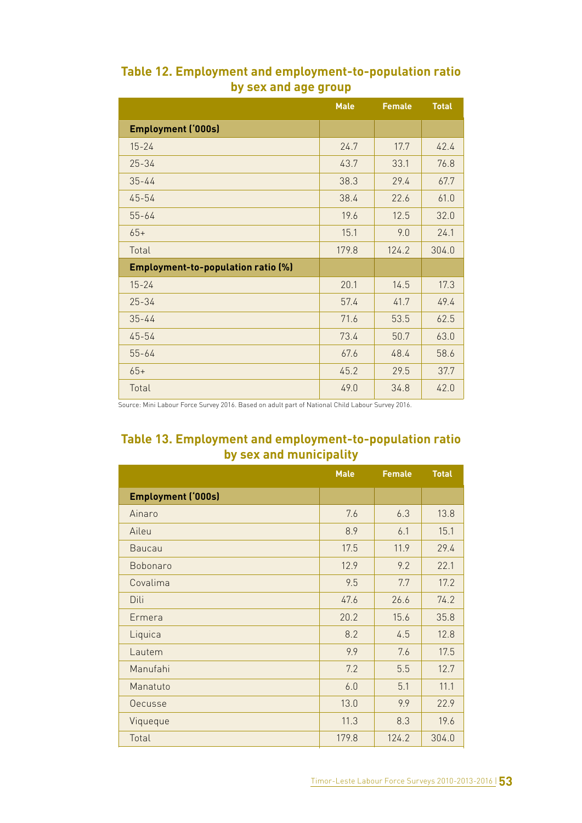|                                           | <b>Male</b> | <b>Female</b> | <b>Total</b> |
|-------------------------------------------|-------------|---------------|--------------|
| <b>Employment ('000s)</b>                 |             |               |              |
| $15 - 24$                                 | 24.7        | 17.7          | 42.4         |
| $25 - 34$                                 | 43.7        | 33.1          | 76.8         |
| $35 - 44$                                 | 38.3        | 29.4          | 67.7         |
| $45 - 54$                                 | 38.4        | 22.6          | 61.0         |
| $55 - 64$                                 | 19.6        | 12.5          | 32.0         |
| $65+$                                     | 15.1        | 9.0           | 24.1         |
| Total                                     | 179.8       | 124.2         | 304.0        |
| <b>Employment-to-population ratio (%)</b> |             |               |              |
| $15 - 24$                                 | 20.1        | 14.5          | 17.3         |
| $25 - 34$                                 | 57.4        | 41.7          | 49.4         |
| $35 - 44$                                 | 71.6        | 53.5          | 62.5         |
| 45-54                                     | 73.4        | 50.7          | 63.0         |
| $55 - 64$                                 | 67.6        | 48.4          | 58.6         |
| $65+$                                     | 45.2        | 29.5          | 37.7         |
| Total                                     | 49.0        | 34.8          | 42.0         |

## **Table 12. Employment and employment-to-population ratio by sex and age group**

Source: Mini Labour Force Survey 2016. Based on adult part of National Child Labour Survey 2016.

## **Table 13. Employment and employment-to-population ratio by sex and municipality**

|                           | <b>Male</b> | <b>Female</b> | <b>Total</b> |
|---------------------------|-------------|---------------|--------------|
| <b>Employment ('000s)</b> |             |               |              |
| Ainaro                    | 7.6         | 6.3           | 13.8         |
| Aileu                     | 8.9         | 6.1           | 15.1         |
| Baucau                    | 17.5        | 11.9          | 29.4         |
| <b>Bobonaro</b>           | 12.9        | 9.2           | 22.1         |
| Covalima                  | 9.5         | 7.7           | 17.2         |
| Dili                      | 47.6        | 26.6          | 74.2         |
| Ermera                    | 20.2        | 15.6          | 35.8         |
| Liquica                   | 8.2         | 4.5           | 12.8         |
| Lautem                    | 9.9         | 7.6           | 17.5         |
| Manufahi                  | 7.2         | 5.5           | 12.7         |
| Manatuto                  | 6.0         | 5.1           | 11.1         |
| <b>Oecusse</b>            | 13.0        | 9.9           | 22.9         |
| Viqueque                  | 11.3        | 8.3           | 19.6         |
| Total                     | 179.8       | 124.2         | 304.0        |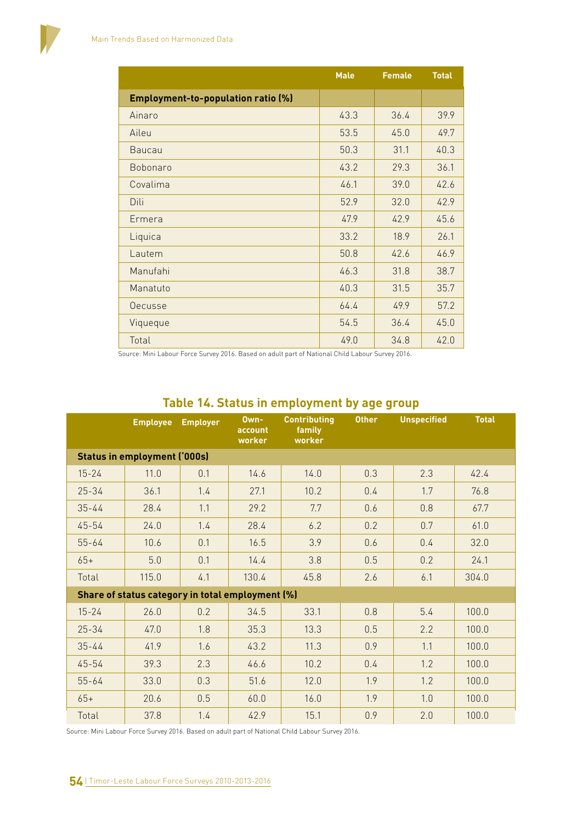|                                           | <b>Male</b> | <b>Female</b> | <b>Total</b> |
|-------------------------------------------|-------------|---------------|--------------|
| <b>Employment-to-population ratio (%)</b> |             |               |              |
| Ainaro                                    | 43.3        | 36.4          | 39.9         |
| Aileu                                     | 53.5        | 45.0          | 49.7         |
| Baucau                                    | 50.3        | 31.1          | 40.3         |
| <b>Bobonaro</b>                           | 43.2        | 29.3          | 36.1         |
| Covalima                                  | 46.1        | 39.0          | 42.6         |
| Dili                                      | 52.9        | 32.0          | 42.9         |
| <b>Frmera</b>                             | 47.9        | 42.9          | 45.6         |
| Liquica                                   | 33.2        | 18.9          | 26.1         |
| Lautem                                    | 50.8        | 42.6          | 46.9         |
| Manufahi                                  | 46.3        | 31.8          | 38.7         |
| Manatuto                                  | 40.3        | 31.5          | 35.7         |
| <b>Oecusse</b>                            | 64.4        | 49.9          | 57.2         |
| Viqueque                                  | 54.5        | 36.4          | 45.0         |
| Total                                     | 49.0        | 34.8          | 42.0         |

Source: Mini Labour Force Survey 2016. Based on adult part of National Child Labour Survey 2016.

|                                     | <b>Employee</b>                                  | <b>Employer</b> | Own-<br>account<br>worker | <b>Contributing</b><br>family<br>worker | <b>Other</b> | <b>Unspecified</b> | <b>Total</b> |  |  |  |
|-------------------------------------|--------------------------------------------------|-----------------|---------------------------|-----------------------------------------|--------------|--------------------|--------------|--|--|--|
| <b>Status in employment ('000s)</b> |                                                  |                 |                           |                                         |              |                    |              |  |  |  |
| $15 - 24$                           | 11.0                                             | 0.1             | 14.6                      | 14.0                                    | 0.3          | 2.3                | 42.4         |  |  |  |
| $25 - 34$                           | 36.1                                             | 1.4             | 27.1                      | 10.2                                    | 0.4          | 1.7                | 76.8         |  |  |  |
| $35 - 44$                           | 28.4                                             | 1.1             | 29.2                      | 7.7                                     | 0.6          | 0.8                | 67.7         |  |  |  |
| 45-54                               | 24.0                                             | 1.4             | 28.4                      | 6.2                                     | 0.2          | 0.7                | 61.0         |  |  |  |
| $55 - 64$                           | 10.6                                             | 0.1             | 16.5                      | 3.9                                     | 0.6          | 0.4                | 32.0         |  |  |  |
| $65+$                               | 5.0                                              | 0.1             | 14.4                      | 3.8                                     | 0.5          | 0.2                | 24.1         |  |  |  |
| Total                               | 115.0                                            | 4.1             | 130.4                     | 45.8                                    | 2.6          | 6.1                | 304.0        |  |  |  |
|                                     | Share of status category in total employment (%) |                 |                           |                                         |              |                    |              |  |  |  |
| $15 - 24$                           | 26.0                                             | 0.2             | 34.5                      | 33.1                                    | 0.8          | 5.4                | 100.0        |  |  |  |
| $25 - 34$                           | 47.0                                             | 1.8             | 35.3                      | 13.3                                    | 0.5          | 2.2                | 100.0        |  |  |  |
| $35 - 44$                           | 41.9                                             | 1.6             | 43.2                      | 11.3                                    | 0.9          | 1.1                | 100.0        |  |  |  |
| 45-54                               | 39.3                                             | 2.3             | 46.6                      | 10.2                                    | 0.4          | 1.2                | 100.0        |  |  |  |
| $55 - 64$                           | 33.0                                             | 0.3             | 51.6                      | 12.0                                    | 1.9          | 1.2                | 100.0        |  |  |  |
| $65+$                               | 20.6                                             | 0.5             | 60.0                      | 16.0                                    | 1.9          | 1.0                | 100.0        |  |  |  |
| Total                               | 37.8                                             | 1.4             | 42.9                      | 15.1                                    | 0.9          | 2.0                | 100.0        |  |  |  |

## **Table 14. Status in employment by age group**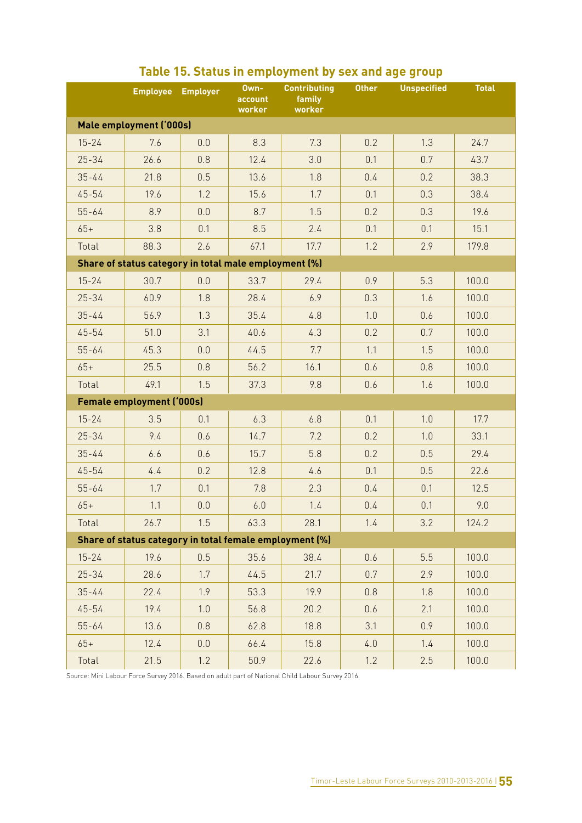|           | <b>Employee</b>                                         | <b>Employer</b> | Own-<br>account<br>worker | <b>Contributing</b><br>family<br>worker |     | <b>Unspecified</b> | <b>Total</b> |
|-----------|---------------------------------------------------------|-----------------|---------------------------|-----------------------------------------|-----|--------------------|--------------|
|           | Male employment ('000s)                                 |                 |                           |                                         |     |                    |              |
| $15 - 24$ | 7.6                                                     | 0.0             | 8.3                       | 7.3                                     | 0.2 | 1.3                | 24.7         |
| $25 - 34$ | 26.6                                                    | 0.8             | 12.4                      | 3.0                                     | 0.1 | 0.7                | 43.7         |
| $35 - 44$ | 21.8                                                    | 0.5             | 13.6                      | 1.8                                     | 0.4 | 0.2                | 38.3         |
| 45-54     | 19.6                                                    | 1.2             | 15.6                      | 1.7                                     | 0.1 | 0.3                | 38.4         |
| $55 - 64$ | 8.9                                                     | 0.0             | 8.7                       | 1.5                                     | 0.2 | 0.3                | 19.6         |
| $65+$     | 3.8                                                     | 0.1             | 8.5                       | 2.4                                     | 0.1 | 0.1                | 15.1         |
| Total     | 88.3                                                    | 2.6             | 67.1                      | 17.7                                    | 1.2 | 2.9                | 179.8        |
|           | Share of status category in total male employment (%)   |                 |                           |                                         |     |                    |              |
| $15 - 24$ | 30.7                                                    | 0.0             | 33.7                      | 29.4                                    | 0.9 | 5.3                | 100.0        |
| $25 - 34$ | 60.9                                                    | 1.8             | 28.4                      | 6.9                                     | 0.3 | 1.6                | 100.0        |
| $35 - 44$ | 56.9                                                    | 1.3             | 35.4                      | 4.8                                     | 1.0 | 0.6                | 100.0        |
| 45-54     | 51.0                                                    | 3.1             | 40.6                      | 4.3                                     | 0.2 | 0.7                | 100.0        |
| $55 - 64$ | 45.3                                                    | 0.0             | 44.5                      | 7.7                                     | 1.1 | 1.5                | 100.0        |
| $65+$     | 25.5                                                    | 0.8             | 56.2                      | 16.1                                    | 0.6 | 0.8                | 100.0        |
| Total     | 49.1                                                    | 1.5             | 37.3                      | 9.8                                     | 0.6 | 1.6                | 100.0        |
|           | <b>Female employment ('000s)</b>                        |                 |                           |                                         |     |                    |              |
| $15 - 24$ | 3.5                                                     | 0.1             | 6.3                       | 6.8                                     | 0.1 | 1.0                | 17.7         |
| $25 - 34$ | 9.4                                                     | 0.6             | 14.7                      | 7.2                                     | 0.2 | 1.0                | 33.1         |
| $35 - 44$ | 6.6                                                     | 0.6             | 15.7                      | 5.8                                     | 0.2 | 0.5                | 29.4         |
| 45-54     | 4.4                                                     | 0.2             | 12.8                      | 4.6                                     | 0.1 | 0.5                | 22.6         |
| $55 - 64$ | 1.7                                                     | 0.1             | 7.8                       | 2.3                                     | 0.4 | 0.1                | 12.5         |
| $65+$     | 1.1                                                     | 0.0             | 6.0                       | 1.4                                     | 0.4 | 0.1                | 9.0          |
| Total     | 26.7                                                    | 1.5             | 63.3                      | 28.1                                    | 1.4 | 3.2                | 124.2        |
|           | Share of status category in total female employment (%) |                 |                           |                                         |     |                    |              |
| $15 - 24$ | 19.6                                                    | 0.5             | 35.6                      | 38.4                                    | 0.6 | 5.5                | 100.0        |
| $25 - 34$ | 28.6                                                    | 1.7             | 44.5                      | 21.7                                    | 0.7 | 2.9                | 100.0        |
| $35 - 44$ | 22.4                                                    | 1.9             | 53.3                      | 19.9                                    | 0.8 | 1.8                | 100.0        |
| 45-54     | 19.4                                                    | 1.0             | 56.8                      | 20.2                                    | 0.6 | 2.1                | 100.0        |
| $55 - 64$ | 13.6                                                    | 0.8             | 62.8                      | 18.8                                    | 3.1 | 0.9                | 100.0        |
| $65+$     | 12.4                                                    | 0.0             | 66.4                      | 15.8                                    | 4.0 | 1.4                | 100.0        |
| Total     | 21.5                                                    | 1.2             | 50.9                      | 22.6                                    | 1.2 | 2.5                | 100.0        |

## **Table 15. Status in employment by sex and age group**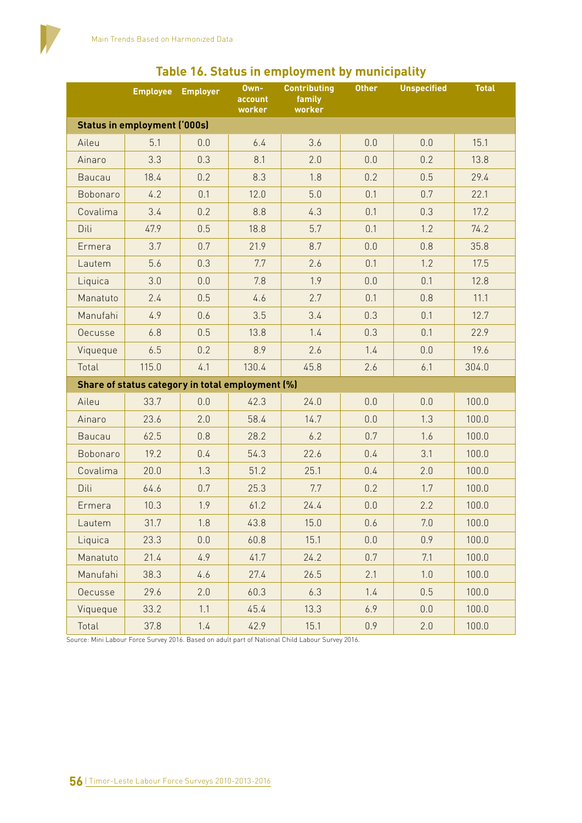|                | <b>Employee</b>                                  | <b>Employer</b> | Own-<br>account<br>worker | <b>Contributing</b><br>family<br>worker |     | <b>Unspecified</b> | <b>Total</b> |
|----------------|--------------------------------------------------|-----------------|---------------------------|-----------------------------------------|-----|--------------------|--------------|
|                | <b>Status in employment ('000s)</b>              |                 |                           |                                         |     |                    |              |
| Aileu          | 5.1                                              | 0.0             | 6.4                       | 3.6                                     | 0.0 | 0.0                | 15.1         |
| Ainaro         | 3.3                                              | 0.3             | 8.1                       | 2.0                                     | 0.0 | 0.2                | 13.8         |
| <b>Baucau</b>  | 18.4                                             | 0.2             | 8.3                       | 1.8                                     | 0.2 | 0.5                | 29.4         |
| Bobonaro       | 4.2                                              | 0.1             | 12.0                      | 5.0                                     | 0.1 | 0.7                | 22.1         |
| Covalima       | 3.4                                              | 0.2             | 8.8                       | 4.3                                     | 0.1 | 0.3                | 17.2         |
| Dili           | 47.9                                             | 0.5             | 18.8                      | 5.7                                     | 0.1 | 1.2                | 74.2         |
| Ermera         | 3.7                                              | 0.7             | 21.9                      | 8.7                                     | 0.0 | 0.8                | 35.8         |
| Lautem         | 5.6                                              | 0.3             | 7.7                       | 2.6                                     | 0.1 | 1.2                | 17.5         |
| Liquica        | 3.0                                              | 0.0             | 7.8                       | 1.9                                     | 0.0 | 0.1                | 12.8         |
| Manatuto       | 2.4                                              | 0.5             | 4.6                       | 2.7                                     | 0.1 | 0.8                | 11.1         |
| Manufahi       | 4.9                                              | 0.6             | 3.5                       | 3.4                                     | 0.3 | 0.1                | 12.7         |
| <b>Oecusse</b> | 6.8                                              | 0.5             | 13.8                      | 1.4                                     | 0.3 | 0.1                | 22.9         |
| Viqueque       | 6.5                                              | 0.2             | 8.9                       | 2.6                                     | 1.4 | 0.0                | 19.6         |
| Total          | 115.0                                            | 4.1             | 130.4                     | 45.8                                    | 2.6 | 6.1                | 304.0        |
|                | Share of status category in total employment (%) |                 |                           |                                         |     |                    |              |
| Aileu          | 33.7                                             | 0.0             | 42.3                      | 24.0                                    | 0.0 | 0.0                | 100.0        |
| Ainaro         | 23.6                                             | 2.0             | 58.4                      | 14.7                                    | 0.0 | 1.3                | 100.0        |
| <b>Baucau</b>  | 62.5                                             | 0.8             | 28.2                      | 6.2                                     | 0.7 | 1.6                | 100.0        |
| Bobonaro       | 19.2                                             | 0.4             | 54.3                      | 22.6                                    | 0.4 | 3.1                | 100.0        |
| Covalima       | 20.0                                             | 1.3             | 51.2                      | 25.1                                    | 0.4 | 2.0                | 100.0        |
| Dili           | 64.6                                             | 0.7             | 25.3                      | 7.7                                     | 0.2 | 1.7                | 100.0        |
| Ermera         | 10.3                                             | 1.9             | 61.2                      | 24.4                                    | 0.0 | 2.2                | 100.0        |
| Lautem         | 31.7                                             | 1.8             | 43.8                      | 15.0                                    | 0.6 | 7.0                | 100.0        |
| Liquica        | 23.3                                             | 0.0             | 60.8                      | 15.1                                    | 0.0 | 0.9                | 100.0        |
| Manatuto       | 21.4                                             | 4.9             | 41.7                      | 24.2                                    | 0.7 | 7.1                | 100.0        |
| Manufahi       | 38.3                                             | 4.6             | 27.4                      | 26.5                                    | 2.1 | 1.0                | 100.0        |
| <b>Oecusse</b> | 29.6                                             | 2.0             | 60.3                      | 6.3                                     | 1.4 | 0.5                | 100.0        |
| Viqueque       | 33.2                                             | 1.1             | 45.4                      | 13.3                                    | 6.9 | 0.0                | 100.0        |
| Total          | 37.8                                             | 1.4             | 42.9                      | 15.1                                    | 0.9 | 2.0                | 100.0        |

## **Table 16. Status in employment by municipality**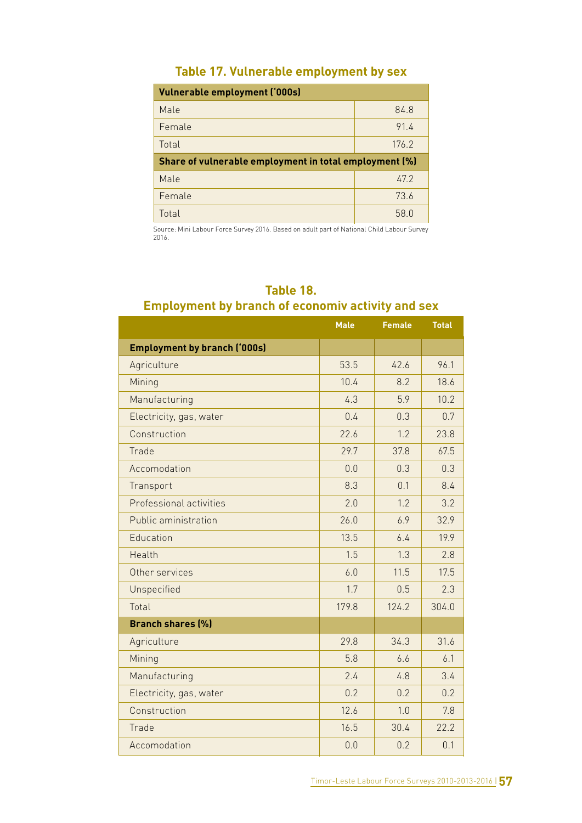|  |  | <b>Table 17. Vulnerable employment by sex</b> |  |  |  |
|--|--|-----------------------------------------------|--|--|--|
|--|--|-----------------------------------------------|--|--|--|

| Vulnerable employment ('000s)                          |       |  |  |  |  |  |  |  |
|--------------------------------------------------------|-------|--|--|--|--|--|--|--|
| Male                                                   | 84.8  |  |  |  |  |  |  |  |
| Female                                                 | 91.4  |  |  |  |  |  |  |  |
| Total                                                  | 176.2 |  |  |  |  |  |  |  |
| Share of vulnerable employment in total employment (%) |       |  |  |  |  |  |  |  |
|                                                        |       |  |  |  |  |  |  |  |
| Male                                                   | 47.2  |  |  |  |  |  |  |  |
| Female                                                 | 73.6  |  |  |  |  |  |  |  |

Source: Mini Labour Force Survey 2016. Based on adult part of National Child Labour Survey 2016.

|                                     | <b>Male</b> | <b>Female</b> | <b>Total</b> |
|-------------------------------------|-------------|---------------|--------------|
| <b>Employment by branch ('000s)</b> |             |               |              |
| Agriculture                         | 53.5        | 42.6          | 96.1         |
| Mining                              | 10.4        | 8.2           | 18.6         |
| Manufacturing                       | 4.3         | 5.9           | 10.2         |
| Electricity, gas, water             | 0.4         | 0.3           | 0.7          |
| Construction                        | 22.6        | 1.2           | 23.8         |
| Trade                               | 29.7        | 37.8          | 67.5         |
| Accomodation                        | 0.0         | 0.3           | 0.3          |
| Transport                           | 8.3         | 0.1           | 8.4          |
| Professional activities             | 2.0         | 1.2           | 3.2          |
| Public aministration                | 26.0        | 6.9           | 32.9         |
| Education                           | 13.5        | 6.4           | 19.9         |
| Health                              | 1.5         | 1.3           | 2.8          |
| Other services                      | 6.0         | 11.5          | 17.5         |
| Unspecified                         | 1.7         | 0.5           | 2.3          |
| Total                               | 179.8       | 124.2         | 304.0        |
| <b>Branch shares (%)</b>            |             |               |              |
| Agriculture                         | 29.8        | 34.3          | 31.6         |
| Mining                              | 5.8         | 6.6           | 6.1          |
| Manufacturing                       | 2.4         | 4.8           | 3.4          |
| Electricity, gas, water             | 0.2         | 0.2           | 0.2          |
| Construction                        | 12.6        | 1.0           | 7.8          |
| Trade                               | 16.5        | 30.4          | 22.2         |
| Accomodation                        | 0.0         | 0.2           | 0.1          |

## **Table 18. Employment by branch of economiv activity and sex**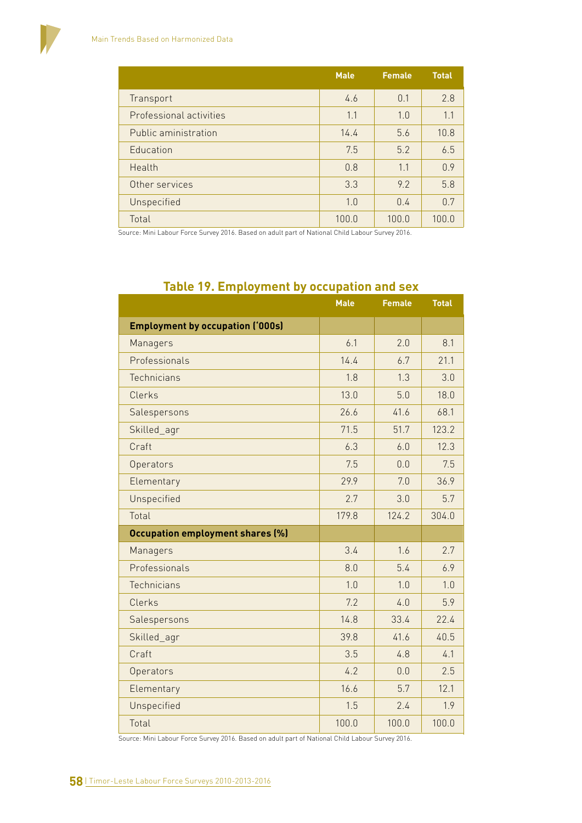|                         | <b>Male</b> | <b>Female</b> | <b>Total</b> |
|-------------------------|-------------|---------------|--------------|
| Transport               | 4.6         | 0.1           | 2.8          |
| Professional activities | 1.1         | 1.0           | 1.1          |
| Public aministration    | 14.4        | 5.6           | 10.8         |
| Education               | 7.5         | 5.2           | 6.5          |
| Health                  | 0.8         | 1.1           | 0.9          |
| Other services          | 3.3         | 9.2           | 5.8          |
| Unspecified             | 1.0         | 0.4           | 0.7          |
| Total                   | 100.0       | 100.0         | 100.0        |

Source: Mini Labour Force Survey 2016. Based on adult part of National Child Labour Survey 2016.

|                                         | <b>Male</b> | <b>Female</b> | <b>Total</b> |
|-----------------------------------------|-------------|---------------|--------------|
| <b>Employment by occupation ('000s)</b> |             |               |              |
| Managers                                | 6.1         | 2.0           | 8.1          |
| Professionals                           | 14.4        | 6.7           | 21.1         |
| Technicians                             | 1.8         | 1.3           | 3.0          |
| Clerks                                  | 13.0        | 5.0           | 18.0         |
| Salespersons                            | 26.6        | 41.6          | 68.1         |
| Skilled_agr                             | 71.5        | 51.7          | 123.2        |
| Craft                                   | 6.3         | 6.0           | 12.3         |
| Operators                               | 7.5         | 0.0           | 7.5          |
| Elementary                              | 29.9        | 7.0           | 36.9         |
| Unspecified                             | 2.7         | 3.0           | 5.7          |
| Total                                   | 179.8       | 124.2         | 304.0        |
| <b>Occupation employment shares (%)</b> |             |               |              |
| Managers                                | 3.4         | 1.6           | 2.7          |
| Professionals                           | 8.0         | 5.4           | 6.9          |
| Technicians                             | 1.0         | 1.0           | 1.0          |
| Clerks                                  | 7.2         | 4.0           | 5.9          |
| Salespersons                            | 14.8        | 33.4          | 22.4         |
| Skilled_agr                             | 39.8        | 41.6          | 40.5         |
| Craft                                   | 3.5         | 4.8           | 4.1          |
| Operators                               | 4.2         | 0.0           | 2.5          |
| Elementary                              | 16.6        | 5.7           | 12.1         |
| Unspecified                             | 1.5         | 2.4           | 1.9          |
| Total                                   | 100.0       | 100.0         | 100.0        |

## **Table 19. Employment by occupation and sex**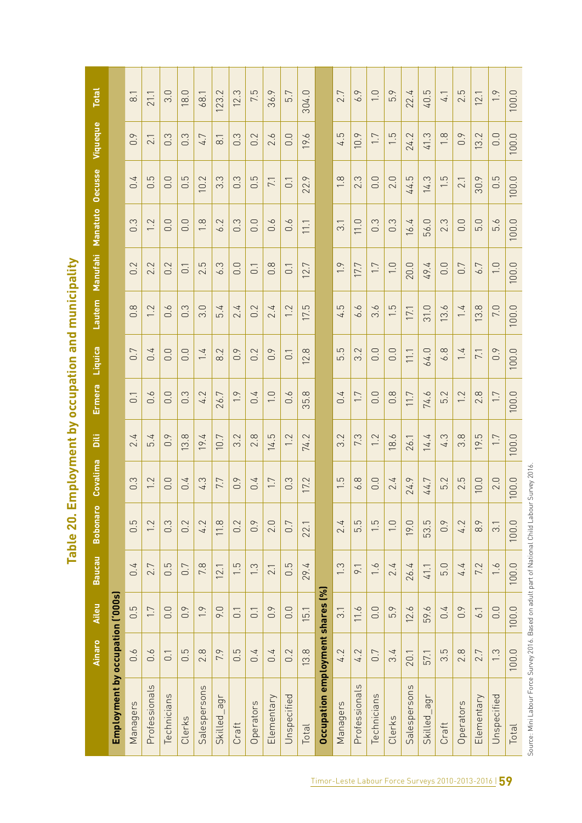| <b>Total</b>    |                                  | $\approx$        | 21.1             | 3.0              | 18.0             | 68.1          | 123.2          | 12.3                  | 7.5              | 36.9                            | 5.7              | 304.0 |                                  | 2.7              | 6.9           | $\overline{1}$ . O | 5.9                             | 22.4         | 40.5        | 4.1           | 2.5              | 12.1             | $\ddot{.}$         | 100.0 |
|-----------------|----------------------------------|------------------|------------------|------------------|------------------|---------------|----------------|-----------------------|------------------|---------------------------------|------------------|-------|----------------------------------|------------------|---------------|--------------------|---------------------------------|--------------|-------------|---------------|------------------|------------------|--------------------|-------|
| Viqueque        |                                  | $0.\overline{9}$ | 2.1              | $0.\overline{3}$ | $0.\overline{3}$ | 4.7           | $\overline{8}$ | $0.\overline{3}$      | 0.2              | 2.6                             | 0.0              | 19.6  |                                  | 4.5              | 10.9          | 1.7                | $1.\overline{5}$                | 24.2         | 41.3        | $\frac{8}{1}$ | $0.\overline{9}$ | 13.2             | 0.0                | 100.0 |
| <b>Decusse</b>  |                                  | 0.4              | 0.5              | 0.0              | $0.\overline{5}$ | 10.2          | 3.3            | $0.\overline{3}$      | $0.\overline{5}$ | $\overline{7}1$                 | $\overline{0}$ . | 22.9  |                                  | $\frac{8}{1}$    | 2.3           | 0.0                | 2.0                             | 44.5         | 14.3        | $\frac{1}{5}$ | 2.1              | 30.9             | $0.\overline{5}$   | 100.0 |
| Manatuto        |                                  | 0.3              | 1.2              | 0.0              | 0.0              | $\frac{8}{1}$ | 6.2            | $0.\overline{3}$      | 0.0              | $0.\overline{6}$                | $0.\overline{6}$ | 11.1  |                                  | $\overline{3.1}$ | 11.0          | $0.\overline{3}$   | $0.\overline{3}$                | 16.4         | 56.0        | 2.3           | 0.0              | 5.0              | 5.6                | 100.0 |
| Manufahi        |                                  | 0.2              | 2.2              | 0.2              | $\overline{0}$ . | 2.5           | 6.3            | 0.0                   | $\overline{0}$ . | $0.\overline{8}$                | $\overline{0}$ . | 12.7  |                                  | $\overline{1}$ . | 17.7          | 1.7                | $\overline{1}$ . $\overline{0}$ | 20.0         | 49.4        | 0.0           | 0.7              | 6.7              | $\overline{1}$ . O | 100.0 |
| Lautem          |                                  | $0.\overline{8}$ | 1.2              | $0.\overline{6}$ | $0.\overline{3}$ | 3.0           | 5.4            | 2.4                   | 0.2              | 2.4                             | 1.2              | 17.5  |                                  | 4.5              | 6.6           | $3.\overline{6}$   | $\ddot{5}$                      | 17.1         | 31.0        | 13.6          | 1.4              | 13.8             | $7.0\,$            | 100.0 |
| Liquica         |                                  | 0.7              | 0.4              | 0.0              | 0.0              | 1.4           | 8.2            | 0.9                   | 0.2              | 0.9                             | $\overline{0}$ . | 12.8  |                                  | 5.5              | 3.2           | 0.0                | 0.0                             | 11.1         | 64.0        | 6.8           | 1.4              | $7.1\,$          | 0.9                | 100.0 |
| Ermera          |                                  | $\overline{0}$ . | $0.\overline{6}$ | 0.0              | $0.\overline{3}$ | 4.2           | 26.7           | 1.9                   | 0.4              | $\overline{1}$ . $\overline{0}$ | $0.\overline{6}$ | 35.8  |                                  | 0.4              | 1.7           | 0.0                | $0.\overline{8}$                | 11.7         | 74.6        | 5.2           | 1.2              | 2.8              | $1.7\,$            | 100.0 |
| ä               |                                  | 2.4              | 5.4              | 0.9              | 13.8             | 19.4          | 10.7           | 3.2                   | 2.8              | 14.5                            | 1.2              | 74.2  |                                  | 3.2              | 7.3           | 1.2                | 18.6                            | 26.1         | 14.4        | 4.3           | $3.\overline{8}$ | 19.5             | 1.7                | 100.0 |
| Covalima        |                                  | $0.\overline{3}$ | 1.2              | 0.0              | 0.4              | 4.3           | 7.7            | 0.9                   | 0.4              | 1.7                             | 0.3              | 17.2  |                                  | $1.\overline{5}$ | 6.8           | 0.0                | 2.4                             | 24.9         | 44.7        | 5.2           | 2.5              | 10.0             | 2.0                | 100.0 |
| <b>Bobonaro</b> |                                  | $0.\overline{5}$ | 1.2              | 0.3              | 0.2              | 4.2           | 11.8           | 0.2                   | 0.9              | 2.0                             | 0.7              | 22.1  |                                  | 2.4              | 5.5           | $\frac{1}{5}$      | $\overline{1}$ . $\overline{0}$ | 19.0         | 53.5        | 0.9           | 4.2              | 8.9              | 3.1                | 100.0 |
| Baucau          |                                  | 0.4              | 2.7              | 0.5              | 0.7              | 7.8           | 12.1           | $\overline{1}$ . 5    | $1.\overline{3}$ | 2.1                             | 0.5              | 29.4  |                                  | $\frac{3}{2}$    | 9.1           | $\sim$             | 2.4                             | 26.4         | 41.1        | 5.0           | 4.4              | 7.2              | $\ddot{0}$         | 100.0 |
| Aileu           |                                  | $0.\overline{5}$ | 1.7              | 0.0              | 0.9              | $\ddot{.}$    | 9.0            | $\overline{\text{O}}$ | $\overline{0}$ : | $0.\overline{9}$                | 0.0              | 15.1  |                                  | 3.1              | 11.6          | 0.0                | 5.9                             | 12.6         | 59.6        | 0.4           | 0.9              | $\overline{6}$ . | 0.0                | 100.0 |
| Ainaro          |                                  | $0.\overline{6}$ | $0.\overline{6}$ | $\overline{0}$ : | $0.\overline{5}$ | 2.8           | 7.9            | $0.\overline{5}$      | 0.4              | 0.4                             | 0.2              | 13.8  |                                  | 4.2              | 4.2           | 0.7                | 3.4                             | 20.1         | 57.1        | 3.5           | 2.8              | 2.7              | 1.3                | 100.0 |
|                 | Employment by occupation ('000s) | Managers         | Professionals    | Technicians      | Clerks           | Salespersons  | Skilled_agr    | Craft                 | Operators        | Elementary                      | Unspecified      | Total | Occupation employment shares (%) | Managers         | Professionals | Technicians        | Clerks                          | Salespersons | Skilled_agr | Craft         | Operators        | Elementary       | Unspecified        | Total |

Table 20. Employment by occupation and municipality **Table 20. Employment by occupation and municipality**

Source: Mini Labour Force Survey 2016. Based on adult part of National Child Labour Survey 2016.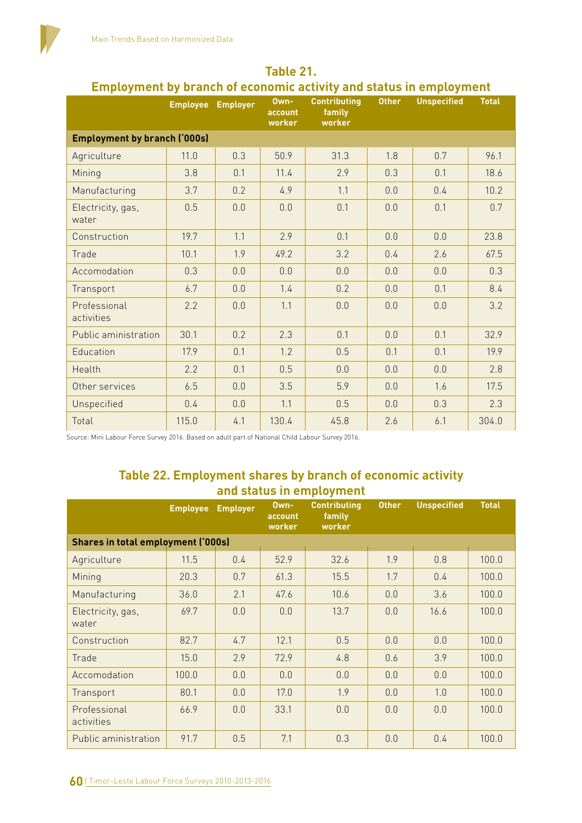|                                     | <b>Employee Employer</b> |     | Own-<br>account<br>worker | <b>Contributing</b><br>family<br>worker | <b>Other</b> | <b>Unspecified</b> | <b>Total</b> |
|-------------------------------------|--------------------------|-----|---------------------------|-----------------------------------------|--------------|--------------------|--------------|
| <b>Employment by branch ('000s)</b> |                          |     |                           |                                         |              |                    |              |
| Agriculture                         | 11.0                     | 0.3 | 50.9                      | 31.3                                    | 1.8          | 0.7                | 96.1         |
| Mining                              | 3.8                      | 0.1 | 11.4                      | 2.9                                     | 0.3          | 0.1                | 18.6         |
| Manufacturing                       | 3.7                      | 0.2 | 4.9                       | 1.1                                     | 0.0          | 0.4                | 10.2         |
| Electricity, gas,<br>water          | 0.5                      | 0.0 | 0.0                       | 0.1                                     | 0.0          | 0.1                | 0.7          |
| Construction                        | 19.7                     | 1.1 | 2.9                       | 0.1                                     | 0.0          | 0.0                | 23.8         |
| Trade                               | 10.1                     | 1.9 | 49.2                      | 3.2                                     | 0.4          | 2.6                | 67.5         |
| Accomodation                        | 0.3                      | 0.0 | 0.0                       | 0.0                                     | 0.0          | 0.0                | 0.3          |
| Transport                           | 6.7                      | 0.0 | 1.4                       | 0.2                                     | 0.0          | 0.1                | 8.4          |
| Professional<br>activities          | 2.2                      | 0.0 | 1.1                       | 0.0                                     | 0.0          | 0.0                | 3.2          |
| Public aministration                | 30.1                     | 0.2 | 2.3                       | 0.1                                     | 0.0          | 0.1                | 32.9         |
| Education                           | 17.9                     | 0.1 | 1.2                       | 0.5                                     | 0.1          | 0.1                | 19.9         |
| Health                              | 2.2                      | 0.1 | 0.5                       | 0.0                                     | 0.0          | 0.0                | 2.8          |
| Other services                      | 6.5                      | 0.0 | 3.5                       | 5.9                                     | 0.0          | 1.6                | 17.5         |
| Unspecified                         | 0.4                      | 0.0 | 1.1                       | 0.5                                     | 0.0          | 0.3                | 2.3          |
| Total                               | 115.0                    | 4.1 | 130.4                     | 45.8                                    | 2.6          | 6.1                | 304.0        |

## **Table 21.**

## **Employment by branch of economic activity and status in employment**

Source: Mini Labour Force Survey 2016. Based on adult part of National Child Labour Survey 2016.

#### **Table 22. Employment shares by branch of economic activity and status in employment**

|                                           | <b>Employee</b> | <b>Employer</b> | Own-<br>account<br>worker | <b>Contributing</b><br>family<br>worker | <b>Other</b> | <b>Unspecified</b> | <b>Total</b> |
|-------------------------------------------|-----------------|-----------------|---------------------------|-----------------------------------------|--------------|--------------------|--------------|
| <b>Shares in total employment ('000s)</b> |                 |                 |                           |                                         |              |                    |              |
| Agriculture                               | 11.5            | 0.4             | 52.9                      | 32.6                                    | 1.9          | 0.8                | 100.0        |
| Mining                                    | 20.3            | 0.7             | 61.3                      | 15.5                                    | 1.7          | 0.4                | 100.0        |
| Manufacturing                             | 36.0            | 2.1             | 47.6                      | 10.6                                    | 0.0          | 3.6                | 100.0        |
| Electricity, gas,<br>water                | 69.7            | 0.0             | 0.0                       | 13.7                                    | 0.0          | 16.6               | 100.0        |
| Construction                              | 82.7            | 4.7             | 12.1                      | 0.5                                     | 0.0          | 0.0                | 100.0        |
| Trade                                     | 15.0            | 2.9             | 72.9                      | 4.8                                     | 0.6          | 3.9                | 100.0        |
| Accomodation                              | 100.0           | 0.0             | 0.0                       | 0.0                                     | 0.0          | 0.0                | 100.0        |
| Transport                                 | 80.1            | 0.0             | 17.0                      | 1.9                                     | 0.0          | 1.0                | 100.0        |
| Professional<br>activities                | 66.9            | 0.0             | 33.1                      | 0.0                                     | 0.0          | 0.0                | 100.0        |
| Public aministration                      | 91.7            | 0.5             | 7.1                       | 0.3                                     | 0.0          | 0.4                | 100.0        |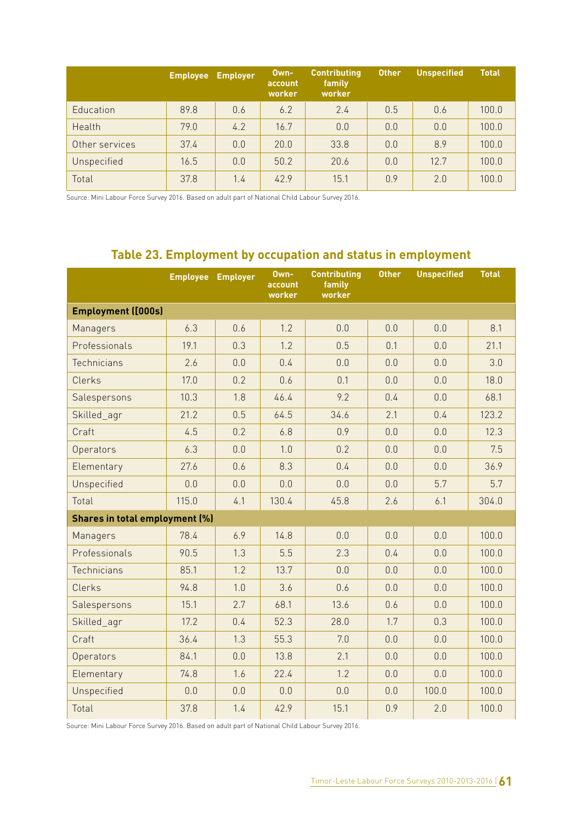|                | <b>Employee</b> | <b>Employer</b> | Own-<br>account<br>worker | <b>Contributing</b><br>family<br>worker | <b>Other</b> | <b>Unspecified</b> | <b>Total</b> |
|----------------|-----------------|-----------------|---------------------------|-----------------------------------------|--------------|--------------------|--------------|
| Education      | 89.8            | 0.6             | 6.2                       | 2.4                                     | 0.5          | 0.6                | 100.0        |
| Health         | 79.0            | 4.2             | 16.7                      | 0.0                                     | 0.0          | 0.0                | 100.0        |
| Other services | 37.4            | 0.0             | 20.0                      | 33.8                                    | 0.0          | 8.9                | 100.0        |
| Unspecified    | 16.5            | 0.0             | 50.2                      | 20.6                                    | 0.0          | 12.7               | 100.0        |
| Total          | 37.8            | 1.4             | 42.9                      | 15.1                                    | 0.9          | 2.0                | 100.0        |

Source: Mini Labour Force Survey 2016. Based on adult part of National Child Labour Survey 2016.

## **Table 23. Employment by occupation and status in employment**

|                                       | <b>Employee</b> | <b>Employer</b> | Own-<br>account<br>worker | <b>Contributing</b><br>family<br>worker | <b>Other</b> | <b>Unspecified</b> | <b>Total</b> |
|---------------------------------------|-----------------|-----------------|---------------------------|-----------------------------------------|--------------|--------------------|--------------|
| <b>Employment ([000s)</b>             |                 |                 |                           |                                         |              |                    |              |
| Managers                              | 6.3             | 0.6             | 1.2                       | 0.0                                     | 0.0          | 0.0                | 8.1          |
| Professionals                         | 19.1            | 0.3             | 1.2                       | 0.5                                     | 0.1          | 0.0                | 21.1         |
| Technicians                           | 2.6             | 0.0             | 0.4                       | 0.0                                     | 0.0          | 0.0                | 3.0          |
| Clerks                                | 17.0            | 0.2             | 0.6                       | 0.1                                     | 0.0          | 0.0                | 18.0         |
| Salespersons                          | 10.3            | 1.8             | 46.4                      | 9.2                                     | 0.4          | 0.0                | 68.1         |
| Skilled agr                           | 21.2            | 0.5             | 64.5                      | 34.6                                    | 2.1          | 0.4                | 123.2        |
| Craft                                 | 4.5             | 0.2             | 6.8                       | 0.9                                     | 0.0          | 0.0                | 12.3         |
| Operators                             | 6.3             | 0.0             | 1.0                       | 0.2                                     | 0.0          | 0.0                | 7.5          |
| Elementary                            | 27.6            | 0.6             | 8.3                       | 0.4                                     | 0.0          | 0.0                | 36.9         |
| Unspecified                           | 0.0             | 0.0             | 0.0                       | 0.0                                     | 0.0          | 5.7                | 5.7          |
| Total                                 | 115.0           | 4.1             | 130.4                     | 45.8                                    | 2.6          | 6.1                | 304.0        |
| <b>Shares in total employment (%)</b> |                 |                 |                           |                                         |              |                    |              |
| Managers                              | 78.4            | 6.9             | 14.8                      | 0.0                                     | 0.0          | 0.0                | 100.0        |
| Professionals                         | 90.5            | 1.3             | 5.5                       | 2.3                                     | 0.4          | 0.0                | 100.0        |
| Technicians                           | 85.1            | 1.2             | 13.7                      | 0.0                                     | 0.0          | 0.0                | 100.0        |
| Clerks                                | 94.8            | 1.0             | 3.6                       | 0.6                                     | 0.0          | 0.0                | 100.0        |
| Salespersons                          | 15.1            | 2.7             | 68.1                      | 13.6                                    | 0.6          | 0.0                | 100.0        |
| Skilled_agr                           | 17.2            | 0.4             | 52.3                      | 28.0                                    | 1.7          | 0.3                | 100.0        |
| Craft                                 | 36.4            | 1.3             | 55.3                      | 7.0                                     | 0.0          | 0.0                | 100.0        |
| Operators                             | 84.1            | 0.0             | 13.8                      | 2.1                                     | 0.0          | 0.0                | 100.0        |
| Elementary                            | 74.8            | 1.6             | 22.4                      | 1.2                                     | 0.0          | 0.0                | 100.0        |
| Unspecified                           | 0.0             | 0.0             | 0.0                       | 0.0                                     | 0.0          | 100.0              | 100.0        |
| Total                                 | 37.8            | 1.4             | 42.9                      | 15.1                                    | 0.9          | 2.0                | 100.0        |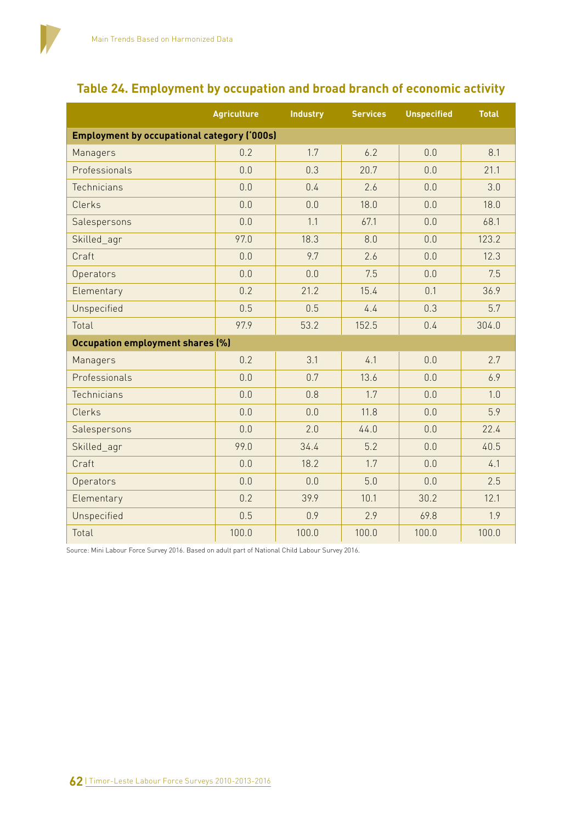|                                                    | <b>Agriculture</b> | <b>Industry</b> | <b>Services</b> | <b>Unspecified</b> | <b>Total</b> |
|----------------------------------------------------|--------------------|-----------------|-----------------|--------------------|--------------|
| <b>Employment by occupational category ('000s)</b> |                    |                 |                 |                    |              |
| Managers                                           | 0.2                | 1.7             | 6.2             | 0.0                | 8.1          |
| Professionals                                      | 0.0                | 0.3             | 20.7            | 0.0                | 21.1         |
| Technicians                                        | 0.0                | 0.4             | 2.6             | 0.0                | 3.0          |
| Clerks                                             | 0.0                | 0.0             | 18.0            | 0.0                | 18.0         |
| Salespersons                                       | 0.0                | 1.1             | 67.1            | 0.0                | 68.1         |
| Skilled_agr                                        | 97.0               | 18.3            | 8.0             | 0.0                | 123.2        |
| Craft                                              | 0.0                | 9.7             | 2.6             | 0.0                | 12.3         |
| Operators                                          | 0.0                | 0.0             | 7.5             | 0.0                | 7.5          |
| Elementary                                         | 0.2                | 21.2            | 15.4            | 0.1                | 36.9         |
| Unspecified                                        | 0.5                | 0.5             | 4.4             | 0.3                | 5.7          |
| Total                                              | 97.9               | 53.2            | 152.5           | 0.4                | 304.0        |
| <b>Occupation employment shares (%)</b>            |                    |                 |                 |                    |              |
| Managers                                           | 0.2                | 3.1             | 4.1             | 0.0                | 2.7          |
| Professionals                                      | 0.0                | 0.7             | 13.6            | 0.0                | 6.9          |
| Technicians                                        | 0.0                | 0.8             | 1.7             | 0.0                | 1.0          |
| Clerks                                             | 0.0                | 0.0             | 11.8            | 0.0                | 5.9          |
| Salespersons                                       | 0.0                | 2.0             | 44.0            | 0.0                | 22.4         |
| Skilled_agr                                        | 99.0               | 34.4            | 5.2             | 0.0                | 40.5         |
| Craft                                              | 0.0                | 18.2            | 1.7             | 0.0                | 4.1          |
| Operators                                          | 0.0                | 0.0             | 5.0             | 0.0                | 2.5          |
| Elementary                                         | 0.2                | 39.9            | 10.1            | 30.2               | 12.1         |
| Unspecified                                        | 0.5                | 0.9             | 2.9             | 69.8               | 1.9          |
| Total                                              | 100.0              | 100.0           | 100.0           | 100.0              | 100.0        |

## **Table 24. Employment by occupation and broad branch of economic activity**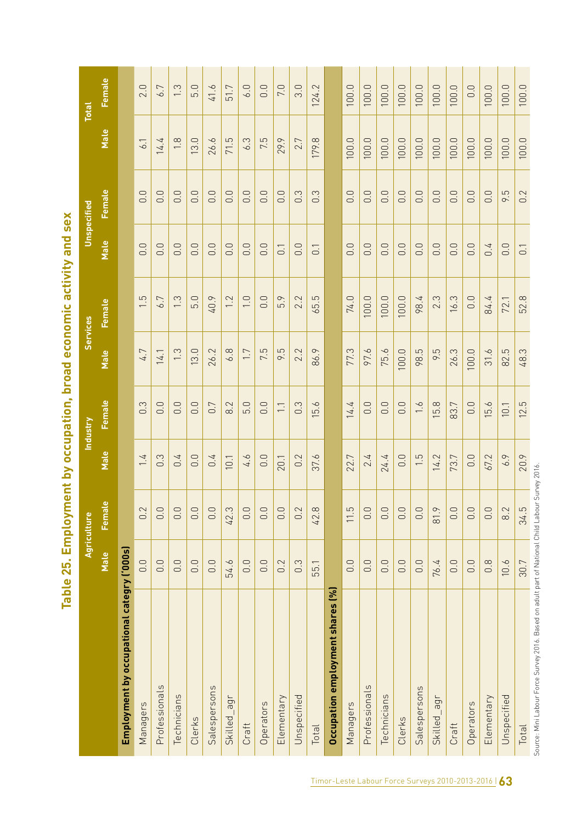| Male<br>7.5<br>$\frac{8}{1}$<br>179.8<br>71.5<br>6.3<br>29.9<br>100.0<br>100.0<br>14.4<br>13.0<br>26.6<br>2.7<br>100.0<br>100.0<br>100.0<br>100.0<br>100.0<br>100.0<br>100.0<br>100.0<br>6.1<br>Female<br>9.5<br>0.0<br>0.0<br>0.0<br>0.0<br>0.0<br>0.0<br>0.0<br>0.0<br>0.0<br>0.0<br>0.0<br>0.0<br>0.0<br>0.0<br>0.0<br>0.0<br>0.0<br>$0.\overline{3}$<br>$0.\overline{3}$<br>0.0<br>Male<br>0.0<br>0.0<br>0.0<br>0.0<br>0.0<br>0.0<br>0.4<br>0.0<br>0.0<br>0.0<br>0.0<br>0.0<br>0.0<br>0.0<br>0.0<br>0.0<br>0.0<br>0.0<br>0.0<br>$\overline{0}$ .<br>$\overline{0}$ .<br>$\frac{5}{1}$<br>$\ddot{.}3$<br>5.0<br>1.2<br>$\overline{1}$ . $\overline{0}$<br>0.0<br>65.5<br>74.0<br>100.0<br>100.0<br>98.4<br>2.3<br>16.3<br>40.9<br>5.9<br>2.2<br>100.0<br>0.0<br>84.4<br>6.7<br>72.1<br>Female<br>7.5<br>75.6<br>9.5<br>26.3<br>82.5<br>13.0<br>26.2<br>6.8<br>1.7<br>9.5<br>77.3<br>97.6<br>100.0<br>98.5<br>100.0<br>31.6<br>Male<br>4.7<br>$\ddot{.}$<br>2.2<br>86.9<br>14.1<br>Female<br>0.0<br>5.0<br>14.4<br>$\ddot{0}$<br>15.8<br>$0.\overline{3}$<br>0.0<br>8.2<br>0.0<br>15.6<br>0.0<br>0.0<br>0.0<br>83.7<br>0.0<br>15.6<br>0.0<br>0.7<br>0.3<br>10.1<br>$\frac{1}{\sqrt{2}}$<br>Male<br>0.4<br>6.9<br>1.4<br>0.0<br>4.6<br>0.0<br>2.4<br>24.4<br>0.0<br>$\ddot{5}$<br>14.2<br>73.7<br>0.0<br>67.2<br>0.3<br>0.4<br>0.2<br>37.6<br>22.7<br>10.1<br>20.1<br>Female<br>8.2<br>0.2<br>42.3<br>0.0<br>0.2<br>42.8<br>11.5<br>0.0<br>0.0<br>0.0<br>0.0<br>0.0<br>0.0<br>0.0<br>0.0<br>0.0<br>0.0<br>0.0<br>0.0<br>81.9<br>0.0<br>Employment by occupational categry ('000s)<br>Male<br>10.6<br>0.0<br>0.0<br>0.0<br>54.6<br>0.0<br>0.0<br>0.0<br>0.0<br>76.4<br>0.0<br>0.0<br>$0.\overline{8}$<br>0.0<br>0.0<br>0.2<br>0.3<br>0.0<br>0.0<br>0.0<br>55.1<br>Occupation employment shares (%)<br>Professionals<br>Salespersons<br>Professionals<br>Salespersons<br>Technicians<br>Unspecified<br>Technicians<br>Unspecified<br>Elementary<br>Elementary<br>agr<br>-agr<br>Operators<br>Operators<br>Managers<br>Managers<br>Skilled_<br>Clerks<br>Skilled<br>Clerks<br>Craft<br>Craft<br>Total |       |      | Agriculture |      | <b>Industry</b> |      | <b>Services</b> |                  | Unspecified |       | <b>Total</b>  |
|-----------------------------------------------------------------------------------------------------------------------------------------------------------------------------------------------------------------------------------------------------------------------------------------------------------------------------------------------------------------------------------------------------------------------------------------------------------------------------------------------------------------------------------------------------------------------------------------------------------------------------------------------------------------------------------------------------------------------------------------------------------------------------------------------------------------------------------------------------------------------------------------------------------------------------------------------------------------------------------------------------------------------------------------------------------------------------------------------------------------------------------------------------------------------------------------------------------------------------------------------------------------------------------------------------------------------------------------------------------------------------------------------------------------------------------------------------------------------------------------------------------------------------------------------------------------------------------------------------------------------------------------------------------------------------------------------------------------------------------------------------------------------------------------------------------------------------------------------------------------------------------------------------------------------------------------------------------------------------------------------------------------------------------------------------------------------------------------------------|-------|------|-------------|------|-----------------|------|-----------------|------------------|-------------|-------|---------------|
|                                                                                                                                                                                                                                                                                                                                                                                                                                                                                                                                                                                                                                                                                                                                                                                                                                                                                                                                                                                                                                                                                                                                                                                                                                                                                                                                                                                                                                                                                                                                                                                                                                                                                                                                                                                                                                                                                                                                                                                                                                                                                                     |       |      |             |      |                 |      |                 |                  |             |       | Female        |
|                                                                                                                                                                                                                                                                                                                                                                                                                                                                                                                                                                                                                                                                                                                                                                                                                                                                                                                                                                                                                                                                                                                                                                                                                                                                                                                                                                                                                                                                                                                                                                                                                                                                                                                                                                                                                                                                                                                                                                                                                                                                                                     |       |      |             |      |                 |      |                 |                  |             |       |               |
|                                                                                                                                                                                                                                                                                                                                                                                                                                                                                                                                                                                                                                                                                                                                                                                                                                                                                                                                                                                                                                                                                                                                                                                                                                                                                                                                                                                                                                                                                                                                                                                                                                                                                                                                                                                                                                                                                                                                                                                                                                                                                                     |       |      |             |      |                 |      |                 |                  |             |       | 2.0           |
|                                                                                                                                                                                                                                                                                                                                                                                                                                                                                                                                                                                                                                                                                                                                                                                                                                                                                                                                                                                                                                                                                                                                                                                                                                                                                                                                                                                                                                                                                                                                                                                                                                                                                                                                                                                                                                                                                                                                                                                                                                                                                                     |       |      |             |      |                 |      |                 |                  |             |       | 6.7           |
|                                                                                                                                                                                                                                                                                                                                                                                                                                                                                                                                                                                                                                                                                                                                                                                                                                                                                                                                                                                                                                                                                                                                                                                                                                                                                                                                                                                                                                                                                                                                                                                                                                                                                                                                                                                                                                                                                                                                                                                                                                                                                                     |       |      |             |      |                 |      |                 |                  |             |       | $\frac{3}{2}$ |
|                                                                                                                                                                                                                                                                                                                                                                                                                                                                                                                                                                                                                                                                                                                                                                                                                                                                                                                                                                                                                                                                                                                                                                                                                                                                                                                                                                                                                                                                                                                                                                                                                                                                                                                                                                                                                                                                                                                                                                                                                                                                                                     |       |      |             |      |                 |      |                 |                  |             |       | 5.0           |
|                                                                                                                                                                                                                                                                                                                                                                                                                                                                                                                                                                                                                                                                                                                                                                                                                                                                                                                                                                                                                                                                                                                                                                                                                                                                                                                                                                                                                                                                                                                                                                                                                                                                                                                                                                                                                                                                                                                                                                                                                                                                                                     |       |      |             |      |                 |      |                 |                  |             |       | 41.6          |
|                                                                                                                                                                                                                                                                                                                                                                                                                                                                                                                                                                                                                                                                                                                                                                                                                                                                                                                                                                                                                                                                                                                                                                                                                                                                                                                                                                                                                                                                                                                                                                                                                                                                                                                                                                                                                                                                                                                                                                                                                                                                                                     |       |      |             |      |                 |      |                 |                  |             |       | 51.7          |
|                                                                                                                                                                                                                                                                                                                                                                                                                                                                                                                                                                                                                                                                                                                                                                                                                                                                                                                                                                                                                                                                                                                                                                                                                                                                                                                                                                                                                                                                                                                                                                                                                                                                                                                                                                                                                                                                                                                                                                                                                                                                                                     |       |      |             |      |                 |      |                 |                  |             |       | 6.0           |
|                                                                                                                                                                                                                                                                                                                                                                                                                                                                                                                                                                                                                                                                                                                                                                                                                                                                                                                                                                                                                                                                                                                                                                                                                                                                                                                                                                                                                                                                                                                                                                                                                                                                                                                                                                                                                                                                                                                                                                                                                                                                                                     |       |      |             |      |                 |      |                 |                  |             |       | 0.0           |
|                                                                                                                                                                                                                                                                                                                                                                                                                                                                                                                                                                                                                                                                                                                                                                                                                                                                                                                                                                                                                                                                                                                                                                                                                                                                                                                                                                                                                                                                                                                                                                                                                                                                                                                                                                                                                                                                                                                                                                                                                                                                                                     |       |      |             |      |                 |      |                 |                  |             |       | 7.0           |
|                                                                                                                                                                                                                                                                                                                                                                                                                                                                                                                                                                                                                                                                                                                                                                                                                                                                                                                                                                                                                                                                                                                                                                                                                                                                                                                                                                                                                                                                                                                                                                                                                                                                                                                                                                                                                                                                                                                                                                                                                                                                                                     |       |      |             |      |                 |      |                 |                  |             |       | 3.0           |
|                                                                                                                                                                                                                                                                                                                                                                                                                                                                                                                                                                                                                                                                                                                                                                                                                                                                                                                                                                                                                                                                                                                                                                                                                                                                                                                                                                                                                                                                                                                                                                                                                                                                                                                                                                                                                                                                                                                                                                                                                                                                                                     |       |      |             |      |                 |      |                 |                  |             |       | 124.2         |
|                                                                                                                                                                                                                                                                                                                                                                                                                                                                                                                                                                                                                                                                                                                                                                                                                                                                                                                                                                                                                                                                                                                                                                                                                                                                                                                                                                                                                                                                                                                                                                                                                                                                                                                                                                                                                                                                                                                                                                                                                                                                                                     |       |      |             |      |                 |      |                 |                  |             |       |               |
|                                                                                                                                                                                                                                                                                                                                                                                                                                                                                                                                                                                                                                                                                                                                                                                                                                                                                                                                                                                                                                                                                                                                                                                                                                                                                                                                                                                                                                                                                                                                                                                                                                                                                                                                                                                                                                                                                                                                                                                                                                                                                                     |       |      |             |      |                 |      |                 |                  |             |       | 100.0         |
|                                                                                                                                                                                                                                                                                                                                                                                                                                                                                                                                                                                                                                                                                                                                                                                                                                                                                                                                                                                                                                                                                                                                                                                                                                                                                                                                                                                                                                                                                                                                                                                                                                                                                                                                                                                                                                                                                                                                                                                                                                                                                                     |       |      |             |      |                 |      |                 |                  |             |       | 100.0         |
|                                                                                                                                                                                                                                                                                                                                                                                                                                                                                                                                                                                                                                                                                                                                                                                                                                                                                                                                                                                                                                                                                                                                                                                                                                                                                                                                                                                                                                                                                                                                                                                                                                                                                                                                                                                                                                                                                                                                                                                                                                                                                                     |       |      |             |      |                 |      |                 |                  |             |       | 100.0         |
|                                                                                                                                                                                                                                                                                                                                                                                                                                                                                                                                                                                                                                                                                                                                                                                                                                                                                                                                                                                                                                                                                                                                                                                                                                                                                                                                                                                                                                                                                                                                                                                                                                                                                                                                                                                                                                                                                                                                                                                                                                                                                                     |       |      |             |      |                 |      |                 |                  |             |       | 100.0         |
|                                                                                                                                                                                                                                                                                                                                                                                                                                                                                                                                                                                                                                                                                                                                                                                                                                                                                                                                                                                                                                                                                                                                                                                                                                                                                                                                                                                                                                                                                                                                                                                                                                                                                                                                                                                                                                                                                                                                                                                                                                                                                                     |       |      |             |      |                 |      |                 |                  |             |       | 100.0         |
|                                                                                                                                                                                                                                                                                                                                                                                                                                                                                                                                                                                                                                                                                                                                                                                                                                                                                                                                                                                                                                                                                                                                                                                                                                                                                                                                                                                                                                                                                                                                                                                                                                                                                                                                                                                                                                                                                                                                                                                                                                                                                                     |       |      |             |      |                 |      |                 |                  |             |       | 100.0         |
|                                                                                                                                                                                                                                                                                                                                                                                                                                                                                                                                                                                                                                                                                                                                                                                                                                                                                                                                                                                                                                                                                                                                                                                                                                                                                                                                                                                                                                                                                                                                                                                                                                                                                                                                                                                                                                                                                                                                                                                                                                                                                                     |       |      |             |      |                 |      |                 |                  |             |       | 100.0         |
|                                                                                                                                                                                                                                                                                                                                                                                                                                                                                                                                                                                                                                                                                                                                                                                                                                                                                                                                                                                                                                                                                                                                                                                                                                                                                                                                                                                                                                                                                                                                                                                                                                                                                                                                                                                                                                                                                                                                                                                                                                                                                                     |       |      |             |      |                 |      |                 |                  |             |       | 0.0           |
|                                                                                                                                                                                                                                                                                                                                                                                                                                                                                                                                                                                                                                                                                                                                                                                                                                                                                                                                                                                                                                                                                                                                                                                                                                                                                                                                                                                                                                                                                                                                                                                                                                                                                                                                                                                                                                                                                                                                                                                                                                                                                                     |       |      |             |      |                 |      |                 |                  |             |       | 100.0         |
|                                                                                                                                                                                                                                                                                                                                                                                                                                                                                                                                                                                                                                                                                                                                                                                                                                                                                                                                                                                                                                                                                                                                                                                                                                                                                                                                                                                                                                                                                                                                                                                                                                                                                                                                                                                                                                                                                                                                                                                                                                                                                                     |       |      |             |      |                 |      |                 |                  |             |       | 100.0         |
|                                                                                                                                                                                                                                                                                                                                                                                                                                                                                                                                                                                                                                                                                                                                                                                                                                                                                                                                                                                                                                                                                                                                                                                                                                                                                                                                                                                                                                                                                                                                                                                                                                                                                                                                                                                                                                                                                                                                                                                                                                                                                                     | Total | 30.7 | 34.5        | 20.9 | 12.5            | 48.3 | 52.8            | $\overline{0}$ . | 0.2         | 100.0 | 100.0         |

Table 25. Employment by occupation, broad economic activity and sex **Table 25. Employment by occupation, broad economic activity and sex**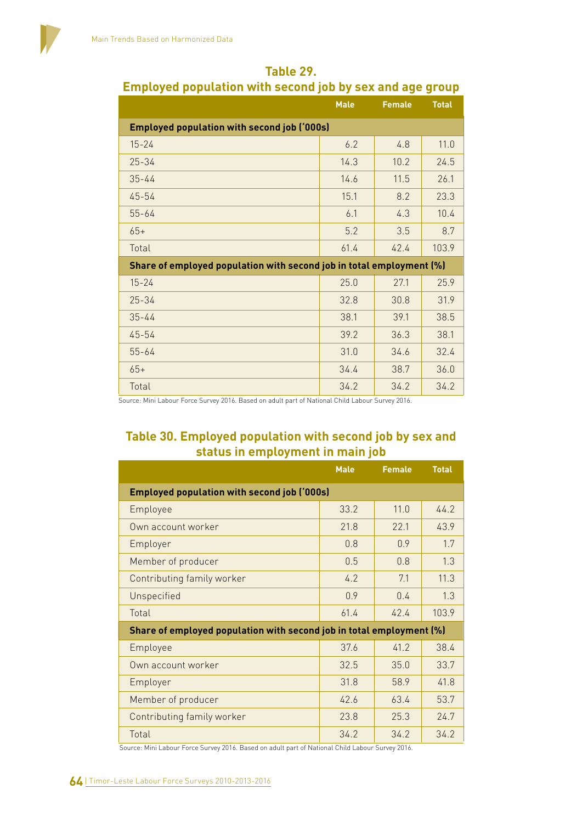

#### **Table 29.**

## **Employed population with second job by sex and age group**

|                                                                      | <b>Male</b> | <b>Female</b> | <b>Total</b> |
|----------------------------------------------------------------------|-------------|---------------|--------------|
| <b>Employed population with second job ('000s)</b>                   |             |               |              |
| $15 - 24$                                                            | 6.2         | 4.8           | 11.0         |
| $25 - 34$                                                            | 14.3        | 10.2          | 24.5         |
| $35 - 44$                                                            | 14.6        | 11.5          | 26.1         |
| 45-54                                                                | 15.1        | 8.2           | 23.3         |
| $55 - 64$                                                            | 6.1         | 4.3           | 10.4         |
| $65+$                                                                | 5.2         | 3.5           | 8.7          |
| Total                                                                | 61.4        | 42.4          | 103.9        |
| Share of employed population with second job in total employment (%) |             |               |              |
| $15 - 24$                                                            | 25.0        | 27.1          | 25.9         |
| $25 - 34$                                                            | 32.8        | 30.8          | 31.9         |
| $35 - 44$                                                            | 38.1        | 39.1          | 38.5         |
| $45 - 54$                                                            | 39.2        | 36.3          | 38.1         |
| $55 - 64$                                                            | 31.0        | 34.6          | 32.4         |
| $65+$                                                                | 34.4        | 38.7          | 36.0         |
| Total                                                                | 34.2        | 34.2          | 34.2         |

Source: Mini Labour Force Survey 2016. Based on adult part of National Child Labour Survey 2016.

## **Table 30. Employed population with second job by sex and status in employment in main job**

|                                                                      | <b>Male</b> | <b>Female</b> | <b>Total</b> |
|----------------------------------------------------------------------|-------------|---------------|--------------|
| <b>Employed population with second job ('000s)</b>                   |             |               |              |
| Employee                                                             | 33.2        | 11.0          | 44.2         |
| Own account worker                                                   | 21.8        | 22.1          | 43.9         |
| Employer                                                             | 0.8         | 0.9           | 1.7          |
| Member of producer                                                   | 0.5         | 0.8           | 1.3          |
| Contributing family worker                                           | 4.2         | 7.1           | 11.3         |
| Unspecified                                                          | 0.9         | 0.4           | 1.3          |
| Total                                                                | 61.4        | 42.4          | 103.9        |
| Share of employed population with second job in total employment (%) |             |               |              |
| Employee                                                             | 37.6        | 41.2          | 38.4         |
| Own account worker                                                   | 32.5        | 35.0          | 33.7         |
| Employer                                                             | 31.8        | 58.9          | 41.8         |
| Member of producer                                                   | 42.6        | 63.4          | 53.7         |
| Contributing family worker                                           | 23.8        | 25.3          | 24.7         |
| Total                                                                | 34.2        | 34.2          | 34.2         |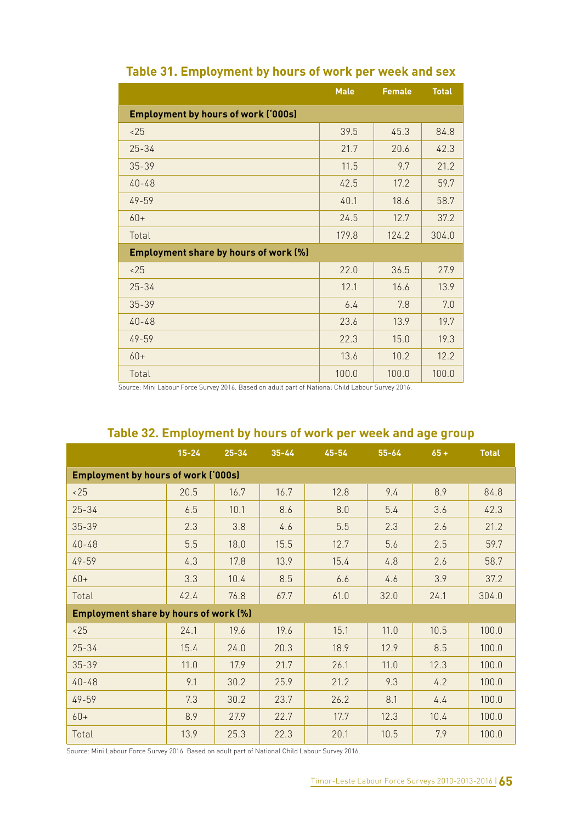|                                              | <b>Male</b> | <b>Female</b> | <b>Total</b> |
|----------------------------------------------|-------------|---------------|--------------|
| <b>Employment by hours of work ('000s)</b>   |             |               |              |
| < 25                                         | 39.5        | 45.3          | 84.8         |
| $25 - 34$                                    | 21.7        | 20.6          | 42.3         |
| $35 - 39$                                    | 11.5        | 9.7           | 21.2         |
| $40 - 48$                                    | 42.5        | 17.2          | 59.7         |
| $49 - 59$                                    | 40.1        | 18.6          | 58.7         |
| $60+$                                        | 24.5        | 12.7          | 37.2         |
| Total                                        | 179.8       | 124.2         | 304.0        |
| <b>Employment share by hours of work (%)</b> |             |               |              |
| < 25                                         | 22.0        | 36.5          | 27.9         |
| $25 - 34$                                    | 12.1        | 16.6          | 13.9         |
| $35 - 39$                                    | 6.4         | 7.8           | 7.0          |
| $40 - 48$                                    | 23.6        | 13.9          | 19.7         |
| 49-59                                        | 22.3        | 15.0          | 19.3         |
| $60+$                                        | 13.6        | 10.2          | 12.2         |
| Total                                        | 100.0       | 100.0         | 100.0        |

## **Table 31. Employment by hours of work per week and sex**

Source: Mini Labour Force Survey 2016. Based on adult part of National Child Labour Survey 2016.

|                                              | $15 - 24$ | 25-34 | $35 - 44$ | 45-54 | $55 - 64$ | $65 +$ | <b>Total</b> |
|----------------------------------------------|-----------|-------|-----------|-------|-----------|--------|--------------|
| <b>Employment by hours of work ('000s)</b>   |           |       |           |       |           |        |              |
| < 25                                         | 20.5      | 16.7  | 16.7      | 12.8  | 9.4       | 8.9    | 84.8         |
| $25 - 34$                                    | 6.5       | 10.1  | 8.6       | 8.0   | 5.4       | 3.6    | 42.3         |
| $35 - 39$                                    | 2.3       | 3.8   | 4.6       | 5.5   | 2.3       | 2.6    | 21.2         |
| $40 - 48$                                    | 5.5       | 18.0  | 15.5      | 12.7  | 5.6       | 2.5    | 59.7         |
| 49-59                                        | 4.3       | 17.8  | 13.9      | 15.4  | 4.8       | 2.6    | 58.7         |
| $60+$                                        | 3.3       | 10.4  | 8.5       | 6.6   | 4.6       | 3.9    | 37.2         |
| Total                                        | 42.4      | 76.8  | 67.7      | 61.0  | 32.0      | 24.1   | 304.0        |
| <b>Employment share by hours of work (%)</b> |           |       |           |       |           |        |              |
| < 25                                         | 24.1      | 19.6  | 19.6      | 15.1  | 11.0      | 10.5   | 100.0        |
| $25 - 34$                                    | 15.4      | 24.0  | 20.3      | 18.9  | 12.9      | 8.5    | 100.0        |
| $35 - 39$                                    | 11.0      | 17.9  | 21.7      | 26.1  | 11.0      | 12.3   | 100.0        |
| $40 - 48$                                    | 9.1       | 30.2  | 25.9      | 21.2  | 9.3       | 4.2    | 100.0        |
| 49-59                                        | 7.3       | 30.2  | 23.7      | 26.2  | 8.1       | 4.4    | 100.0        |
| $60+$                                        | 8.9       | 27.9  | 22.7      | 17.7  | 12.3      | 10.4   | 100.0        |
| Total                                        | 13.9      | 25.3  | 22.3      | 20.1  | 10.5      | 7.9    | 100.0        |

## **Table 32. Employment by hours of work per week and age group**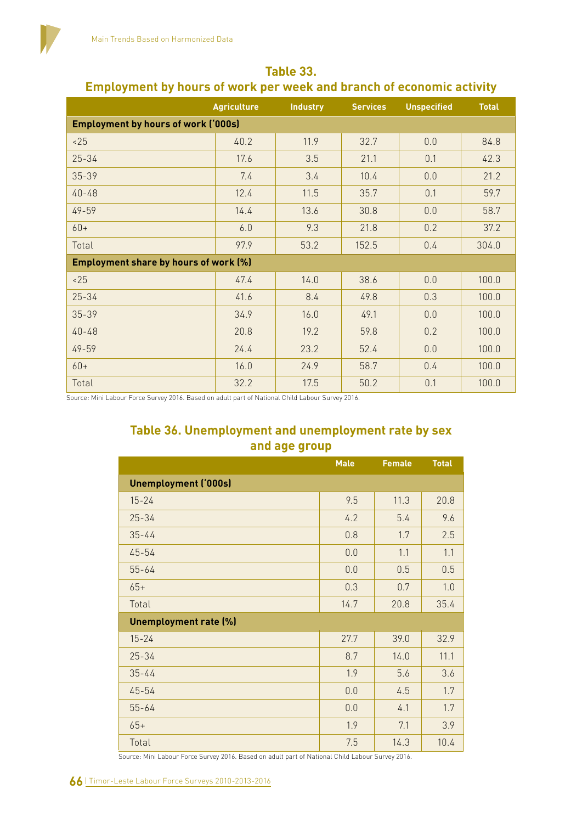| $\sqrt{2}$ |  |
|------------|--|
|            |  |

## **Table 33. Employment by hours of work per week and branch of economic activity**

|                                                                                                      | <b>Agriculture</b> | <b>Industry</b> | <b>Services</b> | <b>Unspecified</b> | <b>Total</b> |
|------------------------------------------------------------------------------------------------------|--------------------|-----------------|-----------------|--------------------|--------------|
| <b>Employment by hours of work ('000s)</b>                                                           |                    |                 |                 |                    |              |
| < 25                                                                                                 | 40.2               | 11.9            | 32.7            | 0.0                | 84.8         |
| $25 - 34$                                                                                            | 17.6               | 3.5             | 21.1            | 0.1                | 42.3         |
| $35 - 39$                                                                                            | 7.4                | 3.4             | 10.4            | 0.0                | 21.2         |
| $40 - 48$                                                                                            | 12.4               | 11.5            | 35.7            | 0.1                | 59.7         |
| 49-59                                                                                                | 14.4               | 13.6            | 30.8            | 0.0                | 58.7         |
| $60+$                                                                                                | 6.0                | 9.3             | 21.8            | 0.2                | 37.2         |
| Total                                                                                                | 97.9               | 53.2            | 152.5           | 0.4                | 304.0        |
| <b>Employment share by hours of work (%)</b>                                                         |                    |                 |                 |                    |              |
| < 25                                                                                                 | 47.4               | 14.0            | 38.6            | 0.0                | 100.0        |
| $25 - 34$                                                                                            | 41.6               | 8.4             | 49.8            | 0.3                | 100.0        |
| $35 - 39$                                                                                            | 34.9               | 16.0            | 49.1            | 0.0                | 100.0        |
| $40 - 48$                                                                                            | 20.8               | 19.2            | 59.8            | 0.2                | 100.0        |
| 49-59                                                                                                | 24.4               | 23.2            | 52.4            | 0.0                | 100.0        |
| $60+$                                                                                                | 16.0               | 24.9            | 58.7            | 0.4                | 100.0        |
| Total<br>$0.011 \quad \text{D} \quad 1$<br>Approved the control of the control of the con-<br>$\sim$ | 32.2               | 17.5            | 50.2<br>0011    | 0.1                | 100.0        |

Source: Mini Labour Force Survey 2016. Based on adult part of National Child Labour Survey 2016.

## **Table 36. Unemployment and unemployment rate by sex and age group**

|                              | <b>Male</b> | <b>Female</b> | <b>Total</b> |
|------------------------------|-------------|---------------|--------------|
| <b>Unemployment ('000s)</b>  |             |               |              |
| $15 - 24$                    | 9.5         | 11.3          | 20.8         |
| $25 - 34$                    | 4.2         | 5.4           | 9.6          |
| $35 - 44$                    | 0.8         | 1.7           | 2.5          |
| 45-54                        | 0.0         | 1.1           | 1.1          |
| $55 - 64$                    | 0.0         | 0.5           | 0.5          |
| $65+$                        | 0.3         | 0.7           | 1.0          |
| Total                        | 14.7        | 20.8          | 35.4         |
| <b>Unemployment rate (%)</b> |             |               |              |
| $15 - 24$                    | 27.7        | 39.0          | 32.9         |
| $25 - 34$                    | 8.7         | 14.0          | 11.1         |
| $35 - 44$                    | 1.9         | 5.6           | 3.6          |
| 45-54                        | 0.0         | 4.5           | 1.7          |
| $55 - 64$                    | 0.0         | 4.1           | 1.7          |
| $65+$                        | 1.9         | 7.1           | 3.9          |
| Total                        | 7.5         | 14.3          | 10.4         |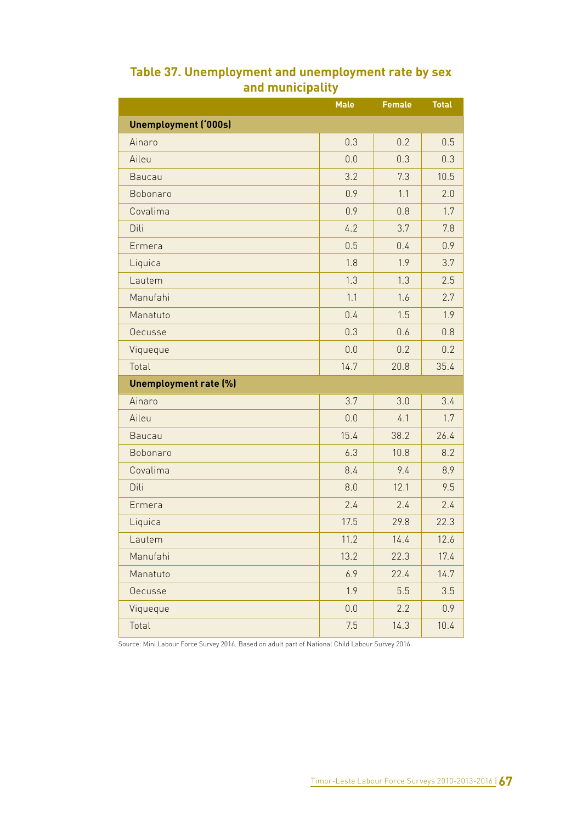|                              | <b>Male</b> | <b>Female</b> | <b>Total</b> |
|------------------------------|-------------|---------------|--------------|
| <b>Unemployment ('000s)</b>  |             |               |              |
| Ainaro                       | 0.3         | 0.2           | 0.5          |
| Aileu                        | 0.0         | 0.3           | 0.3          |
| Baucau                       | 3.2         | 7.3           | 10.5         |
| Bobonaro                     | 0.9         | 1.1           | 2.0          |
| Covalima                     | 0.9         | 0.8           | 1.7          |
| Dili                         | 4.2         | 3.7           | 7.8          |
| Ermera                       | 0.5         | 0.4           | 0.9          |
| Liquica                      | 1.8         | 1.9           | 3.7          |
| Lautem                       | 1.3         | 1.3           | 2.5          |
| Manufahi                     | 1.1         | 1.6           | 2.7          |
| Manatuto                     | 0.4         | 1.5           | 1.9          |
| <b>Oecusse</b>               | 0.3         | 0.6           | 0.8          |
| Viqueque                     | 0.0         | 0.2           | 0.2          |
| Total                        | 14.7        | 20.8          | 35.4         |
| <b>Unemployment rate (%)</b> |             |               |              |
| Ainaro                       | 3.7         | 3.0           | 3.4          |
| Aileu                        | 0.0         | 4.1           | 1.7          |
| Baucau                       | 15.4        | 38.2          | 26.4         |
| Bobonaro                     | 6.3         | 10.8          | 8.2          |
| Covalima                     | 8.4         | 9.4           | 8.9          |
| Dili                         | 8.0         | 12.1          | 9.5          |
| Ermera                       | 2.4         | 2.4           | 2.4          |
| Liquica                      | 17.5        | 29.8          | 22.3         |
| Lautem                       | 11.2        | 14.4          | 12.6         |
| Manufahi                     | 13.2        | 22.3          | 17.4         |
| Manatuto                     | 6.9         | 22.4          | 14.7         |
| <b>Oecusse</b>               | 1.9         | 5.5           | 3.5          |
| Viqueque                     | 0.0         | 2.2           | 0.9          |
| Total                        | 7.5         | 14.3          | 10.4         |

# **Table 37. Unemployment and unemployment rate by sex and municipality**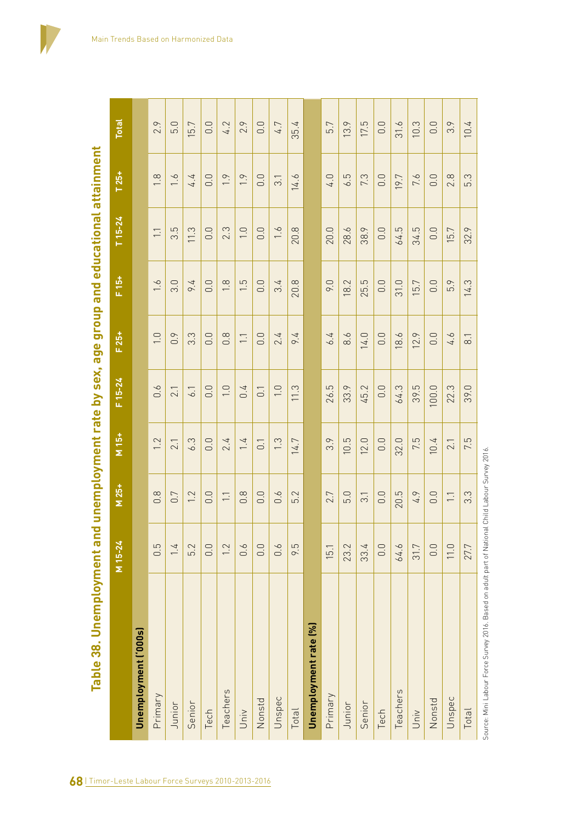| l<br>Continued in the continued of the continued of the continued of the continued of the continued of the continued of the continued of the continued of the continued of the continued of the continued of the continued of the |
|-----------------------------------------------------------------------------------------------------------------------------------------------------------------------------------------------------------------------------------|
|                                                                                                                                                                                                                                   |
|                                                                                                                                                                                                                                   |
|                                                                                                                                                                                                                                   |
| こえ くえく                                                                                                                                                                                                                            |
|                                                                                                                                                                                                                                   |
| j                                                                                                                                                                                                                                 |
| j                                                                                                                                                                                                                                 |
|                                                                                                                                                                                                                                   |
|                                                                                                                                                                                                                                   |
|                                                                                                                                                                                                                                   |
|                                                                                                                                                                                                                                   |
|                                                                                                                                                                                                                                   |
|                                                                                                                                                                                                                                   |
|                                                                                                                                                                                                                                   |
|                                                                                                                                                                                                                                   |
|                                                                                                                                                                                                                                   |
|                                                                                                                                                                                                                                   |
|                                                                                                                                                                                                                                   |
|                                                                                                                                                                                                                                   |
|                                                                                                                                                                                                                                   |
|                                                                                                                                                                                                                                   |
|                                                                                                                                                                                                                                   |
|                                                                                                                                                                                                                                   |
|                                                                                                                                                                                                                                   |
|                                                                                                                                                                                                                                   |
|                                                                                                                                                                                                                                   |
|                                                                                                                                                                                                                                   |
|                                                                                                                                                                                                                                   |
| ו<br>ו                                                                                                                                                                                                                            |
|                                                                                                                                                                                                                                   |
|                                                                                                                                                                                                                                   |
|                                                                                                                                                                                                                                   |
|                                                                                                                                                                                                                                   |
|                                                                                                                                                                                                                                   |
| l                                                                                                                                                                                                                                 |
|                                                                                                                                                                                                                                   |
| j                                                                                                                                                                                                                                 |
|                                                                                                                                                                                                                                   |
|                                                                                                                                                                                                                                   |
|                                                                                                                                                                                                                                   |
|                                                                                                                                                                                                                                   |
|                                                                                                                                                                                                                                   |
|                                                                                                                                                                                                                                   |
|                                                                                                                                                                                                                                   |
| å<br>١<br>í                                                                                                                                                                                                                       |
|                                                                                                                                                                                                                                   |
|                                                                                                                                                                                                                                   |
|                                                                                                                                                                                                                                   |
|                                                                                                                                                                                                                                   |
| j                                                                                                                                                                                                                                 |

| Table 38. Unemployment and |                    |                      |                  | unemployment rate by sex, age group and educational attainment |                      |                             |            |                 |              |
|----------------------------|--------------------|----------------------|------------------|----------------------------------------------------------------|----------------------|-----------------------------|------------|-----------------|--------------|
|                            | M <sub>15-24</sub> | M 25+                | M <sub>15+</sub> | F15-24                                                         | $F 25+$              | F 15+                       | T15-24     | $T25+$          | <b>Total</b> |
| Unemployment ('000s)       |                    |                      |                  |                                                                |                      |                             |            |                 |              |
| Primary                    | $0.\overline{5}$   | $0.\overline{8}$     | 1.2              | $0.\overline{6}$                                               | 1.0                  | $\ddot{0}$                  | $\Box$     | 1.8             | 2.9          |
| Junior                     | 1.4                | 0.7                  | 2.1              | 2.1                                                            | 0.9                  | 3.0                         | 3.5        | $\ddot{0}$      | 5.0          |
| Senior                     | 5.2                | 1.2                  | 6.3              | 6.1                                                            | 3.3                  | 9.4                         | 11.3       | 4.4             | 15.7         |
| Tech                       | 0.0                | 0.0                  | 0.0              | 0.0                                                            | 0.0                  | 0.0                         | 0.0        | 0.0             | 0.0          |
| Teachers                   | 1.2                | $\frac{1}{\sqrt{2}}$ | 2.4              | $\overline{1}$ . O                                             | $0.\overline{8}$     | 1.8                         | 2.3        | 1.9             | 4.2          |
| Univ                       | $0.\overline{6}$   | $0.\overline{8}$     | 1.4              | 0.4                                                            | $\frac{1}{\sqrt{2}}$ | $\frac{1}{5}$               | 1.0        | 1.9             | 2.9          |
| Nonstd                     | 0.0                | 0.0                  | $\overline{0}$ . | $\overline{C}$                                                 | 0.0                  | 0.0                         | 0.0        | 0.0             | 0.0          |
| Unspec                     | $0.\overline{6}$   | $0.\overline{6}$     | $\ddot{.}$       | $\overline{1}$ . O                                             | 2.4                  | 3.4                         | $\ddot{0}$ | $\overline{31}$ | 4.7          |
| Total                      | 9.5                | 5.2                  | 14.7             | 11.3                                                           | 9.4                  | 20.8                        | 20.8       | 14.6            | 35.4         |
| Unemployment rate (%)      |                    |                      |                  |                                                                |                      |                             |            |                 |              |
| Primary                    | 15.1               | 2.7                  | 3.9              | 26.5                                                           | 6.4                  | 9.0                         | 20.0       | 4.0             | 5.7          |
| Junior                     | 23.2               | 5.0                  | 10.5             | 33.9                                                           | $\frac{6}{8}$        | $\sim$<br>$\overline{18}$ . | 28.6       | 6.5             | 13.9         |
| Senior                     | 33.4               | $\overline{3}$       | 12.0             | 45.2                                                           | 14.0                 | 25.5                        | 38.9       | 7.3             | 17.5         |
| Tech                       | 0.0                | 0.0                  | 0.0              | 0.0                                                            | 0.0                  | 0.0                         | 0.0        | 0.0             | 0.0          |
| Teachers                   | 64.6               | 20.5                 | 32.0             | 64.3                                                           | 18.6                 | 31.0                        | 64.5       | 19.7            | 31.6         |
| Univ                       | 31.7               | 4.9                  | 7.5              | 39.5                                                           | 12.9                 | 15.7                        | 34.5       | 7.6             | 10.3         |
| Nonstd                     | 0.0                | 0.0                  | 10.4             | 100.0                                                          | 0.0                  | 0.0                         | 0.0        | 0.0             | 0.0          |
| Unspec                     | 11.0               | $\frac{1}{\sqrt{2}}$ | 2.1              | 22.3                                                           | 4.6                  | 5.9                         | 15.7       | 2.8             | 3.9          |
| Total                      | 27.7               | $3.\overline{3}$     | 7.5              | 39.0                                                           | $\overline{\circ}$   | 14.3                        | 32.9       | 5.3             | 10.4         |
|                            |                    |                      |                  |                                                                |                      |                             |            |                 |              |

Source: Mini Labour Force Survey 2016. Based on adult part of National Child Labour Survey 2016. Source: Mini Labour Force Survey 2016. Based on adult part of National Child Labour Survey 2016.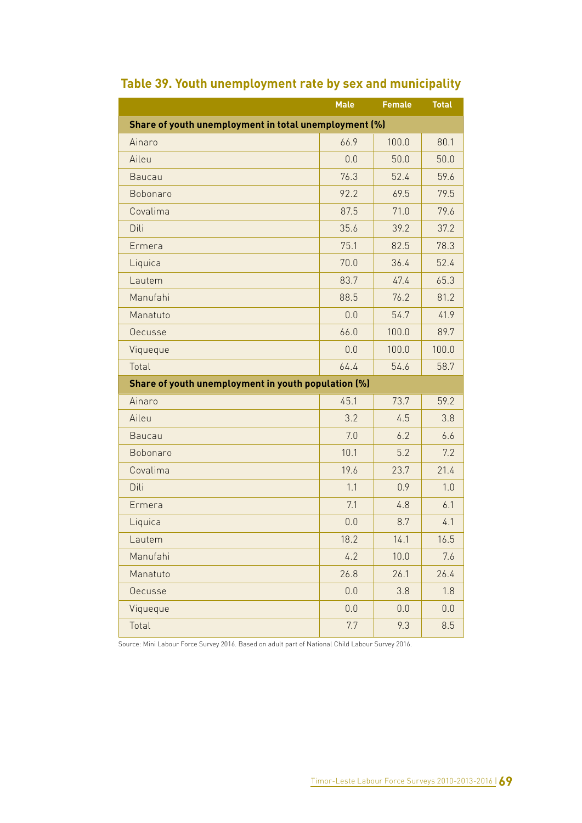|                                                       | <b>Male</b> | <b>Female</b> | <b>Total</b> |
|-------------------------------------------------------|-------------|---------------|--------------|
| Share of youth unemployment in total unemployment (%) |             |               |              |
| Ainaro                                                | 66.9        | 100.0         | 80.1         |
| Aileu                                                 | 0.0         | 50.0          | 50.0         |
| <b>Baucau</b>                                         | 76.3        | 52.4          | 59.6         |
| Bobonaro                                              | 92.2        | 69.5          | 79.5         |
| Covalima                                              | 87.5        | 71.0          | 79.6         |
| Dili                                                  | 35.6        | 39.2          | 37.2         |
| Ermera                                                | 75.1        | 82.5          | 78.3         |
| Liquica                                               | 70.0        | 36.4          | 52.4         |
| Lautem                                                | 83.7        | 47.4          | 65.3         |
| Manufahi                                              | 88.5        | 76.2          | 81.2         |
| Manatuto                                              | 0.0         | 54.7          | 41.9         |
| <b>Oecusse</b>                                        | 66.0        | 100.0         | 89.7         |
| Viqueque                                              | 0.0         | 100.0         | 100.0        |
| Total                                                 | 64.4        | 54.6          | 58.7         |
| Share of youth unemployment in youth population (%)   |             |               |              |
| Ainaro                                                | 45.1        | 73.7          | 59.2         |
| Aileu                                                 | 3.2         | 4.5           | 3.8          |
| <b>Baucau</b>                                         | 7.0         | 6.2           | 6.6          |
| Bobonaro                                              | 10.1        | 5.2           | 7.2          |
| Covalima                                              | 19.6        | 23.7          | 21.4         |
| Dili                                                  | 1.1         | 0.9           | 1.0          |
| Ermera                                                | 7.1         | 4.8           | 6.1          |
| Liquica                                               | 0.0         | 8.7           | 4.1          |
| Lautem                                                | 18.2        | 14.1          | 16.5         |
| Manufahi                                              | 4.2         | 10.0          | 7.6          |
| Manatuto                                              | 26.8        | 26.1          | 26.4         |
| Oecusse                                               | 0.0         | 3.8           | 1.8          |
| Viqueque                                              | 0.0         | 0.0           | 0.0          |
| Total                                                 | 7.7         | 9.3           | 8.5          |

# **Table 39. Youth unemployment rate by sex and municipality**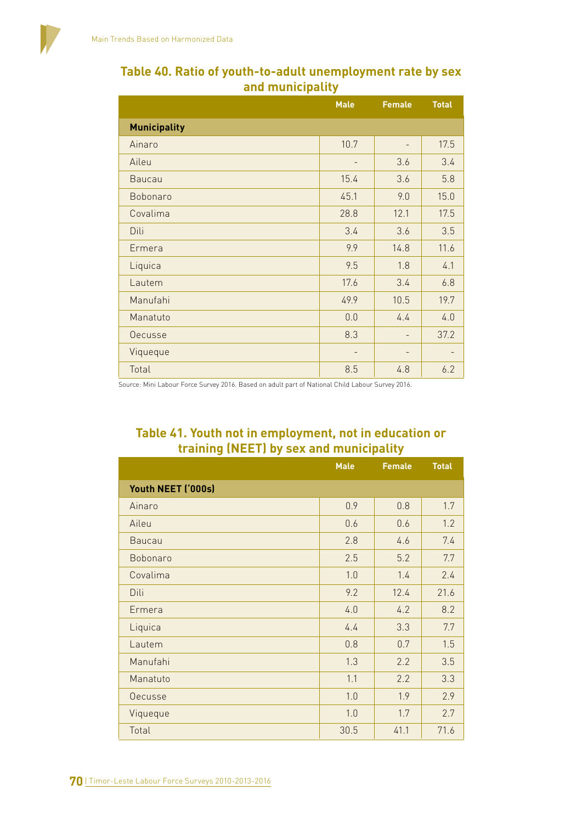| Table 40. Ratio of youth-to-adult unemployment rate by sex |  |                  |  |  |  |  |
|------------------------------------------------------------|--|------------------|--|--|--|--|
|                                                            |  | and municipality |  |  |  |  |

|                     | <b>Male</b>       | <b>Female</b> | <b>Total</b> |
|---------------------|-------------------|---------------|--------------|
| <b>Municipality</b> |                   |               |              |
| Ainaro              | 10.7              |               | 17.5         |
| Aileu               |                   | 3.6           | 3.4          |
| Baucau              | 15.4              | 3.6           | 5.8          |
| Bobonaro            | 45.1              | 9.0           | 15.0         |
| Covalima            | 28.8              | 12.1          | 17.5         |
| Dili                | 3.4               | 3.6           | 3.5          |
| Ermera              | 9.9               | 14.8          | 11.6         |
| Liquica             | 9.5               | 1.8           | 4.1          |
| Lautem              | 17.6              | 3.4           | 6.8          |
| Manufahi            | 49.9              | 10.5          | 19.7         |
| Manatuto            | 0.0               | 4.4           | 4.0          |
| <b>Oecusse</b>      | 8.3               |               | 37.2         |
| Viqueque            | $\qquad \qquad -$ |               |              |
| Total               | 8.5               | 4.8           | 6.2          |

Source: Mini Labour Force Survey 2016. Based on adult part of National Child Labour Survey 2016.

## **Table 41. Youth not in employment, not in education or training (NEET) by sex and municipality**

|                    | <b>Male</b> | <b>Female</b> | <b>Total</b> |
|--------------------|-------------|---------------|--------------|
| Youth NEET ('000s) |             |               |              |
| Ainaro             | 0.9         | 0.8           | 1.7          |
| Aileu              | 0.6         | 0.6           | 1.2          |
| Baucau             | 2.8         | 4.6           | 7.4          |
| Bobonaro           | 2.5         | 5.2           | 7.7          |
| Covalima           | 1.0         | 1.4           | 2.4          |
| Dili               | 9.2         | 12.4          | 21.6         |
| Ermera             | 4.0         | 4.2           | 8.2          |
| Liquica            | 4.4         | 3.3           | 7.7          |
| Lautem             | 0.8         | 0.7           | 1.5          |
| Manufahi           | 1.3         | 2.2           | 3.5          |
| Manatuto           | 1.1         | 2.2           | 3.3          |
| <b>Oecusse</b>     | 1.0         | 1.9           | 2.9          |
| Viqueque           | 1.0         | 1.7           | 2.7          |
| Total              | 30.5        | 41.1          | 71.6         |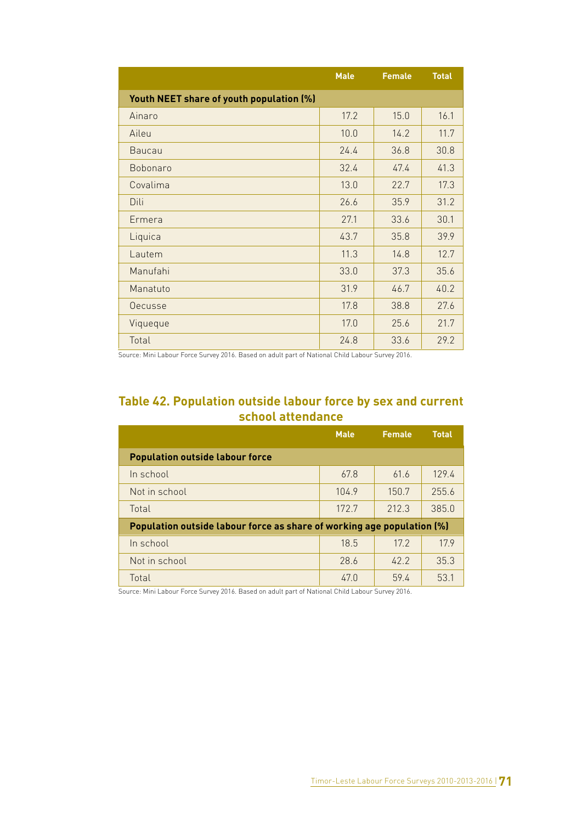|                                          | <b>Male</b> | <b>Female</b> | <b>Total</b> |
|------------------------------------------|-------------|---------------|--------------|
| Youth NEET share of youth population (%) |             |               |              |
| Ainaro                                   | 17.2        | 15.0          | 16.1         |
| Aileu                                    | 10.0        | 14.2          | 11.7         |
| Baucau                                   | 24.4        | 36.8          | 30.8         |
| Bobonaro                                 | 32.4        | 47.4          | 41.3         |
| Covalima                                 | 13.0        | 22.7          | 17.3         |
| Dili                                     | 26.6        | 35.9          | 31.2         |
| <b>Frmera</b>                            | 27.1        | 33.6          | 30.1         |
| Liquica                                  | 43.7        | 35.8          | 39.9         |
| Lautem                                   | 11.3        | 14.8          | 12.7         |
| Manufahi                                 | 33.0        | 37.3          | 35.6         |
| Manatuto                                 | 31.9        | 46.7          | 40.2         |
| Oecusse                                  | 17.8        | 38.8          | 27.6         |
| Viqueque                                 | 17.0        | 25.6          | 21.7         |
| Total                                    | 24.8        | 33.6          | 29.2         |

Source: Mini Labour Force Survey 2016. Based on adult part of National Child Labour Survey 2016.

#### **Table 42. Population outside labour force by sex and current school attendance**

|                                                                        | <b>Male</b> | <b>Female</b> | <b>Total</b> |
|------------------------------------------------------------------------|-------------|---------------|--------------|
| <b>Population outside labour force</b>                                 |             |               |              |
| In school                                                              | 67.8        | 61.6          | 129.4        |
| Not in school                                                          | 104.9       | 150.7         | 255.6        |
| Total                                                                  | 172.7       | 212.3         | 385.0        |
| Population outside labour force as share of working age population (%) |             |               |              |
| In school                                                              | 18.5        | 17.2          | 17.9         |
| Not in school                                                          | 28.6        | 42.2          | 35.3         |
| Total                                                                  | 47.0        | 59.4          | 53.1         |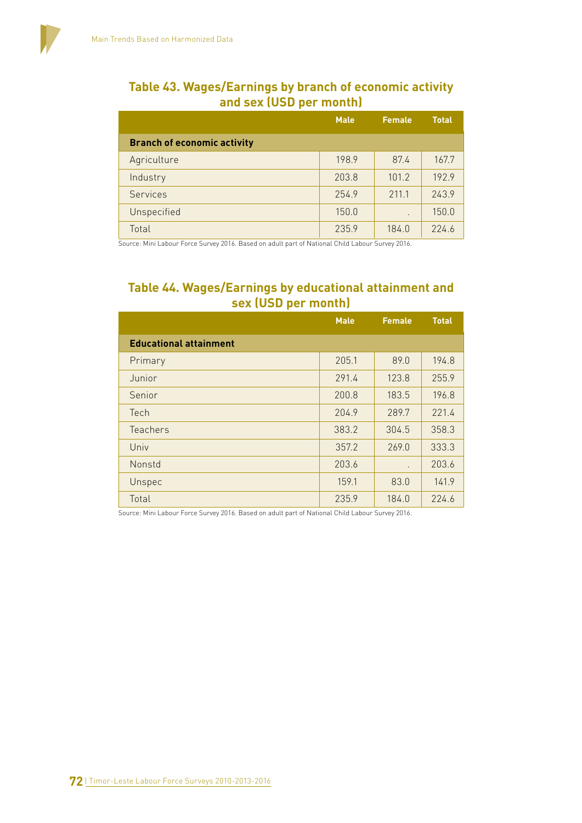

### **Table 43. Wages/Earnings by branch of economic activity and sex (USD per month)**

|                                    | <b>Male</b> | <b>Female</b> | <b>Total</b> |
|------------------------------------|-------------|---------------|--------------|
| <b>Branch of economic activity</b> |             |               |              |
| Agriculture                        | 198.9       | 87.4          | 167.7        |
| Industry                           | 203.8       | 101.2         | 192.9        |
| Services                           | 254.9       | 211.1         | 243.9        |
| Unspecified                        | 150.0       |               | 150.0        |
| Total                              | 235.9       | 184.0         | 224.6        |

Source: Mini Labour Force Survey 2016. Based on adult part of National Child Labour Survey 2016.

#### **Table 44. Wages/Earnings by educational attainment and sex (USD per month)**

|                               | <b>Male</b> | <b>Female</b> | <b>Total</b> |
|-------------------------------|-------------|---------------|--------------|
| <b>Educational attainment</b> |             |               |              |
| Primary                       | 205.1       | 89.0          | 194.8        |
| Junior                        | 291.4       | 123.8         | 255.9        |
| Senior                        | 200.8       | 183.5         | 196.8        |
| Tech                          | 204.9       | 289.7         | 221.4        |
| Teachers                      | 383.2       | 304.5         | 358.3        |
| Univ                          | 357.2       | 269.0         | 333.3        |
| Nonstd                        | 203.6       |               | 203.6        |
| Unspec                        | 159.1       | 83.0          | 141.9        |
| Total                         | 235.9       | 184.0         | 224.6        |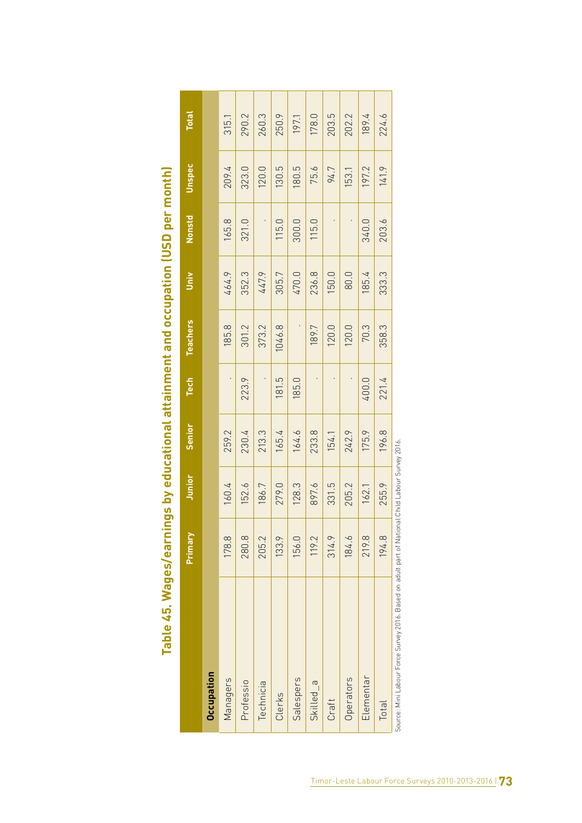|                   | Primary | Junior | Senior | <b>Tech</b> | Teachers | Univ  | <b>Nonstd</b> | Unspec | <b>Total</b> |
|-------------------|---------|--------|--------|-------------|----------|-------|---------------|--------|--------------|
| <b>Occupation</b> |         |        |        |             |          |       |               |        |              |
| Managers          | 178.8   | 160.4  | 259.2  |             | 185.8    | 464.9 | 165.8         | 209.4  | 315.1        |
| Professio         | 280.8   | 152.6  | 230.4  | 223.9       | 301.2    | 352.3 | 321.0         | 323.0  | 290.2        |
| Technicia         | 205.2   | 186.7  | 213.3  |             | 373.2    | 447.9 |               | 120.0  | 260.3        |
| Clerks            | 133.9   | 279.0  | 165.4  | 181.5       | 1046.8   | 305.7 | 115.0         | 130.5  | 250.9        |
| Salespers         | 156.0   | 128.3  | 164.6  | 185.0       |          | 470.0 | 300.0         | 180.5  | 197.1        |
| Skilled_a         | 119.2   | 897.6  | 233.8  |             | 189.7    | 236.8 | 115.0         | 75.6   | 178.0        |
| Craft             | 314.9   | 331.5  | 154.1  |             | 120.0    | 150.0 |               | 94.7   | 203.5        |
| Operators         | 184.6   | 205.2  | 242.9  |             | 120.0    | 80.0  |               | 153.1  | 202.2        |
| Elementar         | 219.8   | 162.1  | 175.9  | 400.0       | 70.3     | 185.4 | 340.0         | 197.2  | 189.4        |
| Total             | 194.8   | 255.9  | 196.8  | 221.4       | 358.3    | 333.3 | 203.6         | 141.9  | 224.6        |

 $\overline{1}$  $\overline{1}$  $\overline{1}$  $\overline{\phantom{a}}$  $\overline{1}$  $\overline{\phantom{a}}$  $\overline{\phantom{a}}$  $\overline{\phantom{a}}$  $\overline{\phantom{a}}$ 

| Í |
|---|
|   |
| ľ |
|   |
|   |
|   |
|   |
|   |
|   |
|   |
|   |
| i |
|   |
|   |
|   |
|   |
|   |
|   |
|   |
|   |
|   |
|   |
|   |
|   |
|   |
|   |
|   |
|   |
|   |
|   |
|   |
|   |
|   |
|   |

Letter Mini Labour Force Survey 2016. Based on adult part of National Child Labour Survey 2016.<br>Source: Mini Labour Force Survey 2016. Based on adult part of National Child Labour Survey 2016. Source: Mini Labour Force Survey 2016. Based on adult part of National Child Labour Survey 2016.